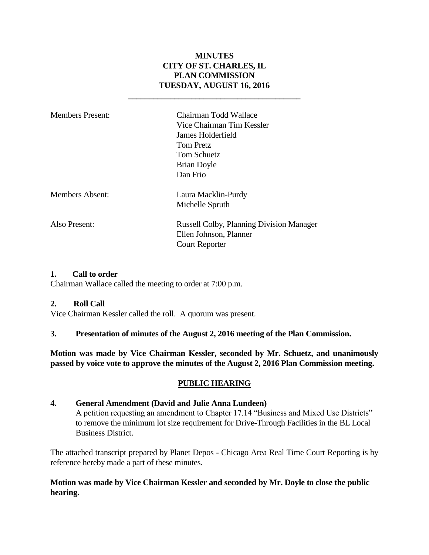## **MINUTES CITY OF ST. CHARLES, IL PLAN COMMISSION TUESDAY, AUGUST 16, 2016**

**\_\_\_\_\_\_\_\_\_\_\_\_\_\_\_\_\_\_\_\_\_\_\_\_\_\_\_\_\_\_\_\_\_\_\_\_\_\_\_\_\_**

| Members Present: | Chairman Todd Wallace<br>Vice Chairman Tim Kessler<br>James Holderfield<br>Tom Pretz<br><b>Tom Schuetz</b><br>Brian Doyle<br>Dan Frio |
|------------------|---------------------------------------------------------------------------------------------------------------------------------------|
| Members Absent:  | Laura Macklin-Purdy<br>Michelle Spruth                                                                                                |
| Also Present:    | <b>Russell Colby, Planning Division Manager</b><br>Ellen Johnson, Planner<br><b>Court Reporter</b>                                    |

## **1. Call to order**

Chairman Wallace called the meeting to order at 7:00 p.m.

#### **2. Roll Call**

Vice Chairman Kessler called the roll. A quorum was present.

#### **3. Presentation of minutes of the August 2, 2016 meeting of the Plan Commission.**

**Motion was made by Vice Chairman Kessler, seconded by Mr. Schuetz, and unanimously passed by voice vote to approve the minutes of the August 2, 2016 Plan Commission meeting.** 

## **PUBLIC HEARING**

#### **4. General Amendment (David and Julie Anna Lundeen)**

A petition requesting an amendment to Chapter 17.14 "Business and Mixed Use Districts" to remove the minimum lot size requirement for Drive-Through Facilities in the BL Local Business District.

The attached transcript prepared by Planet Depos - Chicago Area Real Time Court Reporting is by reference hereby made a part of these minutes.

## **Motion was made by Vice Chairman Kessler and seconded by Mr. Doyle to close the public hearing.**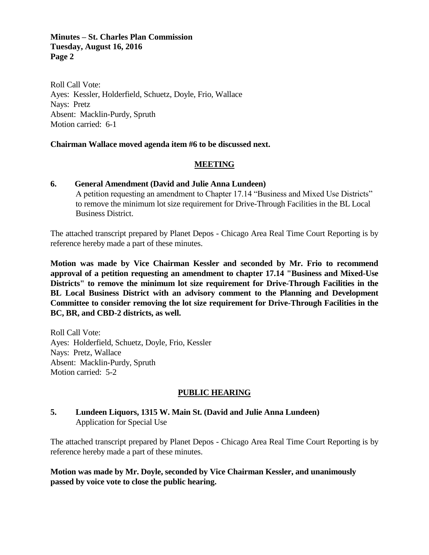#### **Minutes – St. Charles Plan Commission Tuesday, August 16, 2016 Page 2**

Roll Call Vote: Ayes: Kessler, Holderfield, Schuetz, Doyle, Frio, Wallace Nays: Pretz Absent: Macklin-Purdy, Spruth Motion carried: 6-1

### **Chairman Wallace moved agenda item #6 to be discussed next.**

### **MEETING**

## **6. General Amendment (David and Julie Anna Lundeen)**

A petition requesting an amendment to Chapter 17.14 "Business and Mixed Use Districts" to remove the minimum lot size requirement for Drive-Through Facilities in the BL Local Business District.

The attached transcript prepared by Planet Depos - Chicago Area Real Time Court Reporting is by reference hereby made a part of these minutes.

**Motion was made by Vice Chairman Kessler and seconded by Mr. Frio to recommend approval of a petition requesting an amendment to chapter 17.14 "Business and Mixed-Use Districts" to remove the minimum lot size requirement for Drive-Through Facilities in the BL Local Business District with an advisory comment to the Planning and Development Committee to consider removing the lot size requirement for Drive-Through Facilities in the BC, BR, and CBD-2 districts, as well.** 

Roll Call Vote: Ayes: Holderfield, Schuetz, Doyle, Frio, Kessler Nays: Pretz, Wallace Absent: Macklin-Purdy, Spruth Motion carried: 5-2

#### **PUBLIC HEARING**

### **5. Lundeen Liquors, 1315 W. Main St. (David and Julie Anna Lundeen)**  Application for Special Use

The attached transcript prepared by Planet Depos - Chicago Area Real Time Court Reporting is by reference hereby made a part of these minutes.

**Motion was made by Mr. Doyle, seconded by Vice Chairman Kessler, and unanimously passed by voice vote to close the public hearing.**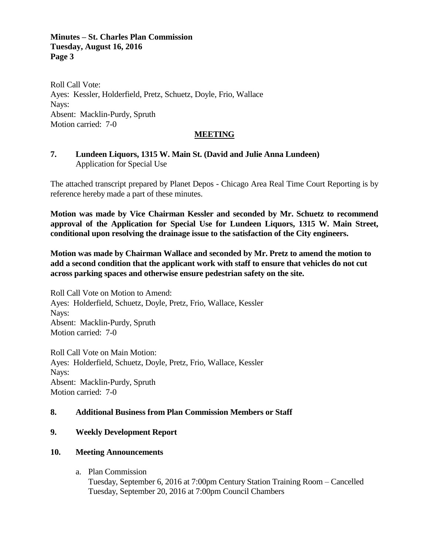### **Minutes – St. Charles Plan Commission Tuesday, August 16, 2016 Page 3**

Roll Call Vote: Ayes: Kessler, Holderfield, Pretz, Schuetz, Doyle, Frio, Wallace Nays: Absent: Macklin-Purdy, Spruth Motion carried: 7-0

#### **MEETING**

## **7. Lundeen Liquors, 1315 W. Main St. (David and Julie Anna Lundeen)**  Application for Special Use

The attached transcript prepared by Planet Depos - Chicago Area Real Time Court Reporting is by reference hereby made a part of these minutes.

**Motion was made by Vice Chairman Kessler and seconded by Mr. Schuetz to recommend approval of the Application for Special Use for Lundeen Liquors, 1315 W. Main Street, conditional upon resolving the drainage issue to the satisfaction of the City engineers.**

**Motion was made by Chairman Wallace and seconded by Mr. Pretz to amend the motion to add a second condition that the applicant work with staff to ensure that vehicles do not cut across parking spaces and otherwise ensure pedestrian safety on the site.**

Roll Call Vote on Motion to Amend: Ayes: Holderfield, Schuetz, Doyle, Pretz, Frio, Wallace, Kessler Nays: Absent: Macklin-Purdy, Spruth Motion carried: 7-0

Roll Call Vote on Main Motion: Ayes: Holderfield, Schuetz, Doyle, Pretz, Frio, Wallace, Kessler Nays: Absent: Macklin-Purdy, Spruth Motion carried: 7-0

## **8. Additional Business from Plan Commission Members or Staff**

## **9. Weekly Development Report**

#### **10. Meeting Announcements**

a. Plan Commission

Tuesday, September 6, 2016 at 7:00pm Century Station Training Room – Cancelled Tuesday, September 20, 2016 at 7:00pm Council Chambers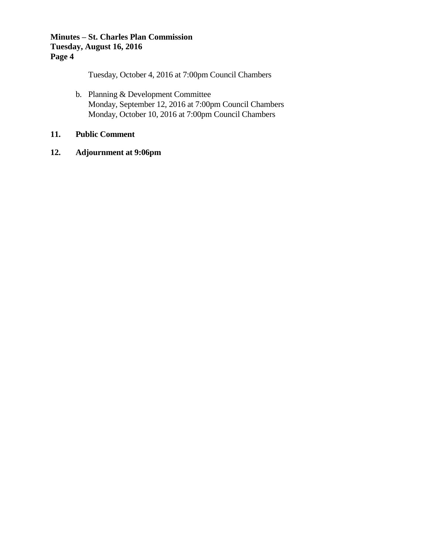## **Minutes – St. Charles Plan Commission Tuesday, August 16, 2016 Page 4**

Tuesday, October 4, 2016 at 7:00pm Council Chambers

b. Planning & Development Committee Monday, September 12, 2016 at 7:00pm Council Chambers Monday, October 10, 2016 at 7:00pm Council Chambers

## **11. Public Comment**

**12. Adjournment at 9:06pm**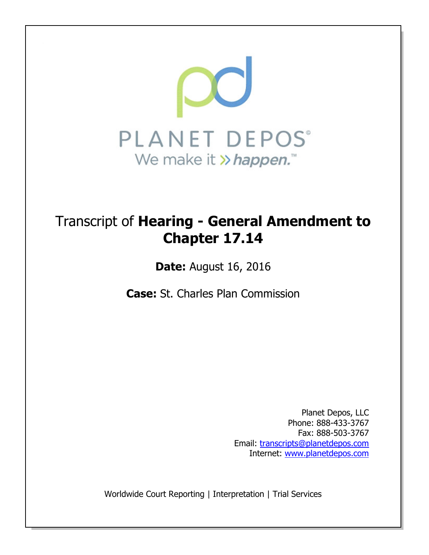

# Transcript of Hearing - General Amendment to Chapter 17.14

Date: August 16, 2016

Case: St. Charles Plan Commission

Planet Depos, LLC Phone: 888-433-3767 Fax: 888-503-3767 Email: transcripts@planetdepos.com Internet: www.planetdepos.com

Worldwide Court Reporting | Interpretation | Trial Services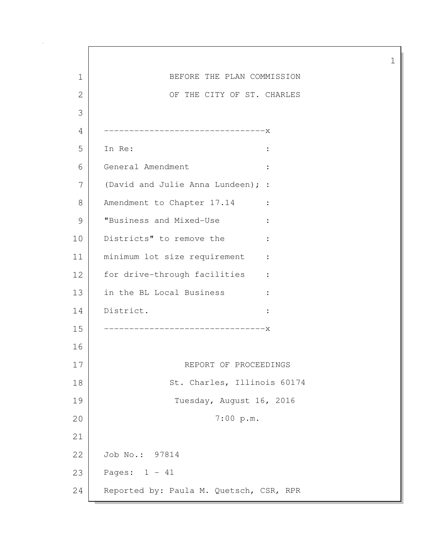1 BEFORE THE PLAN COMMISSION 2 OF THE CITY OF ST. CHARLES 3 4 --------------------------------x 5 In Re: : 6 General Amendment : 7 (David and Julie Anna Lundeen); : 8 Amendment to Chapter 17.14 : 9 | "Business and Mixed-Use : 10 Districts" to remove the : 11 | minimum lot size requirement : 12 | for drive-through facilities : 13 in the BL Local Business : 14 District. : 15 --------------------------------x 16 17 REPORT OF PROCEEDINGS 18 St. Charles, Illinois 60174 19 Tuesday, August 16, 2016 20 7:00 p.m. 21 22 Job No.: 97814 23 Pages: 1 - 41 24 Reported by: Paula M. Quetsch, CSR, RPR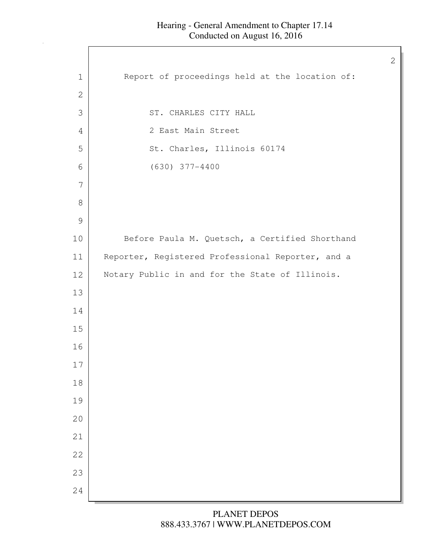$\mathsf{l}$ 

| Report of proceedings held at the location of:<br>$\mathbf 1$<br>$\mathbf{2}$<br>3<br>ST. CHARLES CITY HALL<br>2 East Main Street<br>4<br>St. Charles, Illinois 60174<br>5<br>$(630)$ 377-4400<br>6<br>7<br>$8\,$<br>$\mathcal{G}$<br>Before Paula M. Quetsch, a Certified Shorthand<br>10<br>Reporter, Registered Professional Reporter, and a<br>11<br>Notary Public in and for the State of Illinois.<br>12<br>13<br>14<br>15<br>16<br>17<br>18<br>19<br>20<br>21<br>22<br>23<br>24 |  |
|----------------------------------------------------------------------------------------------------------------------------------------------------------------------------------------------------------------------------------------------------------------------------------------------------------------------------------------------------------------------------------------------------------------------------------------------------------------------------------------|--|
|                                                                                                                                                                                                                                                                                                                                                                                                                                                                                        |  |
|                                                                                                                                                                                                                                                                                                                                                                                                                                                                                        |  |
|                                                                                                                                                                                                                                                                                                                                                                                                                                                                                        |  |
|                                                                                                                                                                                                                                                                                                                                                                                                                                                                                        |  |
|                                                                                                                                                                                                                                                                                                                                                                                                                                                                                        |  |
|                                                                                                                                                                                                                                                                                                                                                                                                                                                                                        |  |
|                                                                                                                                                                                                                                                                                                                                                                                                                                                                                        |  |
|                                                                                                                                                                                                                                                                                                                                                                                                                                                                                        |  |
|                                                                                                                                                                                                                                                                                                                                                                                                                                                                                        |  |
|                                                                                                                                                                                                                                                                                                                                                                                                                                                                                        |  |
|                                                                                                                                                                                                                                                                                                                                                                                                                                                                                        |  |
|                                                                                                                                                                                                                                                                                                                                                                                                                                                                                        |  |
|                                                                                                                                                                                                                                                                                                                                                                                                                                                                                        |  |
|                                                                                                                                                                                                                                                                                                                                                                                                                                                                                        |  |
|                                                                                                                                                                                                                                                                                                                                                                                                                                                                                        |  |
|                                                                                                                                                                                                                                                                                                                                                                                                                                                                                        |  |
|                                                                                                                                                                                                                                                                                                                                                                                                                                                                                        |  |
|                                                                                                                                                                                                                                                                                                                                                                                                                                                                                        |  |
|                                                                                                                                                                                                                                                                                                                                                                                                                                                                                        |  |
|                                                                                                                                                                                                                                                                                                                                                                                                                                                                                        |  |
|                                                                                                                                                                                                                                                                                                                                                                                                                                                                                        |  |
|                                                                                                                                                                                                                                                                                                                                                                                                                                                                                        |  |
|                                                                                                                                                                                                                                                                                                                                                                                                                                                                                        |  |
|                                                                                                                                                                                                                                                                                                                                                                                                                                                                                        |  |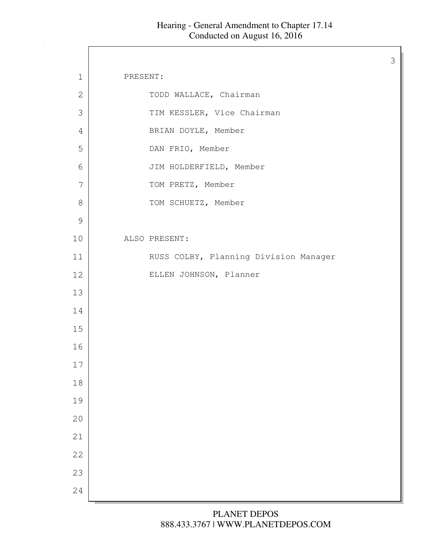| $\mathbf 1$   | PRESENT:                              |
|---------------|---------------------------------------|
| $\mathbf{2}$  | TODD WALLACE, Chairman                |
| 3             | TIM KESSLER, Vice Chairman            |
| 4             | BRIAN DOYLE, Member                   |
| 5             | DAN FRIO, Member                      |
| 6             | JIM HOLDERFIELD, Member               |
| 7             | TOM PRETZ, Member                     |
| $8\,$         | TOM SCHUETZ, Member                   |
| $\mathcal{G}$ |                                       |
| 10            | ALSO PRESENT:                         |
| 11            | RUSS COLBY, Planning Division Manager |
| 12            | ELLEN JOHNSON, Planner                |
| 13            |                                       |
| 14            |                                       |
| 15            |                                       |
| 16            |                                       |
| 17            |                                       |
| 18            |                                       |
| 19            |                                       |
| 20            |                                       |
| 21            |                                       |
| 22            |                                       |
| 23            |                                       |
| 24            |                                       |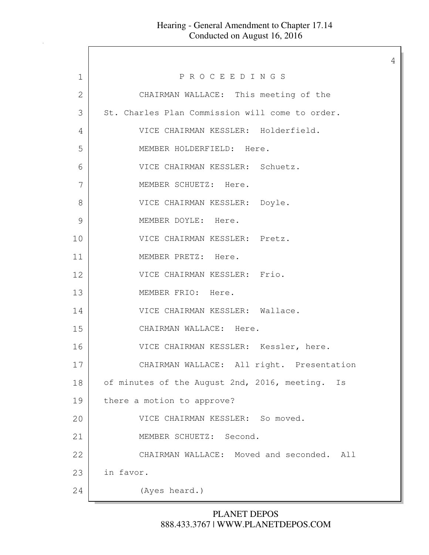$\Gamma$ 

4

| 1              | PROCEEDINGS                                     |
|----------------|-------------------------------------------------|
| $\overline{2}$ | CHAIRMAN WALLACE: This meeting of the           |
| 3              | St. Charles Plan Commission will come to order. |
| 4              | VICE CHAIRMAN KESSLER: Holderfield.             |
| 5              | MEMBER HOLDERFIELD: Here.                       |
| 6              | VICE CHAIRMAN KESSLER: Schuetz.                 |
| 7              | MEMBER SCHUETZ: Here.                           |
| 8              | VICE CHAIRMAN KESSLER: Doyle.                   |
| 9              | MEMBER DOYLE: Here.                             |
| 10             | VICE CHAIRMAN KESSLER: Pretz.                   |
| 11             | MEMBER PRETZ: Here.                             |
| 12             | VICE CHAIRMAN KESSLER: Frio.                    |
| 13             | MEMBER FRIO: Here.                              |
| 14             | VICE CHAIRMAN KESSLER: Wallace.                 |
| 15             | CHAIRMAN WALLACE: Here.                         |
| 16             | VICE CHAIRMAN KESSLER: Kessler, here.           |
| 17             | CHAIRMAN WALLACE: All right. Presentation       |
| 18             | of minutes of the August 2nd, 2016, meeting. Is |
| 19             | there a motion to approve?                      |
| 20             | VICE CHAIRMAN KESSLER: So moved.                |
| 21             | MEMBER SCHUETZ: Second.                         |
| 22             | CHAIRMAN WALLACE: Moved and seconded. All       |
| 23             | in favor.                                       |
| 24             | (Ayes heard.)                                   |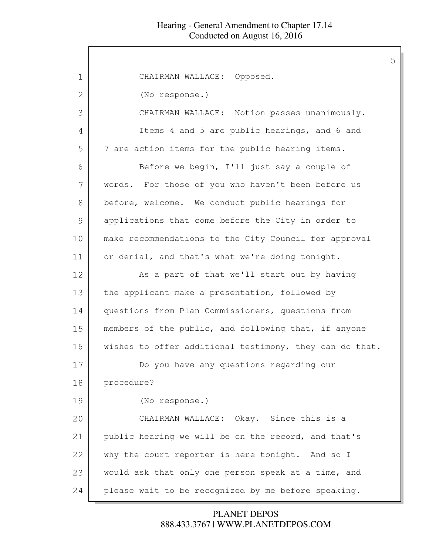| 1  | CHAIRMAN WALLACE: Opposed.                              |
|----|---------------------------------------------------------|
| 2  | (No response.)                                          |
| 3  | CHAIRMAN WALLACE: Notion passes unanimously.            |
| 4  | Items 4 and 5 are public hearings, and 6 and            |
| 5  | 7 are action items for the public hearing items.        |
| 6  | Before we begin, I'll just say a couple of              |
| 7  | words. For those of you who haven't been before us      |
| 8  | before, welcome. We conduct public hearings for         |
| 9  | applications that come before the City in order to      |
| 10 | make recommendations to the City Council for approval   |
| 11 | or denial, and that's what we're doing tonight.         |
| 12 | As a part of that we'll start out by having             |
| 13 | the applicant make a presentation, followed by          |
| 14 | questions from Plan Commissioners, questions from       |
| 15 | members of the public, and following that, if anyone    |
| 16 | wishes to offer additional testimony, they can do that. |
| 17 | Do you have any questions regarding our                 |
| 18 | procedure?                                              |
| 19 | (No response.)                                          |
| 20 | CHAIRMAN WALLACE: Okay. Since this is a                 |
| 21 | public hearing we will be on the record, and that's     |
| 22 | why the court reporter is here tonight. And so I        |
| 23 | would ask that only one person speak at a time, and     |
| 24 | please wait to be recognized by me before speaking.     |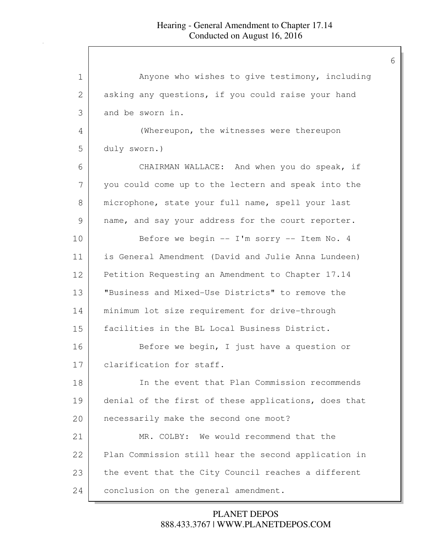| $\mathbf 1$   | Anyone who wishes to give testimony, including       |
|---------------|------------------------------------------------------|
| 2             | asking any questions, if you could raise your hand   |
| 3             | and be sworn in.                                     |
| 4             | (Whereupon, the witnesses were thereupon             |
| 5             | duly sworn.)                                         |
| 6             | CHAIRMAN WALLACE: And when you do speak, if          |
| 7             | you could come up to the lectern and speak into the  |
| 8             | microphone, state your full name, spell your last    |
| $\mathcal{G}$ | name, and say your address for the court reporter.   |
| 10            | Before we begin -- I'm sorry -- Item No. 4           |
| 11            | is General Amendment (David and Julie Anna Lundeen)  |
| 12            | Petition Requesting an Amendment to Chapter 17.14    |
| 13            | "Business and Mixed-Use Districts" to remove the     |
| 14            | minimum lot size requirement for drive-through       |
| 15            | facilities in the BL Local Business District.        |
| 16            | Before we begin, I just have a question or           |
| 17            | clarification for staff.                             |
| 18            | In the event that Plan Commission recommends         |
| 19            | denial of the first of these applications, does that |
| 20            | necessarily make the second one moot?                |
| 21            | MR. COLBY: We would recommend that the               |
| 22            | Plan Commission still hear the second application in |
| 23            | the event that the City Council reaches a different  |
| 24            | conclusion on the general amendment.                 |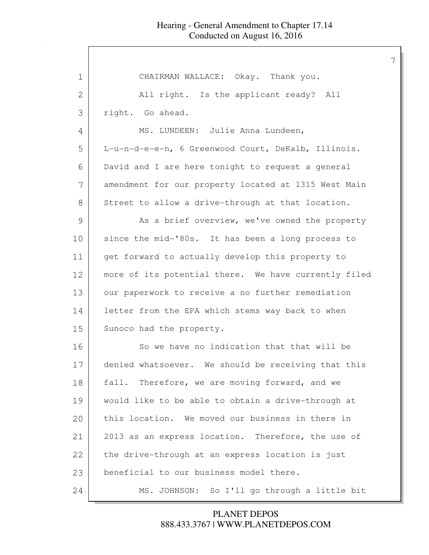| $\mathbf 1$ | CHAIRMAN WALLACE: Okay. Thank you.                   |
|-------------|------------------------------------------------------|
| 2           | All right. Is the applicant ready? All               |
| 3           | right. Go ahead.                                     |
| 4           | MS. LUNDEEN: Julie Anna Lundeen,                     |
| 5           | L-u-n-d-e-e-n, 6 Greenwood Court, DeKalb, Illinois.  |
| 6           | David and I are here tonight to request a general    |
| 7           | amendment for our property located at 1315 West Main |
| 8           | Street to allow a drive-through at that location.    |
| 9           | As a brief overview, we've owned the property        |
| 10          | since the mid-'80s. It has been a long process to    |
| 11          | get forward to actually develop this property to     |
| 12          | more of its potential there. We have currently filed |
| 13          | our paperwork to receive a no further remediation    |
| 14          | letter from the EPA which stems way back to when     |
| 15          | Sunoco had the property.                             |
| 16          | So we have no indication that that will be           |
| 17          | denied whatsoever. We should be receiving that this  |
| 18          | fall. Therefore, we are moving forward, and we       |
| 19          | would like to be able to obtain a drive-through at   |
| 20          | this location. We moved our business in there in     |
| 21          | 2013 as an express location. Therefore, the use of   |
| 22          | the drive-through at an express location is just     |
| 23          | beneficial to our business model there.              |
| 24          | MS. JOHNSON: So I'll go through a little bit         |
|             |                                                      |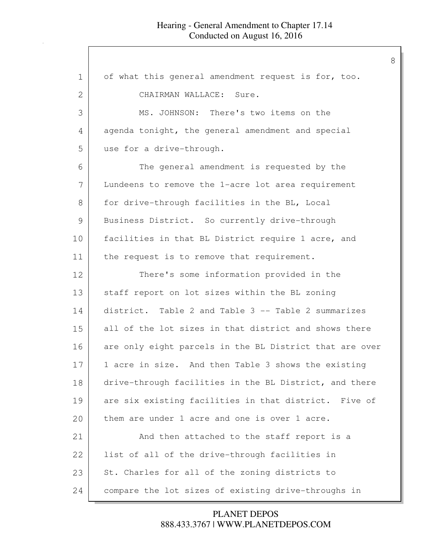| 1            | of what this general amendment request is for, too.     |
|--------------|---------------------------------------------------------|
| $\mathbf{2}$ | CHAIRMAN WALLACE: Sure.                                 |
| 3            | MS. JOHNSON: There's two items on the                   |
| 4            | agenda tonight, the general amendment and special       |
| 5            | use for a drive-through.                                |
| 6            | The general amendment is requested by the               |
| 7            | Lundeens to remove the 1-acre lot area requirement      |
| 8            | for drive-through facilities in the BL, Local           |
| 9            | Business District. So currently drive-through           |
| 10           | facilities in that BL District require 1 acre, and      |
| 11           | the request is to remove that requirement.              |
| 12           | There's some information provided in the                |
| 13           | staff report on lot sizes within the BL zoning          |
| 14           | district. Table 2 and Table 3 -- Table 2 summarizes     |
| 15           | all of the lot sizes in that district and shows there   |
| 16           | are only eight parcels in the BL District that are over |
| 17           | 1 acre in size. And then Table 3 shows the existing     |
| 18           | drive-through facilities in the BL District, and there  |
| 19           | are six existing facilities in that district. Five of   |
| 20           | them are under 1 acre and one is over 1 acre.           |
| 21           | And then attached to the staff report is a              |
| 22           | list of all of the drive-through facilities in          |
| 23           | St. Charles for all of the zoning districts to          |
| 24           | compare the lot sizes of existing drive-throughs in     |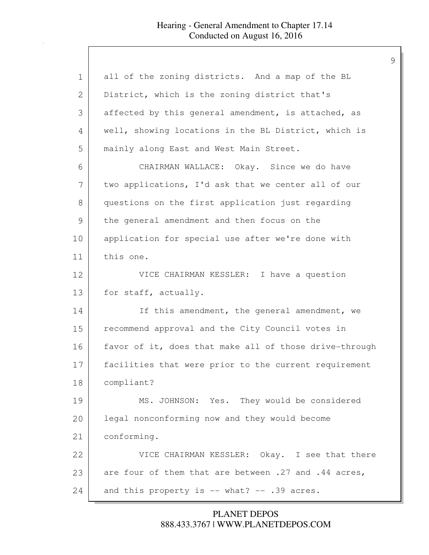| 1  | all of the zoning districts. And a map of the BL       |
|----|--------------------------------------------------------|
| 2  | District, which is the zoning district that's          |
| 3  | affected by this general amendment, is attached, as    |
| 4  | well, showing locations in the BL District, which is   |
| 5  | mainly along East and West Main Street.                |
| 6  | CHAIRMAN WALLACE: Okay. Since we do have               |
| 7  | two applications, I'd ask that we center all of our    |
| 8  | questions on the first application just regarding      |
| 9  | the general amendment and then focus on the            |
| 10 | application for special use after we're done with      |
| 11 | this one.                                              |
| 12 | VICE CHAIRMAN KESSLER: I have a question               |
| 13 | for staff, actually.                                   |
| 14 | If this amendment, the general amendment, we           |
| 15 | recommend approval and the City Council votes in       |
| 16 | favor of it, does that make all of those drive-through |
| 17 | facilities that were prior to the current requirement  |
| 18 | compliant?                                             |
| 19 | MS. JOHNSON: Yes. They would be considered             |
| 20 | legal nonconforming now and they would become          |
| 21 | conforming.                                            |
| 22 | VICE CHAIRMAN KESSLER: Okay. I see that there          |
| 23 | are four of them that are between .27 and .44 acres,   |
| 24 | and this property is -- what? -- .39 acres.            |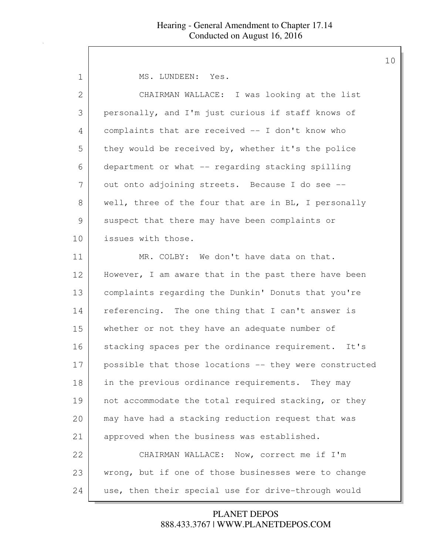| 1             | MS. LUNDEEN: Yes.                                      |
|---------------|--------------------------------------------------------|
| $\mathbf{2}$  | CHAIRMAN WALLACE: I was looking at the list            |
| 3             | personally, and I'm just curious if staff knows of     |
| 4             | complaints that are received -- I don't know who       |
| 5             | they would be received by, whether it's the police     |
| 6             | department or what -- regarding stacking spilling      |
| 7             | out onto adjoining streets. Because I do see --        |
| 8             | well, three of the four that are in BL, I personally   |
| $\mathcal{G}$ | suspect that there may have been complaints or         |
| 10            | issues with those.                                     |
| 11            | MR. COLBY: We don't have data on that.                 |
| 12            | However, I am aware that in the past there have been   |
| 13            | complaints regarding the Dunkin' Donuts that you're    |
| 14            | referencing. The one thing that I can't answer is      |
| 15            | whether or not they have an adequate number of         |
| 16            | stacking spaces per the ordinance requirement. It's    |
| 17            | possible that those locations -- they were constructed |
| 18            | in the previous ordinance requirements. They may       |
| 19            | not accommodate the total required stacking, or they   |
| 20            | may have had a stacking reduction request that was     |
| 21            | approved when the business was established.            |
| 22            | CHAIRMAN WALLACE: Now, correct me if I'm               |
| 23            | wrong, but if one of those businesses were to change   |
| 24            | use, then their special use for drive-through would    |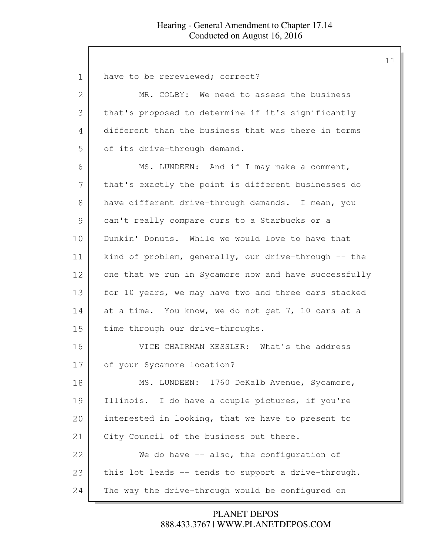| 1             | have to be rereviewed; correct?                       |
|---------------|-------------------------------------------------------|
| 2             | MR. COLBY: We need to assess the business             |
| 3             | that's proposed to determine if it's significantly    |
| 4             | different than the business that was there in terms   |
| 5             | of its drive-through demand.                          |
| 6             | MS. LUNDEEN: And if I may make a comment,             |
| 7             | that's exactly the point is different businesses do   |
| 8             | have different drive-through demands. I mean, you     |
| $\mathcal{G}$ | can't really compare ours to a Starbucks or a         |
| 10            | Dunkin' Donuts. While we would love to have that      |
| 11            | kind of problem, generally, our drive-through -- the  |
| 12            | one that we run in Sycamore now and have successfully |
| 13            | for 10 years, we may have two and three cars stacked  |
| 14            | at a time. You know, we do not get 7, 10 cars at a    |
| 15            | time through our drive-throughs.                      |
| 16            | VICE CHAIRMAN KESSLER: What's the address             |
| 17            | of your Sycamore location?                            |
| 18            | MS. LUNDEEN: 1760 DeKalb Avenue, Sycamore,            |
| 19            | Illinois. I do have a couple pictures, if you're      |
| 20            | interested in looking, that we have to present to     |
| 21            | City Council of the business out there.               |
| 22            | We do have $-$ also, the configuration of             |
| 23            | this lot leads -- tends to support a drive-through.   |
| 24            | The way the drive-through would be configured on      |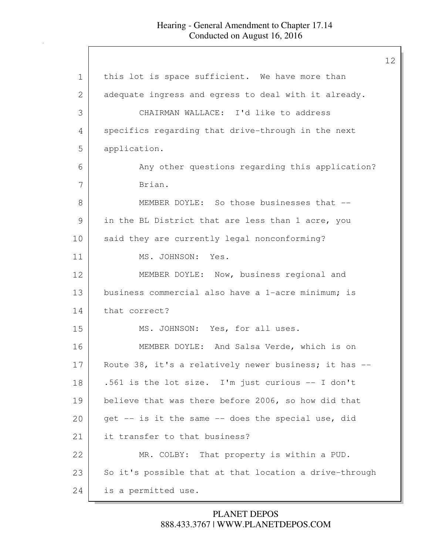| this lot is space sufficient. We have more than        |
|--------------------------------------------------------|
| adequate ingress and egress to deal with it already.   |
| CHAIRMAN WALLACE: I'd like to address                  |
| specifics regarding that drive-through in the next     |
| application.                                           |
| Any other questions regarding this application?        |
| Brian.                                                 |
| MEMBER DOYLE: So those businesses that --              |
| in the BL District that are less than 1 acre, you      |
| said they are currently legal nonconforming?           |
| MS. JOHNSON: Yes.                                      |
| MEMBER DOYLE: Now, business regional and               |
| business commercial also have a 1-acre minimum; is     |
| that correct?                                          |
| MS. JOHNSON: Yes, for all uses.                        |
| MEMBER DOYLE: And Salsa Verde, which is on             |
| Route 38, it's a relatively newer business; it has --  |
| .561 is the lot size. I'm just curious -- I don't      |
| believe that was there before 2006, so how did that    |
| qet -- is it the same -- does the special use, did     |
| it transfer to that business?                          |
| MR. COLBY: That property is within a PUD.              |
| So it's possible that at that location a drive-through |
| is a permitted use.                                    |
|                                                        |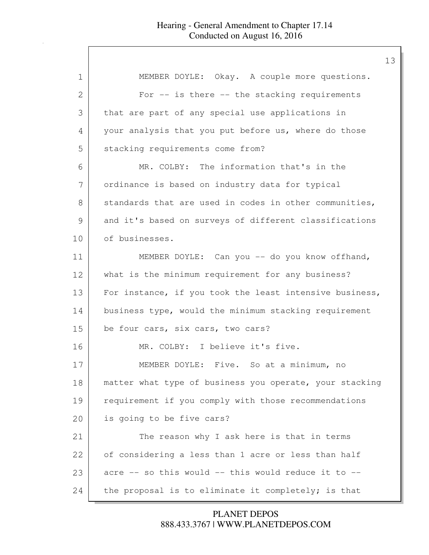| 1  | MEMBER DOYLE: Okay. A couple more questions.            |
|----|---------------------------------------------------------|
| 2  | For $--$ is there $--$ the stacking requirements        |
| 3  | that are part of any special use applications in        |
| 4  | your analysis that you put before us, where do those    |
| 5  | stacking requirements come from?                        |
| 6  | MR. COLBY: The information that's in the                |
| 7  | ordinance is based on industry data for typical         |
| 8  | standards that are used in codes in other communities,  |
| 9  | and it's based on surveys of different classifications  |
| 10 | of businesses.                                          |
| 11 | MEMBER DOYLE: Can you -- do you know offhand,           |
| 12 | what is the minimum requirement for any business?       |
| 13 | For instance, if you took the least intensive business, |
| 14 | business type, would the minimum stacking requirement   |
| 15 | be four cars, six cars, two cars?                       |
| 16 | MR. COLBY: I believe it's five.                         |
| 17 | MEMBER DOYLE: Five. So at a minimum, no                 |
| 18 | matter what type of business you operate, your stacking |
| 19 | requirement if you comply with those recommendations    |
| 20 | is going to be five cars?                               |
| 21 | The reason why I ask here is that in terms              |
| 22 | of considering a less than 1 acre or less than half     |
| 23 | acre -- so this would -- this would reduce it to --     |
| 24 | the proposal is to eliminate it completely; is that     |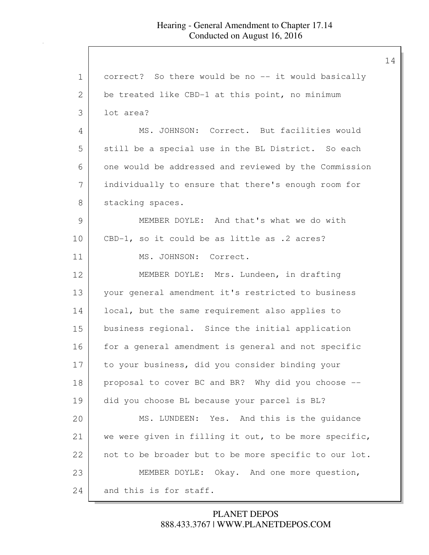1 correct? So there would be no -- it would basically 2 be treated like CBD-1 at this point, no minimum 3 lot area? 4 | MS. JOHNSON: Correct. But facilities would 5 still be a special use in the BL District. So each 6 one would be addressed and reviewed by the Commission 7 individually to ensure that there's enough room for 8 stacking spaces. 9 MEMBER DOYLE: And that's what we do with 10 CBD-1, so it could be as little as .2 acres? 11 MS. JOHNSON: Correct. 12 MEMBER DOYLE: Mrs. Lundeen, in drafting 13 your general amendment it's restricted to business 14 | local, but the same requirement also applies to 15 business regional. Since the initial application 16 for a general amendment is general and not specific 17 to your business, did you consider binding your 18 proposal to cover BC and BR? Why did you choose --19 did you choose BL because your parcel is BL? 20 MS. LUNDEEN: Yes. And this is the guidance 21 we were given in filling it out, to be more specific, 22 not to be broader but to be more specific to our lot. 23 MEMBER DOYLE: Okay. And one more question, 24 and this is for staff.

> 888.433.3767 | WWW.PLANETDEPOS.COM PLANET DEPOS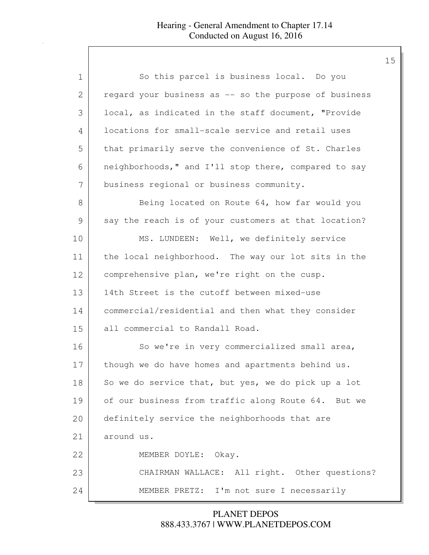| 1             | So this parcel is business local. Do you              |
|---------------|-------------------------------------------------------|
| 2             | regard your business as -- so the purpose of business |
| 3             | local, as indicated in the staff document, "Provide   |
| 4             | locations for small-scale service and retail uses     |
| 5             | that primarily serve the convenience of St. Charles   |
| 6             | neighborhoods," and I'll stop there, compared to say  |
| 7             | business regional or business community.              |
| 8             | Being located on Route 64, how far would you          |
| $\mathcal{G}$ | say the reach is of your customers at that location?  |
| 10            | MS. LUNDEEN: Well, we definitely service              |
| 11            | the local neighborhood. The way our lot sits in the   |
| 12            | comprehensive plan, we're right on the cusp.          |
| 13            | 14th Street is the cutoff between mixed-use           |
| 14            | commercial/residential and then what they consider    |
| 15            | all commercial to Randall Road.                       |
| 16            | So we're in very commercialized small area,           |
| 17            | though we do have homes and apartments behind us.     |
| 18            | So we do service that, but yes, we do pick up a lot   |
| 19            | of our business from traffic along Route 64. But we   |
| 20            | definitely service the neighborhoods that are         |
| 21            | around us.                                            |
| 22            | MEMBER DOYLE: Okay.                                   |
| 23            | CHAIRMAN WALLACE: All right. Other questions?         |
| 24            | MEMBER PRETZ: I'm not sure I necessarily              |

888.433.3767 | WWW.PLANETDEPOS.COM PLANET DEPOS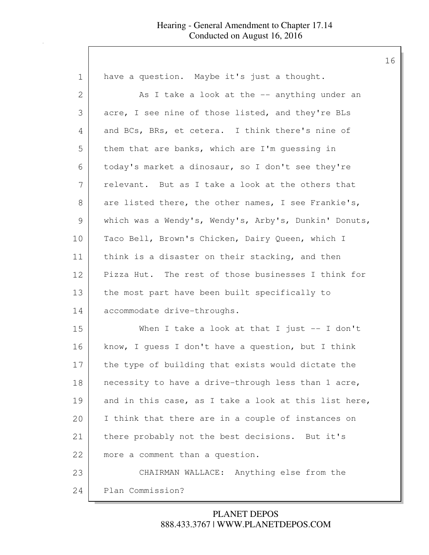| 1             | have a question. Maybe it's just a thought.           |
|---------------|-------------------------------------------------------|
| 2             | As I take a look at the -- anything under an          |
| 3             | acre, I see nine of those listed, and they're BLs     |
| 4             | and BCs, BRs, et cetera. I think there's nine of      |
| 5             | them that are banks, which are I'm guessing in        |
| 6             | today's market a dinosaur, so I don't see they're     |
| 7             | relevant. But as I take a look at the others that     |
| 8             | are listed there, the other names, I see Frankie's,   |
| $\mathcal{G}$ | which was a Wendy's, Wendy's, Arby's, Dunkin' Donuts, |
| 10            | Taco Bell, Brown's Chicken, Dairy Queen, which I      |
| 11            | think is a disaster on their stacking, and then       |
| 12            | Pizza Hut. The rest of those businesses I think for   |
| 13            | the most part have been built specifically to         |
| 14            | accommodate drive-throughs.                           |
| 15            | When I take a look at that I just -- I don't          |
| 16            | know, I guess I don't have a question, but I think    |
| 17            | the type of building that exists would dictate the    |
| 18            | necessity to have a drive-through less than 1 acre,   |
| 19            | and in this case, as I take a look at this list here, |
| 20            | I think that there are in a couple of instances on    |
| 21            | there probably not the best decisions. But it's       |
| 22            | more a comment than a question.                       |
| 23            | CHAIRMAN WALLACE: Anything else from the              |
| 24            | Plan Commission?                                      |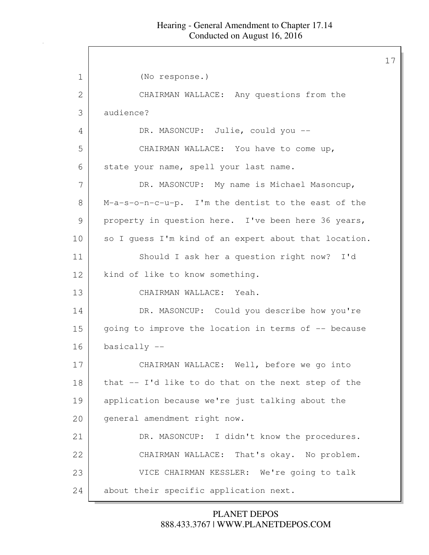| 1             | (No response.)                                        |
|---------------|-------------------------------------------------------|
| $\mathbf{2}$  | CHAIRMAN WALLACE: Any questions from the              |
| 3             | audience?                                             |
| 4             | DR. MASONCUP: Julie, could you --                     |
| 5             | CHAIRMAN WALLACE: You have to come up,                |
| 6             | state your name, spell your last name.                |
| 7             | DR. MASONCUP: My name is Michael Masoncup,            |
| 8             | M-a-s-o-n-c-u-p. I'm the dentist to the east of the   |
| $\mathcal{G}$ | property in question here. I've been here 36 years,   |
| 10            | so I guess I'm kind of an expert about that location. |
| 11            | Should I ask her a question right now? I'd            |
| 12            | kind of like to know something.                       |
| 13            | CHAIRMAN WALLACE: Yeah.                               |
| 14            | DR. MASONCUP: Could you describe how you're           |
| 15            | going to improve the location in terms of -- because  |
| 16            | $basically --$                                        |
| 17            | CHAIRMAN WALLACE: Well, before we go into             |
| 18            | that -- I'd like to do that on the next step of the   |
| 19            | application because we're just talking about the      |
| 20            | general amendment right now.                          |
| 21            | DR. MASONCUP: I didn't know the procedures.           |
| 22            | CHAIRMAN WALLACE: That's okay. No problem.            |
| 23            | VICE CHAIRMAN KESSLER: We're going to talk            |
| 24            | about their specific application next.                |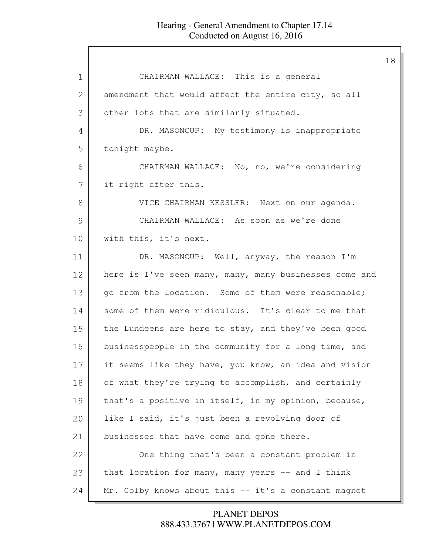| 1            | CHAIRMAN WALLACE: This is a general                    |
|--------------|--------------------------------------------------------|
| $\mathbf{2}$ | amendment that would affect the entire city, so all    |
| 3            | other lots that are similarly situated.                |
| 4            | DR. MASONCUP: My testimony is inappropriate            |
| 5            | tonight maybe.                                         |
| 6            | CHAIRMAN WALLACE: No, no, we're considering            |
| 7            | it right after this.                                   |
| 8            | VICE CHAIRMAN KESSLER: Next on our agenda.             |
| 9            | CHAIRMAN WALLACE: As soon as we're done                |
| 10           | with this, it's next.                                  |
| 11           | DR. MASONCUP: Well, anyway, the reason I'm             |
| 12           | here is I've seen many, many, many businesses come and |
| 13           | go from the location. Some of them were reasonable;    |
| 14           | some of them were ridiculous. It's clear to me that    |
| 15           | the Lundeens are here to stay, and they've been good   |
| 16           | businesspeople in the community for a long time, and   |
| 17           | it seems like they have, you know, an idea and vision  |
| 18           | of what they're trying to accomplish, and certainly    |
| 19           | that's a positive in itself, in my opinion, because,   |
| 20           | like I said, it's just been a revolving door of        |
| 21           | businesses that have come and gone there.              |
| 22           | One thing that's been a constant problem in            |
| 23           | that location for many, many years -- and I think      |
| 24           | Mr. Colby knows about this -- it's a constant magnet   |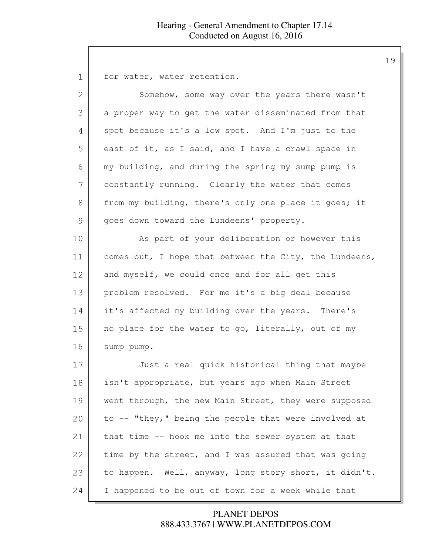1 for water, water retention.

| $\overline{2}$ | Somehow, some way over the years there wasn't          |
|----------------|--------------------------------------------------------|
| 3              | a proper way to get the water disseminated from that   |
| 4              | spot because it's a low spot. And I'm just to the      |
|                |                                                        |
| 5              | east of it, as I said, and I have a crawl space in     |
| 6              | my building, and during the spring my sump pump is     |
| 7              | constantly running. Clearly the water that comes       |
| 8              | from my building, there's only one place it goes; it   |
| 9              | goes down toward the Lundeens' property.               |
| 10             | As part of your deliberation or however this           |
| 11             | comes out, I hope that between the City, the Lundeens, |
| 12             | and myself, we could once and for all get this         |
| 13             | problem resolved. For me it's a big deal because       |
| 14             | it's affected my building over the years. There's      |
| 15             | no place for the water to go, literally, out of my     |
| 16             | sump pump.                                             |
| 17             | Just a real quick historical thing that maybe          |
| 18             | isn't appropriate, but years ago when Main Street      |
| 19             | went through, the new Main Street, they were supposed  |
| 20             | to -- "they," being the people that were involved at   |
| 21             | that time -- hook me into the sewer system at that     |
| 22             | time by the street, and I was assured that was going   |
| 23             | to happen. Well, anyway, long story short, it didn't.  |
| 24             | I happened to be out of town for a week while that     |

## 888.433.3767 | WWW.PLANETDEPOS.COM PLANET DEPOS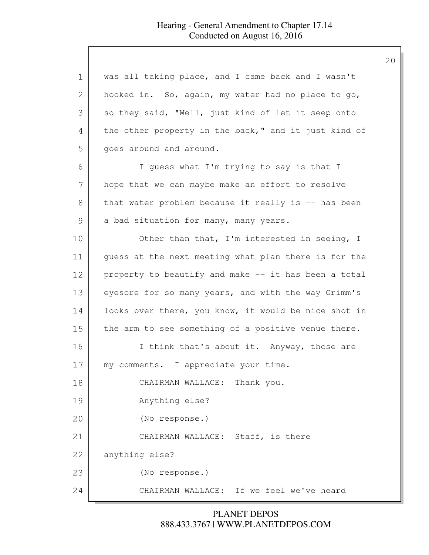| 1  | was all taking place, and I came back and I wasn't   |
|----|------------------------------------------------------|
| 2  | hooked in. So, again, my water had no place to go,   |
| 3  | so they said, "Well, just kind of let it seep onto   |
| 4  | the other property in the back," and it just kind of |
| 5  | goes around and around.                              |
| 6  | I guess what I'm trying to say is that I             |
| 7  | hope that we can maybe make an effort to resolve     |
| 8  | that water problem because it really is -- has been  |
| 9  | a bad situation for many, many years.                |
| 10 | Other than that, I'm interested in seeing, I         |
| 11 | guess at the next meeting what plan there is for the |
| 12 | property to beautify and make -- it has been a total |
| 13 | eyesore for so many years, and with the way Grimm's  |
| 14 | looks over there, you know, it would be nice shot in |
| 15 | the arm to see something of a positive venue there.  |
| 16 | I think that's about it. Anyway, those are           |
| 17 | my comments. I appreciate your time.                 |
| 18 | CHAIRMAN WALLACE: Thank you.                         |
| 19 | Anything else?                                       |
| 20 | (No response.)                                       |
| 21 | CHAIRMAN WALLACE: Staff, is there                    |
| 22 | anything else?                                       |
| 23 | (No response.)                                       |
| 24 | CHAIRMAN WALLACE: If we feel we've heard             |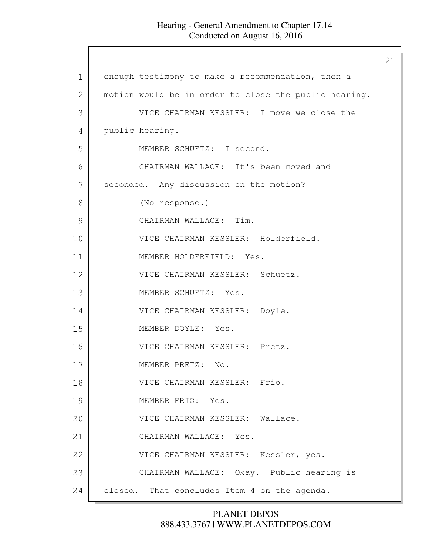|             |                                                       | 21 |
|-------------|-------------------------------------------------------|----|
| $\mathbf 1$ | enough testimony to make a recommendation, then a     |    |
| 2           | motion would be in order to close the public hearing. |    |
| 3           | VICE CHAIRMAN KESSLER: I move we close the            |    |
| 4           | public hearing.                                       |    |
| 5           | MEMBER SCHUETZ: I second.                             |    |
| 6           | CHAIRMAN WALLACE: It's been moved and                 |    |
| 7           | seconded. Any discussion on the motion?               |    |
| 8           | (No response.)                                        |    |
| 9           | CHAIRMAN WALLACE: Tim.                                |    |
| 10          | VICE CHAIRMAN KESSLER: Holderfield.                   |    |
| 11          | MEMBER HOLDERFIELD: Yes.                              |    |
| 12          | VICE CHAIRMAN KESSLER: Schuetz.                       |    |
| 13          | MEMBER SCHUETZ: Yes.                                  |    |
| 14          | VICE CHAIRMAN KESSLER: Doyle.                         |    |
| 15          | MEMBER DOYLE: Yes.                                    |    |
| 16          | VICE CHAIRMAN KESSLER: Pretz.                         |    |
| 17          | MEMBER PRETZ:<br>No.                                  |    |
| 18          | VICE CHAIRMAN KESSLER: Frio.                          |    |
| 19          | MEMBER FRIO: Yes.                                     |    |
| 20          | VICE CHAIRMAN KESSLER: Wallace.                       |    |
| 21          | CHAIRMAN WALLACE: Yes.                                |    |
| 22          | VICE CHAIRMAN KESSLER: Kessler, yes.                  |    |
| 23          | CHAIRMAN WALLACE: Okay. Public hearing is             |    |
| 24          | closed. That concludes Item 4 on the agenda.          |    |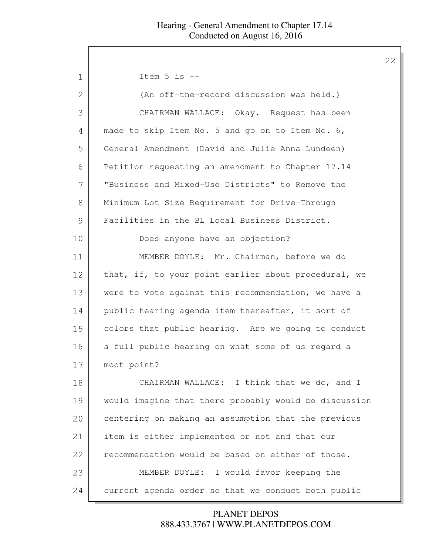1 Item 5 is --2 (An off-the-record discussion was held.) 3 CHAIRMAN WALLACE: Okay. Request has been 4 made to skip Item No. 5 and go on to Item No. 6, 5 General Amendment (David and Julie Anna Lundeen) 6 Petition requesting an amendment to Chapter 17.14 7 "Business and Mixed-Use Districts" to Remove the 8 | Minimum Lot Size Requirement for Drive-Through 9 Facilities in the BL Local Business District. 10 Does anyone have an objection? 11 MEMBER DOYLE: Mr. Chairman, before we do 12 that, if, to your point earlier about procedural, we 13 were to vote against this recommendation, we have a 14 public hearing agenda item thereafter, it sort of 15 colors that public hearing. Are we going to conduct 16 a full public hearing on what some of us regard a 17 moot point? 18 CHAIRMAN WALLACE: I think that we do, and I 19 would imagine that there probably would be discussion 20 centering on making an assumption that the previous 21 item is either implemented or not and that our 22 recommendation would be based on either of those. 23 MEMBER DOYLE: I would favor keeping the 24 current agenda order so that we conduct both public

> 888.433.3767 | WWW.PLANETDEPOS.COM PLANET DEPOS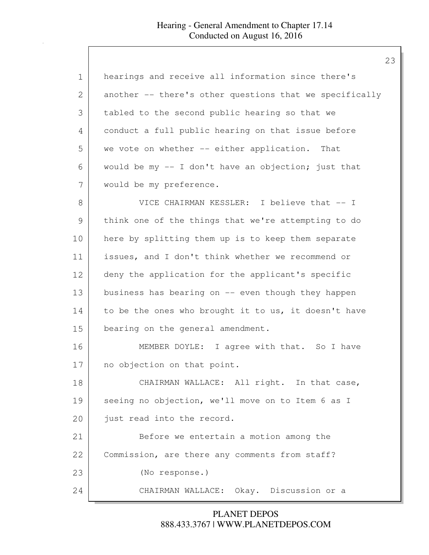| 1             | hearings and receive all information since there's      |
|---------------|---------------------------------------------------------|
| 2             | another -- there's other questions that we specifically |
| 3             | tabled to the second public hearing so that we          |
| 4             | conduct a full public hearing on that issue before      |
| 5             | we vote on whether -- either application. That          |
| 6             | would be my -- I don't have an objection; just that     |
| 7             | would be my preference.                                 |
| 8             | VICE CHAIRMAN KESSLER: I believe that -- I              |
| $\mathcal{G}$ | think one of the things that we're attempting to do     |
| 10            | here by splitting them up is to keep them separate      |
| 11            | issues, and I don't think whether we recommend or       |
| 12            | deny the application for the applicant's specific       |
| 13            | business has bearing on -- even though they happen      |
| 14            | to be the ones who brought it to us, it doesn't have    |
| 15            | bearing on the general amendment.                       |
| 16            | MEMBER DOYLE: I agree with that. So I have              |
| 17            | no objection on that point.                             |
| 18            | CHAIRMAN WALLACE: All right. In that case,              |
| 19            | seeing no objection, we'll move on to Item 6 as I       |
| 20            | just read into the record.                              |
| 21            | Before we entertain a motion among the                  |
| 22            | Commission, are there any comments from staff?          |
| 23            | (No response.)                                          |
| 24            | CHAIRMAN WALLACE: Okay. Discussion or a                 |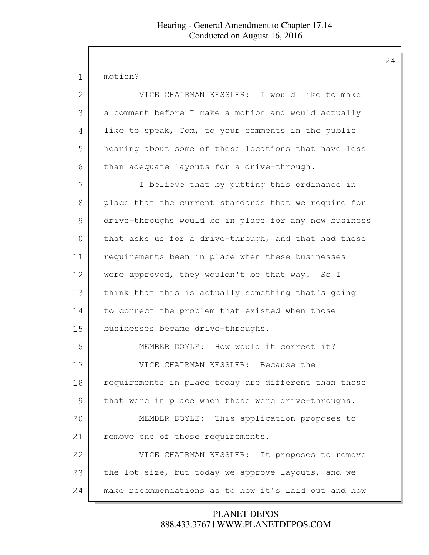motion?

| 2  | VICE CHAIRMAN KESSLER: I would like to make           |
|----|-------------------------------------------------------|
| 3  | a comment before I make a motion and would actually   |
| 4  | like to speak, Tom, to your comments in the public    |
| 5  | hearing about some of these locations that have less  |
| 6  | than adequate layouts for a drive-through.            |
| 7  | I believe that by putting this ordinance in           |
| 8  | place that the current standards that we require for  |
| 9  | drive-throughs would be in place for any new business |
| 10 | that asks us for a drive-through, and that had these  |
| 11 | requirements been in place when these businesses      |
| 12 | were approved, they wouldn't be that way. So I        |
| 13 | think that this is actually something that's going    |
| 14 | to correct the problem that existed when those        |
| 15 | businesses became drive-throughs.                     |
| 16 | MEMBER DOYLE: How would it correct it?                |
| 17 | VICE CHAIRMAN KESSLER: Because the                    |
| 18 | requirements in place today are different than those  |
| 19 | that were in place when those were drive-throughs.    |
| 20 | MEMBER DOYLE: This application proposes to            |
| 21 | remove one of those requirements.                     |
| 22 | VICE CHAIRMAN KESSLER: It proposes to remove          |
| 23 | the lot size, but today we approve layouts, and we    |
| 24 | make recommendations as to how it's laid out and how  |

888.433.3767 | WWW.PLANETDEPOS.COM PLANET DEPOS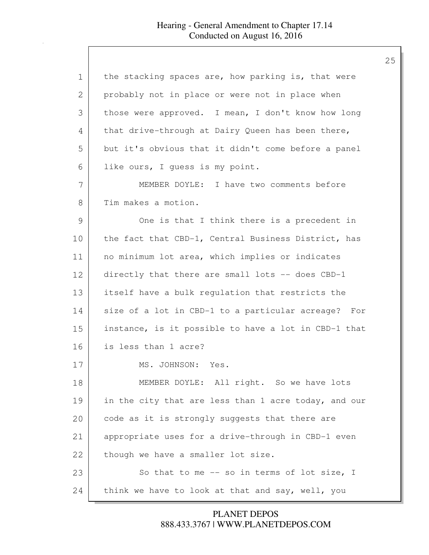| 1  | the stacking spaces are, how parking is, that were   |
|----|------------------------------------------------------|
| 2  | probably not in place or were not in place when      |
| 3  | those were approved. I mean, I don't know how long   |
| 4  | that drive-through at Dairy Queen has been there,    |
| 5  | but it's obvious that it didn't come before a panel  |
| 6  | like ours, I guess is my point.                      |
| 7  | MEMBER DOYLE: I have two comments before             |
| 8  | Tim makes a motion.                                  |
| 9  | One is that I think there is a precedent in          |
| 10 | the fact that CBD-1, Central Business District, has  |
| 11 | no minimum lot area, which implies or indicates      |
| 12 | directly that there are small lots -- does CBD-1     |
| 13 | itself have a bulk regulation that restricts the     |
| 14 | size of a lot in CBD-1 to a particular acreage? For  |
| 15 | instance, is it possible to have a lot in CBD-1 that |
| 16 | is less than 1 acre?                                 |
| 17 | MS. JOHNSON: Yes.                                    |
| 18 | MEMBER DOYLE: All right. So we have lots             |
| 19 | in the city that are less than 1 acre today, and our |
| 20 | code as it is strongly suggests that there are       |
| 21 | appropriate uses for a drive-through in CBD-1 even   |
| 22 | though we have a smaller lot size.                   |
| 23 | So that to me -- so in terms of lot size, I          |
| 24 | think we have to look at that and say, well, you     |

888.433.3767 | WWW.PLANETDEPOS.COM PLANET DEPOS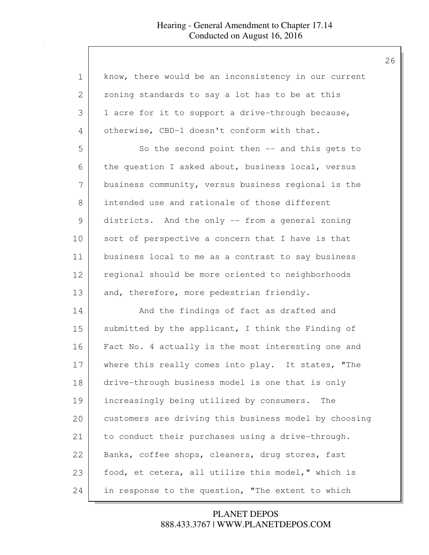| $\mathbf 1$   | know, there would be an inconsistency in our current  |
|---------------|-------------------------------------------------------|
| 2             | zoning standards to say a lot has to be at this       |
| 3             | 1 acre for it to support a drive-through because,     |
| 4             | otherwise, CBD-1 doesn't conform with that.           |
| 5             | So the second point then -- and this gets to          |
| 6             | the question I asked about, business local, versus    |
| 7             | business community, versus business regional is the   |
| 8             | intended use and rationale of those different         |
| $\mathcal{G}$ | districts. And the only -- from a general zoning      |
| 10            | sort of perspective a concern that I have is that     |
| 11            | business local to me as a contrast to say business    |
| 12            | regional should be more oriented to neighborhoods     |
| 13            | and, therefore, more pedestrian friendly.             |
| 14            | And the findings of fact as drafted and               |
| 15            | submitted by the applicant, I think the Finding of    |
| 16            | Fact No. 4 actually is the most interesting one and   |
| 17            | where this really comes into play. It states, "The    |
| 18            | drive-through business model is one that is only      |
| 19            | increasingly being utilized by consumers.<br>The      |
| 20            | customers are driving this business model by choosing |
| 21            | to conduct their purchases using a drive-through.     |
| 22            | Banks, coffee shops, cleaners, drug stores, fast      |
| 23            | food, et cetera, all utilize this model," which is    |
| 24            | in response to the question, "The extent to which     |

888.433.3767 | WWW.PLANETDEPOS.COM PLANET DEPOS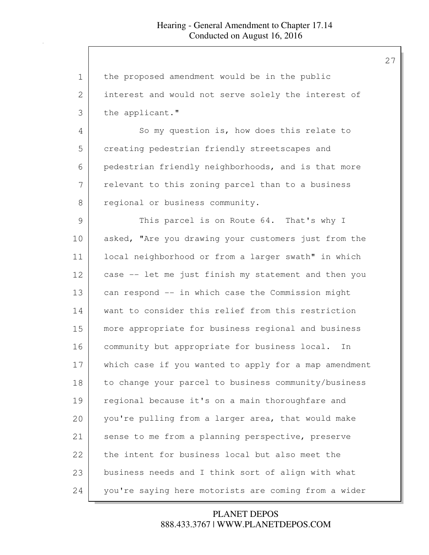| $\mathbf 1$ | the proposed amendment would be in the public         |
|-------------|-------------------------------------------------------|
| 2           | interest and would not serve solely the interest of   |
| 3           | the applicant."                                       |
| 4           | So my question is, how does this relate to            |
| 5           | creating pedestrian friendly streetscapes and         |
| 6           | pedestrian friendly neighborhoods, and is that more   |
| 7           | relevant to this zoning parcel than to a business     |
| $8\,$       | regional or business community.                       |
| 9           | This parcel is on Route 64. That's why I              |
| 10          | asked, "Are you drawing your customers just from the  |
| 11          | local neighborhood or from a larger swath" in which   |
| 12          | case -- let me just finish my statement and then you  |
| 13          | can respond -- in which case the Commission might     |
| 14          | want to consider this relief from this restriction    |
| 15          | more appropriate for business regional and business   |
| 16          | community but appropriate for business local. In      |
| 17          | which case if you wanted to apply for a map amendment |
| 18          | to change your parcel to business community/business  |
| 19          | regional because it's on a main thoroughfare and      |
| 20          | you're pulling from a larger area, that would make    |
| 21          | sense to me from a planning perspective, preserve     |
| 22          | the intent for business local but also meet the       |
| 23          | business needs and I think sort of align with what    |
| 24          | you're saying here motorists are coming from a wider  |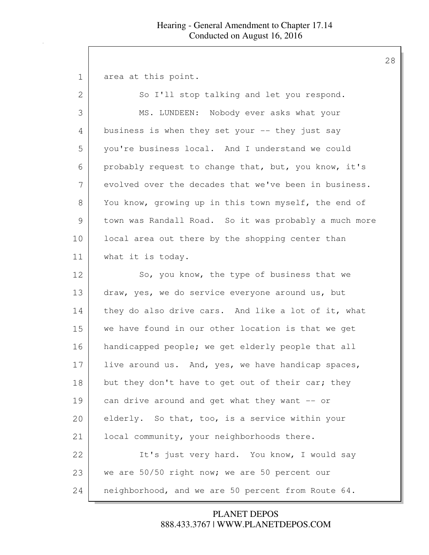| $\mathbf 1$   | area at this point.                                   |
|---------------|-------------------------------------------------------|
| $\mathbf{2}$  | So I'll stop talking and let you respond.             |
| 3             | MS. LUNDEEN: Nobody ever asks what your               |
| 4             | business is when they set your -- they just say       |
| 5             | you're business local. And I understand we could      |
| 6             | probably request to change that, but, you know, it's  |
| 7             | evolved over the decades that we've been in business. |
| 8             | You know, growing up in this town myself, the end of  |
| $\mathcal{G}$ | town was Randall Road. So it was probably a much more |
| 10            | local area out there by the shopping center than      |
| 11            | what it is today.                                     |
| 12            | So, you know, the type of business that we            |
| 13            | draw, yes, we do service everyone around us, but      |
| 14            | they do also drive cars. And like a lot of it, what   |
| 15            | we have found in our other location is that we get    |
| 16            | handicapped people; we get elderly people that all    |
| 17            | live around us. And, yes, we have handicap spaces,    |
| 18            | but they don't have to get out of their car; they     |
| 19            | can drive around and get what they want -- or         |
| 20            | elderly. So that, too, is a service within your       |
| 21            | local community, your neighborhoods there.            |
| 22            | It's just very hard. You know, I would say            |
| 23            | we are 50/50 right now; we are 50 percent our         |
| 24            | neighborhood, and we are 50 percent from Route 64.    |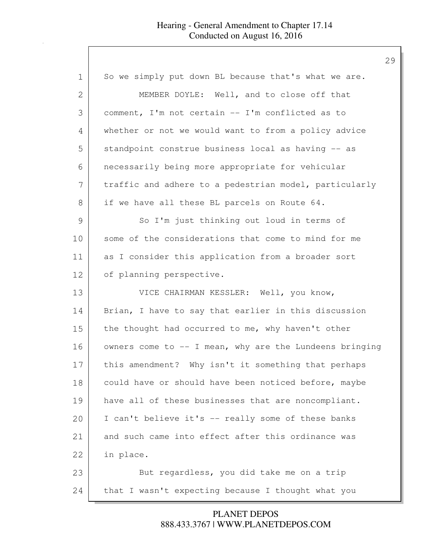| $\mathbf 1$   | So we simply put down BL because that's what we are.      |
|---------------|-----------------------------------------------------------|
| 2             | MEMBER DOYLE: Well, and to close off that                 |
| 3             | comment, I'm not certain -- I'm conflicted as to          |
| 4             | whether or not we would want to from a policy advice      |
| 5             | standpoint construe business local as having -- as        |
| 6             | necessarily being more appropriate for vehicular          |
| 7             | traffic and adhere to a pedestrian model, particularly    |
| 8             | if we have all these BL parcels on Route 64.              |
| $\mathcal{G}$ | So I'm just thinking out loud in terms of                 |
| 10            | some of the considerations that come to mind for me       |
| 11            | as I consider this application from a broader sort        |
| 12            | of planning perspective.                                  |
| 13            | VICE CHAIRMAN KESSLER: Well, you know,                    |
| 14            | Brian, I have to say that earlier in this discussion      |
| 15            | the thought had occurred to me, why haven't other         |
| 16            | owners come to $--$ I mean, why are the Lundeens bringing |
| 17            | this amendment? Why isn't it something that perhaps       |
| 18            | could have or should have been noticed before, maybe      |
| 19            | have all of these businesses that are noncompliant.       |
| 20            | I can't believe it's -- really some of these banks        |
| 21            | and such came into effect after this ordinance was        |
| 22            | in place.                                                 |
| 23            | But regardless, you did take me on a trip                 |
| 24            | that I wasn't expecting because I thought what you        |

888.433.3767 | WWW.PLANETDEPOS.COM PLANET DEPOS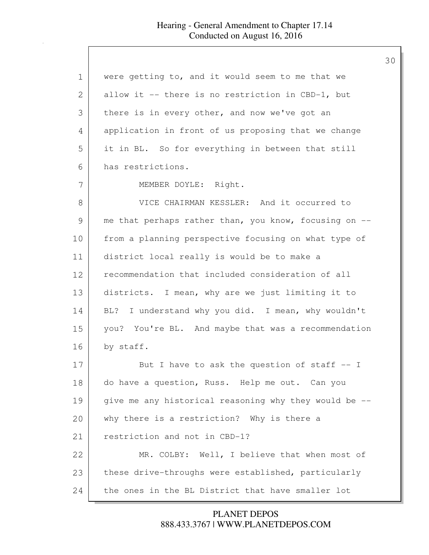| 1  | were getting to, and it would seem to me that we      |
|----|-------------------------------------------------------|
| 2  | allow it -- there is no restriction in CBD-1, but     |
| 3  | there is in every other, and now we've got an         |
| 4  | application in front of us proposing that we change   |
| 5  | it in BL. So for everything in between that still     |
| 6  | has restrictions.                                     |
| 7  | MEMBER DOYLE: Right.                                  |
| 8  | VICE CHAIRMAN KESSLER: And it occurred to             |
| 9  | me that perhaps rather than, you know, focusing on -- |
| 10 | from a planning perspective focusing on what type of  |
| 11 | district local really is would be to make a           |
| 12 | recommendation that included consideration of all     |
| 13 | districts. I mean, why are we just limiting it to     |
| 14 | I understand why you did. I mean, why wouldn't<br>BL? |
| 15 | you? You're BL. And maybe that was a recommendation   |
| 16 | by staff.                                             |
| 17 | But I have to ask the question of staff $-$ I         |
| 18 | do have a question, Russ. Help me out. Can you        |
| 19 | give me any historical reasoning why they would be -- |
| 20 | why there is a restriction? Why is there a            |
| 21 | restriction and not in CBD-1?                         |
| 22 | MR. COLBY: Well, I believe that when most of          |
| 23 | these drive-throughs were established, particularly   |
| 24 | the ones in the BL District that have smaller lot     |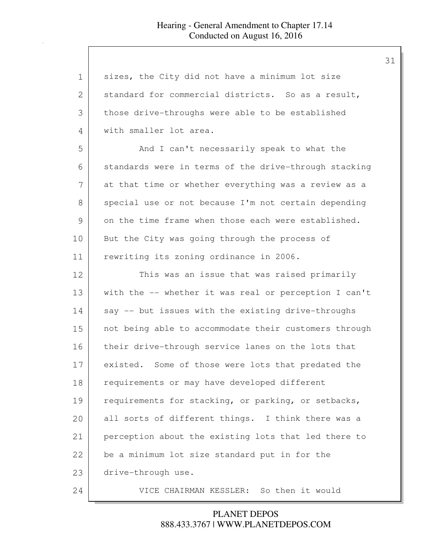| $\mathbf 1$    | sizes, the City did not have a minimum lot size       |
|----------------|-------------------------------------------------------|
| $\overline{2}$ | standard for commercial districts. So as a result,    |
| 3              | those drive-throughs were able to be established      |
| 4              | with smaller lot area.                                |
| 5              | And I can't necessarily speak to what the             |
| 6              | standards were in terms of the drive-through stacking |
| 7              | at that time or whether everything was a review as a  |
| 8              | special use or not because I'm not certain depending  |
| 9              | on the time frame when those each were established.   |
| 10             | But the City was going through the process of         |
| 11             | rewriting its zoning ordinance in 2006.               |
| 12             | This was an issue that was raised primarily           |
| 13             | with the -- whether it was real or perception I can't |
| 14             | say -- but issues with the existing drive-throughs    |
| 15             | not being able to accommodate their customers through |
| 16             | their drive-through service lanes on the lots that    |
| 17             | existed. Some of those were lots that predated the    |
| 18             | requirements or may have developed different          |
| 19             | requirements for stacking, or parking, or setbacks,   |
| 20             | all sorts of different things. I think there was a    |
| 21             | perception about the existing lots that led there to  |
| 22             | be a minimum lot size standard put in for the         |
| 23             | drive-through use.                                    |
| 24             | VICE CHAIRMAN KESSLER: So then it would               |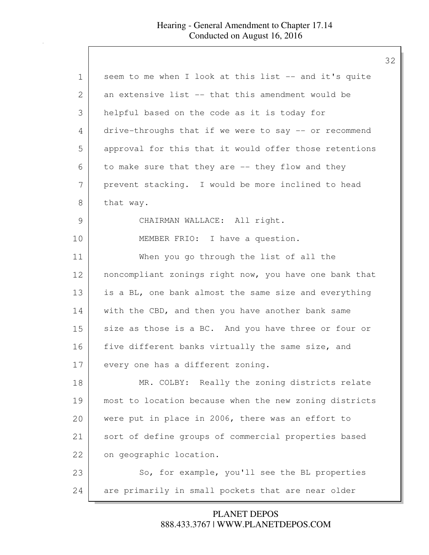## Hearing - General Amendment to Chapter 17.14 Conducted on August 16, 2016

| seem to me when I look at this list -- and it's quite  |
|--------------------------------------------------------|
| an extensive list -- that this amendment would be      |
| helpful based on the code as it is today for           |
| drive-throughs that if we were to say -- or recommend  |
| approval for this that it would offer those retentions |
| to make sure that they are -- they flow and they       |
| prevent stacking. I would be more inclined to head     |
| that way.                                              |
| CHAIRMAN WALLACE: All right.                           |
| MEMBER FRIO: I have a question.                        |
| When you go through the list of all the                |
| noncompliant zonings right now, you have one bank that |
| is a BL, one bank almost the same size and everything  |
| with the CBD, and then you have another bank same      |
| size as those is a BC. And you have three or four or   |
| five different banks virtually the same size, and      |
| every one has a different zoning.                      |
| MR. COLBY: Really the zoning districts relate          |
| most to location because when the new zoning districts |
| were put in place in 2006, there was an effort to      |
| sort of define groups of commercial properties based   |
| on geographic location.                                |
| So, for example, you'll see the BL properties          |
| are primarily in small pockets that are near older     |
|                                                        |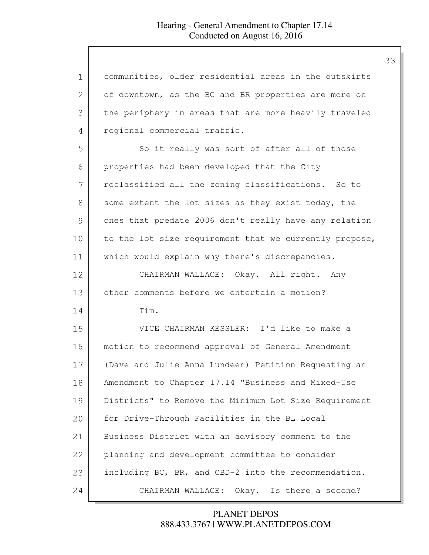| $\mathbf 1$   | communities, older residential areas in the outskirts  |
|---------------|--------------------------------------------------------|
| 2             | of downtown, as the BC and BR properties are more on   |
| 3             | the periphery in areas that are more heavily traveled  |
| 4             | regional commercial traffic.                           |
| 5             | So it really was sort of after all of those            |
| 6             | properties had been developed that the City            |
| 7             | reclassified all the zoning classifications. So to     |
| 8             | some extent the lot sizes as they exist today, the     |
| $\mathcal{G}$ | ones that predate 2006 don't really have any relation  |
| 10            | to the lot size requirement that we currently propose, |
| 11            | which would explain why there's discrepancies.         |
| 12            | CHAIRMAN WALLACE: Okay. All right. Any                 |
| 13            | other comments before we entertain a motion?           |
| 14            | Tim.                                                   |
| 15            | VICE CHAIRMAN KESSLER: I'd like to make a              |
| 16            | motion to recommend approval of General Amendment      |
| 17            | (Dave and Julie Anna Lundeen) Petition Requesting an   |
| 18            | Amendment to Chapter 17.14 "Business and Mixed-Use     |
| 19            | Districts" to Remove the Minimum Lot Size Requirement  |
| 20            | for Drive-Through Facilities in the BL Local           |
| 21            | Business District with an advisory comment to the      |
| 22            | planning and development committee to consider         |
| 23            | including BC, BR, and CBD-2 into the recommendation.   |
| 24            | CHAIRMAN WALLACE:<br>Okay. Is there a second?          |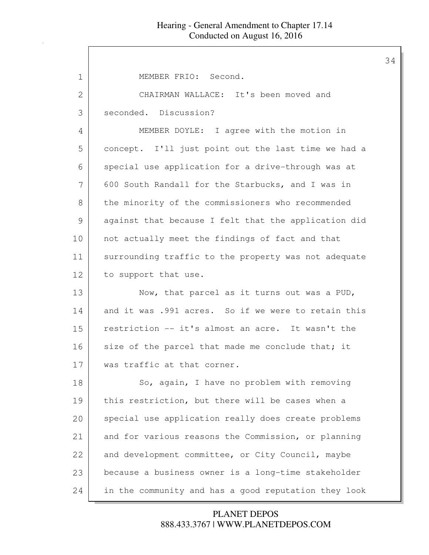| $\mathbf 1$   | MEMBER FRIO: Second.                                 |
|---------------|------------------------------------------------------|
| $\mathbf{2}$  | CHAIRMAN WALLACE: It's been moved and                |
| 3             | seconded. Discussion?                                |
| 4             | MEMBER DOYLE: I agree with the motion in             |
| 5             | concept. I'll just point out the last time we had a  |
| 6             | special use application for a drive-through was at   |
| 7             | 600 South Randall for the Starbucks, and I was in    |
| 8             | the minority of the commissioners who recommended    |
| $\mathcal{G}$ | against that because I felt that the application did |
| 10            | not actually meet the findings of fact and that      |
| 11            | surrounding traffic to the property was not adequate |
| 12            | to support that use.                                 |
| 13            | Now, that parcel as it turns out was a PUD,          |
| 14            | and it was .991 acres. So if we were to retain this  |
| 15            | restriction -- it's almost an acre. It wasn't the    |
| 16            | size of the parcel that made me conclude that; it    |
| 17            | was traffic at that corner.                          |
| 18            | So, again, I have no problem with removing           |
| 19            | this restriction, but there will be cases when a     |
| 20            | special use application really does create problems  |
| 21            | and for various reasons the Commission, or planning  |
| 22            | and development committee, or City Council, maybe    |
| 23            | because a business owner is a long-time stakeholder  |
| 24            | in the community and has a good reputation they look |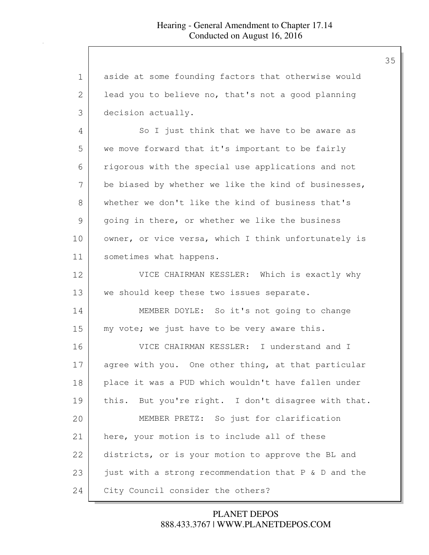| $\mathbf 1$ | aside at some founding factors that otherwise would  |
|-------------|------------------------------------------------------|
| 2           | lead you to believe no, that's not a good planning   |
| 3           | decision actually.                                   |
| 4           | So I just think that we have to be aware as          |
| 5           | we move forward that it's important to be fairly     |
| 6           | rigorous with the special use applications and not   |
| 7           | be biased by whether we like the kind of businesses, |
| 8           | whether we don't like the kind of business that's    |
| 9           | going in there, or whether we like the business      |
| 10          | owner, or vice versa, which I think unfortunately is |
| 11          | sometimes what happens.                              |
| 12          | VICE CHAIRMAN KESSLER: Which is exactly why          |
| 13          | we should keep these two issues separate.            |
| 14          | MEMBER DOYLE: So it's not going to change            |
| 15          | my vote; we just have to be very aware this.         |
| 16          | VICE CHAIRMAN KESSLER: I understand and I            |
| 17          | agree with you. One other thing, at that particular  |
| 18          | place it was a PUD which wouldn't have fallen under  |
| 19          | this. But you're right. I don't disagree with that.  |
| 20          | MEMBER PRETZ: So just for clarification              |
| 21          | here, your motion is to include all of these         |
| 22          | districts, or is your motion to approve the BL and   |
| 23          | just with a strong recommendation that P & D and the |
| 24          | City Council consider the others?                    |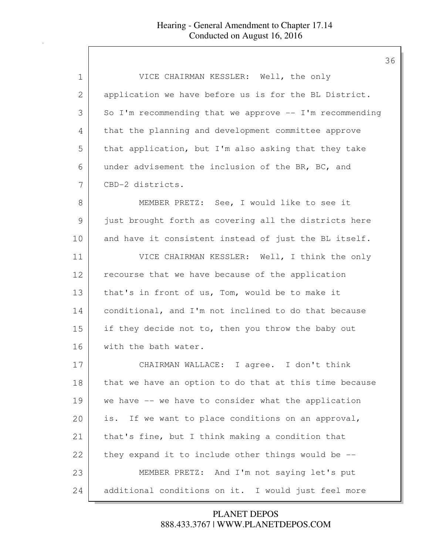| $\mathbf 1$ | VICE CHAIRMAN KESSLER: Well, the only                     |
|-------------|-----------------------------------------------------------|
| 2           | application we have before us is for the BL District.     |
| 3           | So I'm recommending that we approve $--$ I'm recommending |
| 4           | that the planning and development committee approve       |
| 5           | that application, but I'm also asking that they take      |
| 6           | under advisement the inclusion of the BR, BC, and         |
| 7           | CBD-2 districts.                                          |
| 8           | MEMBER PRETZ: See, I would like to see it                 |
| 9           | just brought forth as covering all the districts here     |
| 10          | and have it consistent instead of just the BL itself.     |
| 11          | VICE CHAIRMAN KESSLER: Well, I think the only             |
| 12          | recourse that we have because of the application          |
| 13          | that's in front of us, Tom, would be to make it           |
| 14          | conditional, and I'm not inclined to do that because      |
| 15          | if they decide not to, then you throw the baby out        |
| 16          | with the bath water.                                      |
| 17          | CHAIRMAN WALLACE: I agree. I don't think                  |
| 18          | that we have an option to do that at this time because    |
| 19          | we have -- we have to consider what the application       |
| 20          | is. If we want to place conditions on an approval,        |
| 21          | that's fine, but I think making a condition that          |
| 22          | they expand it to include other things would be --        |
| 23          | MEMBER PRETZ: And I'm not saying let's put                |
| 24          | additional conditions on it. I would just feel more       |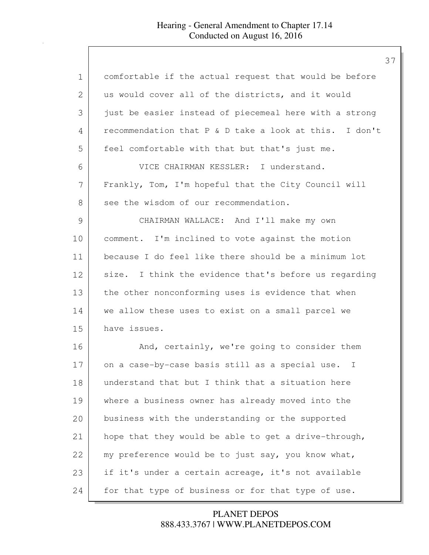## Hearing - General Amendment to Chapter 17.14 Conducted on August 16, 2016

| 1             | comfortable if the actual request that would be before     |
|---------------|------------------------------------------------------------|
| 2             | us would cover all of the districts, and it would          |
| 3             | just be easier instead of piecemeal here with a strong     |
| 4             | recommendation that P & D take a look at this. I don't     |
| 5             | feel comfortable with that but that's just me.             |
| 6             | VICE CHAIRMAN KESSLER: I understand.                       |
| 7             | Frankly, Tom, I'm hopeful that the City Council will       |
| 8             | see the wisdom of our recommendation.                      |
| $\mathcal{G}$ | CHAIRMAN WALLACE: And I'll make my own                     |
| 10            | comment. I'm inclined to vote against the motion           |
| 11            | because I do feel like there should be a minimum lot       |
| 12            | size. I think the evidence that's before us regarding      |
| 13            | the other nonconforming uses is evidence that when         |
| 14            | we allow these uses to exist on a small parcel we          |
| 15            | have issues.                                               |
| 16            | And, certainly, we're going to consider them               |
| 17            | on a case-by-case basis still as a special use.<br>$\perp$ |
| 18            | understand that but I think that a situation here          |
| 19            | where a business owner has already moved into the          |
| 20            | business with the understanding or the supported           |
| 21            | hope that they would be able to get a drive-through,       |
| 22            | my preference would be to just say, you know what,         |
| 23            | if it's under a certain acreage, it's not available        |
| 24            | for that type of business or for that type of use.         |

888.433.3767 | WWW.PLANETDEPOS.COM PLANET DEPOS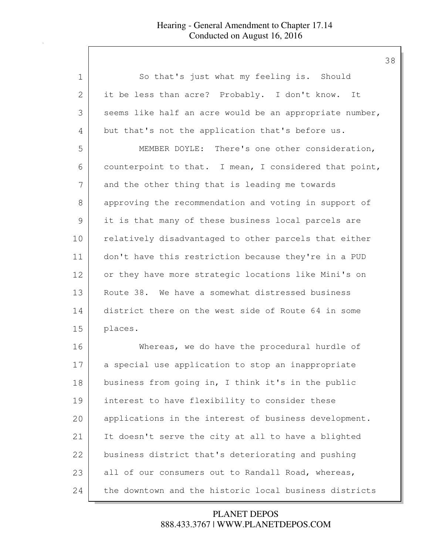| $\mathbf 1$ | So that's just what my feeling is. Should               |
|-------------|---------------------------------------------------------|
| 2           | it be less than acre? Probably. I don't know. It        |
| 3           | seems like half an acre would be an appropriate number, |
| 4           | but that's not the application that's before us.        |
| 5           | MEMBER DOYLE: There's one other consideration,          |
| 6           | counterpoint to that. I mean, I considered that point,  |
| 7           | and the other thing that is leading me towards          |
| 8           | approving the recommendation and voting in support of   |
| 9           | it is that many of these business local parcels are     |
| 10          | relatively disadvantaged to other parcels that either   |
| 11          | don't have this restriction because they're in a PUD    |
| 12          | or they have more strategic locations like Mini's on    |
| 13          | Route 38. We have a somewhat distressed business        |
| 14          | district there on the west side of Route 64 in some     |
| 15          | places.                                                 |
| 16          | Whereas, we do have the procedural hurdle of            |
| 17          | a special use application to stop an inappropriate      |
| 18          | business from going in, I think it's in the public      |
| 19          | interest to have flexibility to consider these          |
| 20          | applications in the interest of business development.   |
| 21          | It doesn't serve the city at all to have a blighted     |
| 22          | business district that's deteriorating and pushing      |
| 23          | all of our consumers out to Randall Road, whereas,      |
| 24          | the downtown and the historic local business districts  |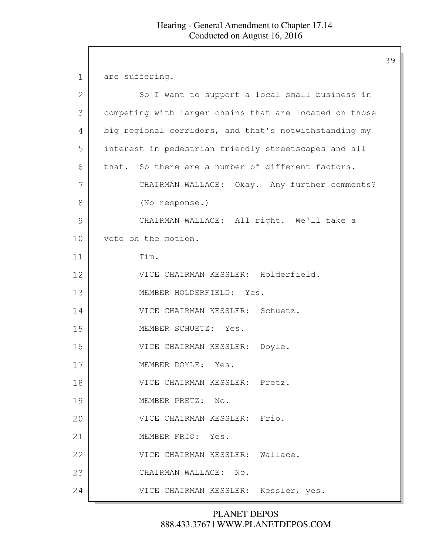1 are suffering.

| 2  | So I want to support a local small business in         |
|----|--------------------------------------------------------|
| 3  | competing with larger chains that are located on those |
| 4  | big regional corridors, and that's notwithstanding my  |
| 5  | interest in pedestrian friendly streetscapes and all   |
| 6  | that. So there are a number of different factors.      |
| 7  | CHAIRMAN WALLACE: Okay. Any further comments?          |
| 8  | (No response.)                                         |
| 9  | CHAIRMAN WALLACE: All right. We'll take a              |
| 10 | vote on the motion.                                    |
| 11 | Tim.                                                   |
| 12 | VICE CHAIRMAN KESSLER: Holderfield.                    |
| 13 | MEMBER HOLDERFIELD: Yes.                               |
| 14 | VICE CHAIRMAN KESSLER: Schuetz.                        |
| 15 | MEMBER SCHUETZ: Yes.                                   |
| 16 | VICE CHAIRMAN KESSLER: Doyle.                          |
| 17 | MEMBER DOYLE: Yes.                                     |
| 18 | VICE CHAIRMAN KESSLER: Pretz.                          |
| 19 | MEMBER PRETZ:<br>No.                                   |
| 20 | VICE CHAIRMAN KESSLER: Frio.                           |
| 21 | MEMBER FRIO: Yes.                                      |
| 22 | VICE CHAIRMAN KESSLER: Wallace.                        |
| 23 | CHAIRMAN WALLACE: No.                                  |
| 24 | VICE CHAIRMAN KESSLER: Kessler, yes.                   |

888.433.3767 | WWW.PLANETDEPOS.COM PLANET DEPOS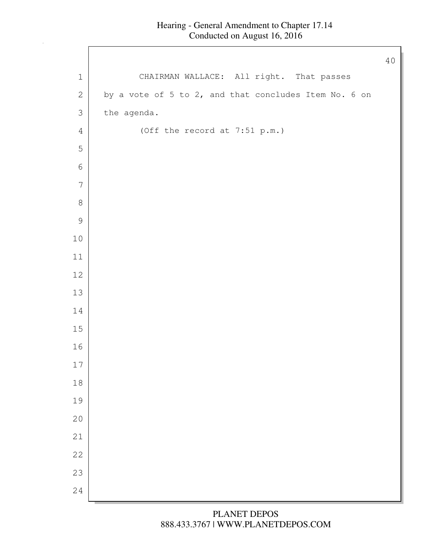$\mathbf l$ 

| CHAIRMAN WALLACE: All right. That passes<br>$\mathbf 1$<br>by a vote of 5 to 2, and that concludes Item No. 6 on<br>$\mathbf{2}$<br>3<br>the agenda.<br>$\sqrt{4}$<br>(Off the record at 7:51 p.m.)<br>5<br>$\epsilon$<br>$\overline{7}$<br>$\,8\,$<br>$\mathsf 9$<br>$1\,0$<br>$11\,$<br>12<br>13<br>14<br>$15\,$<br>16<br>$17$<br>18<br>19<br>20<br>21<br>22<br>23<br>24 |  | 40 |
|----------------------------------------------------------------------------------------------------------------------------------------------------------------------------------------------------------------------------------------------------------------------------------------------------------------------------------------------------------------------------|--|----|
|                                                                                                                                                                                                                                                                                                                                                                            |  |    |
|                                                                                                                                                                                                                                                                                                                                                                            |  |    |
|                                                                                                                                                                                                                                                                                                                                                                            |  |    |
|                                                                                                                                                                                                                                                                                                                                                                            |  |    |
|                                                                                                                                                                                                                                                                                                                                                                            |  |    |
|                                                                                                                                                                                                                                                                                                                                                                            |  |    |
|                                                                                                                                                                                                                                                                                                                                                                            |  |    |
|                                                                                                                                                                                                                                                                                                                                                                            |  |    |
|                                                                                                                                                                                                                                                                                                                                                                            |  |    |
|                                                                                                                                                                                                                                                                                                                                                                            |  |    |
|                                                                                                                                                                                                                                                                                                                                                                            |  |    |
|                                                                                                                                                                                                                                                                                                                                                                            |  |    |
|                                                                                                                                                                                                                                                                                                                                                                            |  |    |
|                                                                                                                                                                                                                                                                                                                                                                            |  |    |
|                                                                                                                                                                                                                                                                                                                                                                            |  |    |
|                                                                                                                                                                                                                                                                                                                                                                            |  |    |
|                                                                                                                                                                                                                                                                                                                                                                            |  |    |
|                                                                                                                                                                                                                                                                                                                                                                            |  |    |
|                                                                                                                                                                                                                                                                                                                                                                            |  |    |
|                                                                                                                                                                                                                                                                                                                                                                            |  |    |
|                                                                                                                                                                                                                                                                                                                                                                            |  |    |
|                                                                                                                                                                                                                                                                                                                                                                            |  |    |
|                                                                                                                                                                                                                                                                                                                                                                            |  |    |
|                                                                                                                                                                                                                                                                                                                                                                            |  |    |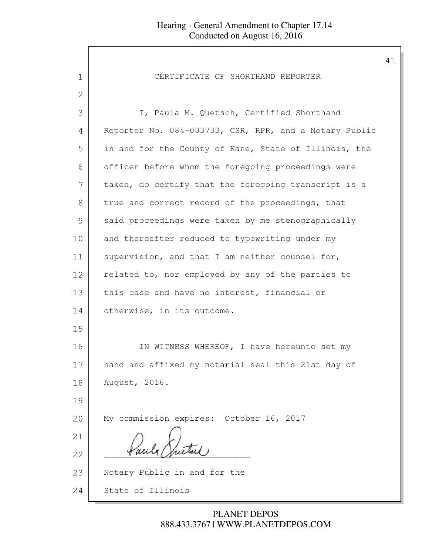| 1             | CERTIFICATE OF SHORTHAND REPORTER                      |
|---------------|--------------------------------------------------------|
| $\mathbf{2}$  |                                                        |
| 3             | I, Paula M. Quetsch, Certified Shorthand               |
| 4             | Reporter No. 084-003733, CSR, RPR, and a Notary Public |
| 5             | in and for the County of Kane, State of Illinois, the  |
| 6             | officer before whom the foregoing proceedings were     |
| 7             | taken, do certify that the foregoing transcript is a   |
| 8             | true and correct record of the proceedings, that       |
| $\mathcal{G}$ | said proceedings were taken by me stenographically     |
| 10            | and thereafter reduced to typewriting under my         |
| 11            | supervision, and that I am neither counsel for,        |
| 12            | related to, nor employed by any of the parties to      |
| 13            | this case and have no interest, financial or           |
| 14            | otherwise, in its outcome.                             |
| 15            |                                                        |
| 16            | IN WITNESS WHEREOF, I have hereunto set my             |
| 17            | hand and affixed my notarial seal this 21st day of     |
| 18            | August, 2016.                                          |
| 19            |                                                        |
| 20            | My commission expires: October 16, 2017                |
| 21            |                                                        |
| 22            |                                                        |
| 23            | Notary Public in and for the                           |
| 24            | State of Illinois                                      |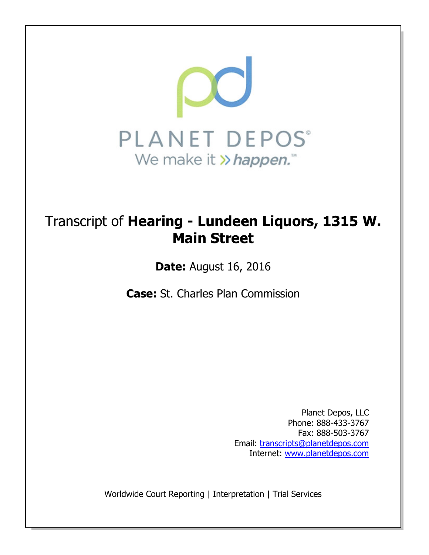

# Transcript of Hearing - Lundeen Liquors, 1315 W. Main Street

Date: August 16, 2016

Case: St. Charles Plan Commission

Planet Depos, LLC Phone: 888-433-3767 Fax: 888-503-3767 Email: transcripts@planetdepos.com Internet: www.planetdepos.com

Worldwide Court Reporting | Interpretation | Trial Services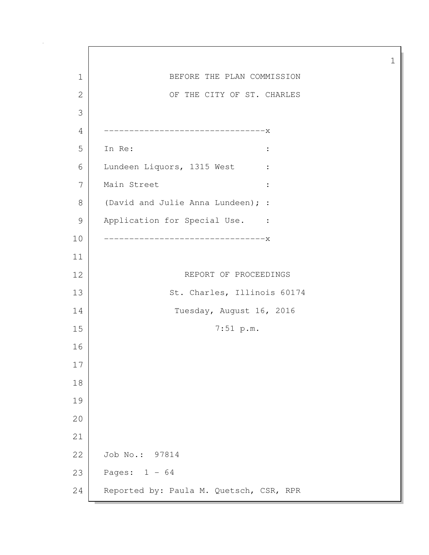1 BEFORE THE PLAN COMMISSION 2 OF THE CITY OF ST. CHARLES 3 4 --------------------------------x 5 In Re: : 6 Lundeen Liquors, 1315 West : 7 Main Street :  $\cdot$  : 8 (David and Julie Anna Lundeen); : 9 Application for Special Use. : 10 --------------------------------x 11 12 REPORT OF PROCEEDINGS 13 St. Charles, Illinois 60174 14 Tuesday, August 16, 2016 15 7:51 p.m. 16 17 18 19 20 21 22 Job No.: 97814 23 Pages: 1 - 64 24 Reported by: Paula M. Quetsch, CSR, RPR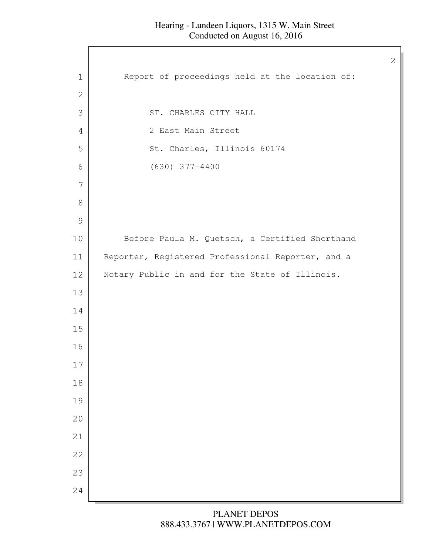$\mathbf l$ 

| Report of proceedings held at the location of:<br>$\mathbf 1$<br>$\mathbf 2$<br>3<br>ST. CHARLES CITY HALL<br>2 East Main Street<br>4<br>St. Charles, Illinois 60174<br>5<br>$(630)$ 377-4400<br>6<br>7<br>$8\,$<br>$\mathcal{G}$<br>Before Paula M. Quetsch, a Certified Shorthand<br>10<br>Reporter, Registered Professional Reporter, and a<br>11<br>12<br>Notary Public in and for the State of Illinois.<br>13<br>14<br>15<br>16<br>17<br>$1\,8$<br>19<br>20<br>21<br>22<br>23<br>24 |  |
|-------------------------------------------------------------------------------------------------------------------------------------------------------------------------------------------------------------------------------------------------------------------------------------------------------------------------------------------------------------------------------------------------------------------------------------------------------------------------------------------|--|
|                                                                                                                                                                                                                                                                                                                                                                                                                                                                                           |  |
|                                                                                                                                                                                                                                                                                                                                                                                                                                                                                           |  |
|                                                                                                                                                                                                                                                                                                                                                                                                                                                                                           |  |
|                                                                                                                                                                                                                                                                                                                                                                                                                                                                                           |  |
|                                                                                                                                                                                                                                                                                                                                                                                                                                                                                           |  |
|                                                                                                                                                                                                                                                                                                                                                                                                                                                                                           |  |
|                                                                                                                                                                                                                                                                                                                                                                                                                                                                                           |  |
|                                                                                                                                                                                                                                                                                                                                                                                                                                                                                           |  |
|                                                                                                                                                                                                                                                                                                                                                                                                                                                                                           |  |
|                                                                                                                                                                                                                                                                                                                                                                                                                                                                                           |  |
|                                                                                                                                                                                                                                                                                                                                                                                                                                                                                           |  |
|                                                                                                                                                                                                                                                                                                                                                                                                                                                                                           |  |
|                                                                                                                                                                                                                                                                                                                                                                                                                                                                                           |  |
|                                                                                                                                                                                                                                                                                                                                                                                                                                                                                           |  |
|                                                                                                                                                                                                                                                                                                                                                                                                                                                                                           |  |
|                                                                                                                                                                                                                                                                                                                                                                                                                                                                                           |  |
|                                                                                                                                                                                                                                                                                                                                                                                                                                                                                           |  |
|                                                                                                                                                                                                                                                                                                                                                                                                                                                                                           |  |
|                                                                                                                                                                                                                                                                                                                                                                                                                                                                                           |  |
|                                                                                                                                                                                                                                                                                                                                                                                                                                                                                           |  |
|                                                                                                                                                                                                                                                                                                                                                                                                                                                                                           |  |
|                                                                                                                                                                                                                                                                                                                                                                                                                                                                                           |  |
|                                                                                                                                                                                                                                                                                                                                                                                                                                                                                           |  |
|                                                                                                                                                                                                                                                                                                                                                                                                                                                                                           |  |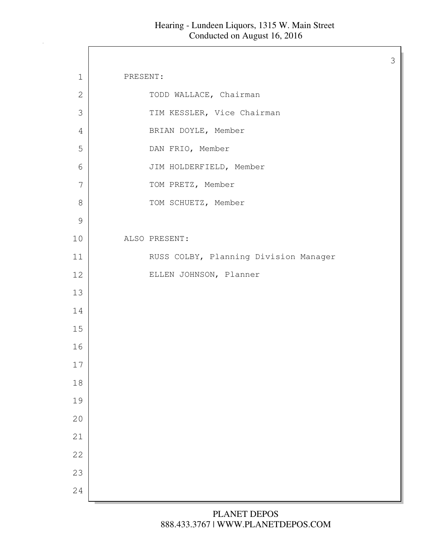$\Gamma$ 

| $\mathbf 1$    | PRESENT:                              |
|----------------|---------------------------------------|
| $\overline{2}$ | TODD WALLACE, Chairman                |
| 3              | TIM KESSLER, Vice Chairman            |
| $\overline{4}$ | BRIAN DOYLE, Member                   |
| 5              | DAN FRIO, Member                      |
| 6              | JIM HOLDERFIELD, Member               |
| 7              | TOM PRETZ, Member                     |
| $\,8\,$        | TOM SCHUETZ, Member                   |
| 9              |                                       |
| 10             | ALSO PRESENT:                         |
| 11             | RUSS COLBY, Planning Division Manager |
| 12             | ELLEN JOHNSON, Planner                |
| 13             |                                       |
| 14             |                                       |
| 15             |                                       |
| 16             |                                       |
| 17             |                                       |
| 18             |                                       |
| 19             |                                       |
| 20             |                                       |
| 21             |                                       |
| 22             |                                       |
| 23             |                                       |
| 24             |                                       |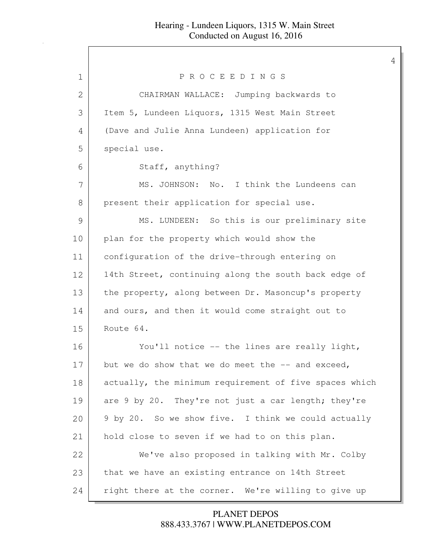| 1            | PROCEEDINGS                                            |
|--------------|--------------------------------------------------------|
| $\mathbf{2}$ | CHAIRMAN WALLACE: Jumping backwards to                 |
| 3            | Item 5, Lundeen Liquors, 1315 West Main Street         |
| 4            | (Dave and Julie Anna Lundeen) application for          |
| 5            | special use.                                           |
| 6            | Staff, anything?                                       |
| 7            | MS. JOHNSON: No. I think the Lundeens can              |
| $8\,$        | present their application for special use.             |
| 9            | MS. LUNDEEN: So this is our preliminary site           |
| 10           | plan for the property which would show the             |
| 11           | configuration of the drive-through entering on         |
| 12           | 14th Street, continuing along the south back edge of   |
| 13           | the property, along between Dr. Masoncup's property    |
| 14           | and ours, and then it would come straight out to       |
| 15           | Route 64.                                              |
| 16           | You'll notice -- the lines are really light,           |
| 17           | but we do show that we do meet the $-$ and exceed,     |
| 18           | actually, the minimum requirement of five spaces which |
| 19           | are 9 by 20. They're not just a car length; they're    |
| 20           | 9 by 20. So we show five. I think we could actually    |
| 21           | hold close to seven if we had to on this plan.         |
| 22           | We've also proposed in talking with Mr. Colby          |
| 23           | that we have an existing entrance on 14th Street       |
| 24           | right there at the corner. We're willing to give up    |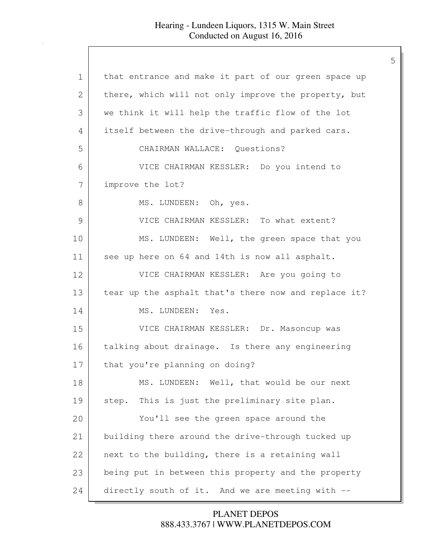| $\mathbf 1$   | that entrance and make it part of our green space up |
|---------------|------------------------------------------------------|
| 2             | there, which will not only improve the property, but |
| 3             | we think it will help the traffic flow of the lot    |
| 4             | itself between the drive-through and parked cars.    |
| 5             | CHAIRMAN WALLACE: Questions?                         |
| 6             | VICE CHAIRMAN KESSLER: Do you intend to              |
| 7             | improve the lot?                                     |
| $8\,$         | MS. LUNDEEN: Oh, yes.                                |
| $\mathcal{G}$ | VICE CHAIRMAN KESSLER: To what extent?               |
| 10            | MS. LUNDEEN: Well, the green space that you          |
| 11            | see up here on 64 and 14th is now all asphalt.       |
| 12            | VICE CHAIRMAN KESSLER: Are you going to              |
| 13            | tear up the asphalt that's there now and replace it? |
| 14            | MS. LUNDEEN: Yes.                                    |
| 15            | VICE CHAIRMAN KESSLER: Dr. Masoncup was              |
| 16            | talking about drainage. Is there any engineering     |
| 17            | that you're planning on doing?                       |
| 18            | MS. LUNDEEN: Well, that would be our next            |
| 19            | This is just the preliminary site plan.<br>step.     |
| 20            | You'll see the green space around the                |
| 21            | building there around the drive-through tucked up    |
| 22            | next to the building, there is a retaining wall      |
| 23            | being put in between this property and the property  |
| 24            | directly south of it. And we are meeting with --     |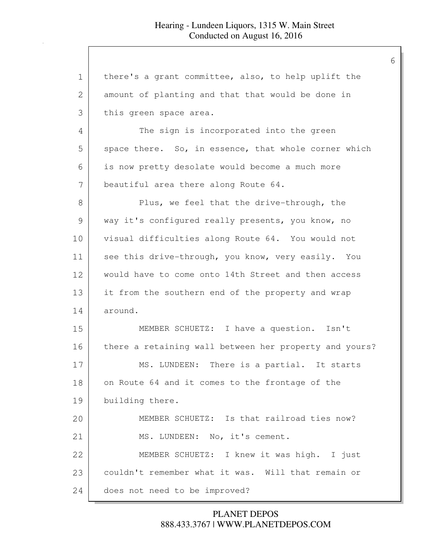1 | there's a grant committee, also, to help uplift the 2 amount of planting and that that would be done in 3 this green space area. 4 The sign is incorporated into the green 5 space there. So, in essence, that whole corner which 6 is now pretty desolate would become a much more 7 beautiful area there along Route 64. 8 Plus, we feel that the drive-through, the 9 way it's configured really presents, you know, no 10 visual difficulties along Route 64. You would not 11 see this drive-through, you know, very easily. You 12 would have to come onto 14th Street and then access 13 it from the southern end of the property and wrap 14 around. 15 MEMBER SCHUETZ: I have a question. Isn't 16 there a retaining wall between her property and yours? 17 MS. LUNDEEN: There is a partial. It starts 18 on Route 64 and it comes to the frontage of the 19 building there. 20 MEMBER SCHUETZ: Is that railroad ties now? 21 MS. LUNDEEN: No, it's cement. 22 MEMBER SCHUETZ: I knew it was high. I just 23 couldn't remember what it was. Will that remain or 24 does not need to be improved?

> 888.433.3767 | WWW.PLANETDEPOS.COM PLANET DEPOS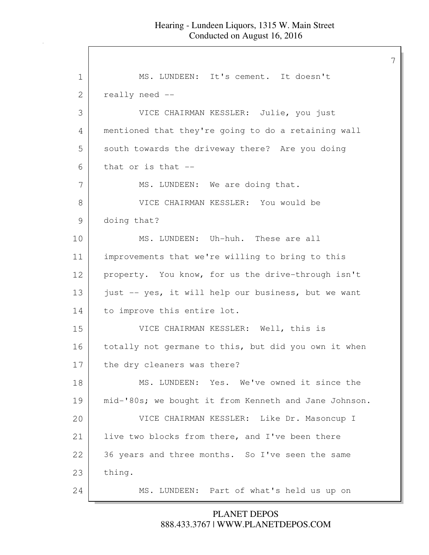1 | MS. LUNDEEN: It's cement. It doesn't 2 really need --3 VICE CHAIRMAN KESSLER: Julie, you just 4 mentioned that they're going to do a retaining wall 5 south towards the driveway there? Are you doing  $6$  that or is that  $-$ 7 MS. LUNDEEN: We are doing that. 8 VICE CHAIRMAN KESSLER: You would be 9 doing that? 10 MS. LUNDEEN: Uh-huh. These are all 11 improvements that we're willing to bring to this 12 property. You know, for us the drive-through isn't 13 just -- yes, it will help our business, but we want 14 to improve this entire lot. 15 VICE CHAIRMAN KESSLER: Well, this is 16 | totally not germane to this, but did you own it when 17 the dry cleaners was there? 18 MS. LUNDEEN: Yes. We've owned it since the 19 | mid-'80s; we bought it from Kenneth and Jane Johnson. 20 VICE CHAIRMAN KESSLER: Like Dr. Masoncup I 21 live two blocks from there, and I've been there 22 36 years and three months. So I've seen the same 23 | thing. 24 MS. LUNDEEN: Part of what's held us up on

#### 888.433.3767 | WWW.PLANETDEPOS.COM PLANET DEPOS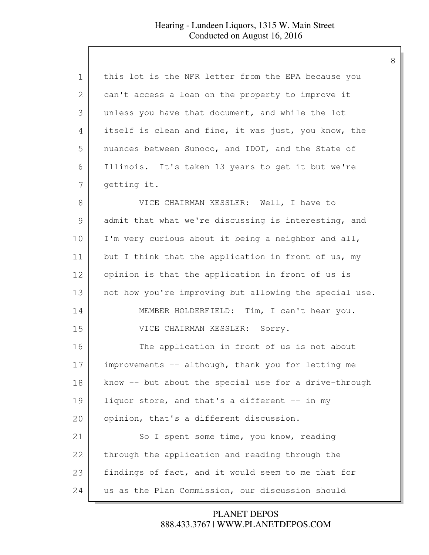| 1             | this lot is the NFR letter from the EPA because you    |
|---------------|--------------------------------------------------------|
| 2             | can't access a loan on the property to improve it      |
| 3             | unless you have that document, and while the lot       |
| 4             | itself is clean and fine, it was just, you know, the   |
| 5             | nuances between Sunoco, and IDOT, and the State of     |
| 6             | Illinois. It's taken 13 years to get it but we're      |
| 7             | getting it.                                            |
| 8             | VICE CHAIRMAN KESSLER: Well, I have to                 |
| $\mathcal{G}$ | admit that what we're discussing is interesting, and   |
| 10            | I'm very curious about it being a neighbor and all,    |
| 11            | but I think that the application in front of us, my    |
| 12            | opinion is that the application in front of us is      |
| 13            | not how you're improving but allowing the special use. |
| 14            | MEMBER HOLDERFIELD: Tim, I can't hear you.             |
| 15            | VICE CHAIRMAN KESSLER: Sorry.                          |
| 16            | The application in front of us is not about            |
| 17            | improvements -- although, thank you for letting me     |
| 18            | know -- but about the special use for a drive-through  |
| 19            | liquor store, and that's a different -- in my          |
| 20            | opinion, that's a different discussion.                |
| 21            | So I spent some time, you know, reading                |
| 22            | through the application and reading through the        |
| 23            | findings of fact, and it would seem to me that for     |
| 24            | us as the Plan Commission, our discussion should       |

888.433.3767 | WWW.PLANETDEPOS.COM PLANET DEPOS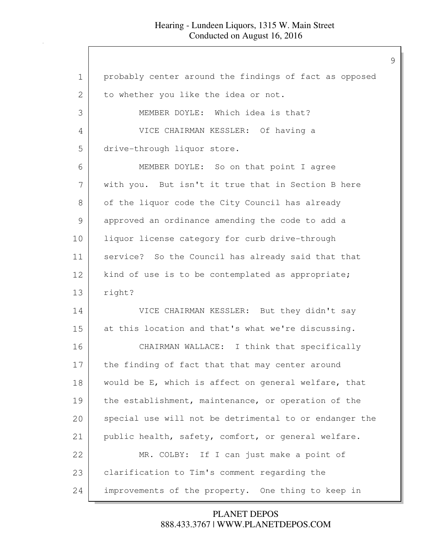| 1  | probably center around the findings of fact as opposed |
|----|--------------------------------------------------------|
| 2  | to whether you like the idea or not.                   |
| 3  | MEMBER DOYLE: Which idea is that?                      |
| 4  | VICE CHAIRMAN KESSLER: Of having a                     |
| 5  | drive-through liquor store.                            |
| 6  | MEMBER DOYLE: So on that point I agree                 |
| 7  | with you. But isn't it true that in Section B here     |
| 8  | of the liquor code the City Council has already        |
| 9  | approved an ordinance amending the code to add a       |
| 10 | liquor license category for curb drive-through         |
| 11 | service? So the Council has already said that that     |
| 12 | kind of use is to be contemplated as appropriate;      |
| 13 | right?                                                 |
| 14 | VICE CHAIRMAN KESSLER: But they didn't say             |
| 15 | at this location and that's what we're discussing.     |
| 16 | CHAIRMAN WALLACE: I think that specifically            |
| 17 | the finding of fact that that may center around        |
| 18 | would be E, which is affect on general welfare, that   |
| 19 | the establishment, maintenance, or operation of the    |
| 20 | special use will not be detrimental to or endanger the |
| 21 | public health, safety, comfort, or general welfare.    |
| 22 | MR. COLBY: If I can just make a point of               |
| 23 | clarification to Tim's comment regarding the           |
| 24 | improvements of the property. One thing to keep in     |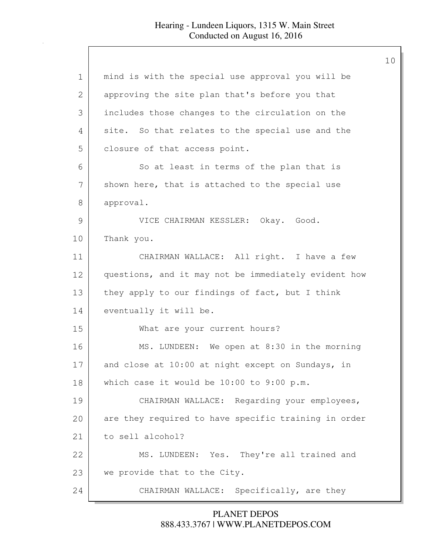| $\mathbf 1$   | mind is with the special use approval you will be    |
|---------------|------------------------------------------------------|
| 2             | approving the site plan that's before you that       |
| 3             | includes those changes to the circulation on the     |
| 4             | site. So that relates to the special use and the     |
| 5             | closure of that access point.                        |
| 6             | So at least in terms of the plan that is             |
| 7             | shown here, that is attached to the special use      |
| 8             | approval.                                            |
| $\mathcal{G}$ | VICE CHAIRMAN KESSLER: Okay. Good.                   |
| 10            | Thank you.                                           |
| 11            | CHAIRMAN WALLACE: All right. I have a few            |
| 12            | questions, and it may not be immediately evident how |
| 13            | they apply to our findings of fact, but I think      |
| 14            | eventually it will be.                               |
| 15            | What are your current hours?                         |
| 16            | MS. LUNDEEN: We open at 8:30 in the morning          |
| 17            | and close at 10:00 at night except on Sundays, in    |
| 18            | which case it would be 10:00 to 9:00 p.m.            |
| 19            | CHAIRMAN WALLACE: Regarding your employees,          |
| 20            | are they required to have specific training in order |
| 21            | to sell alcohol?                                     |
| 22            | MS. LUNDEEN: Yes. They're all trained and            |
| 23            | we provide that to the City.                         |
| 24            | CHAIRMAN WALLACE: Specifically, are they             |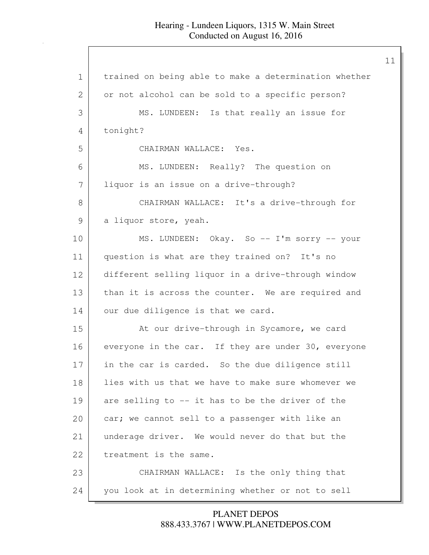| trained on being able to make a determination whether |
|-------------------------------------------------------|
| or not alcohol can be sold to a specific person?      |
| MS. LUNDEEN: Is that really an issue for              |
| tonight?                                              |
| CHAIRMAN WALLACE: Yes.                                |
| MS. LUNDEEN: Really? The question on                  |
| liquor is an issue on a drive-through?                |
| CHAIRMAN WALLACE: It's a drive-through for            |
| a liquor store, yeah.                                 |
| MS. LUNDEEN: Okay. So -- I'm sorry -- your            |
| question is what are they trained on? It's no         |
| different selling liquor in a drive-through window    |
| than it is across the counter. We are required and    |
| our due diligence is that we card.                    |
| At our drive-through in Sycamore, we card             |
| everyone in the car. If they are under 30, everyone   |
| in the car is carded. So the due diligence still      |
| lies with us that we have to make sure whomever we    |
| are selling to -- it has to be the driver of the      |
| car; we cannot sell to a passenger with like an       |
| underage driver. We would never do that but the       |
| treatment is the same.                                |
| CHAIRMAN WALLACE: Is the only thing that              |
| you look at in determining whether or not to sell     |
|                                                       |

888.433.3767 | WWW.PLANETDEPOS.COM PLANET DEPOS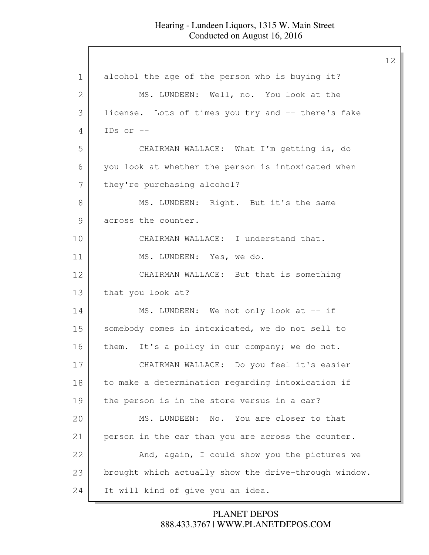| $\mathbf 1$ | alcohol the age of the person who is buying it?       |
|-------------|-------------------------------------------------------|
| 2           | MS. LUNDEEN: Well, no. You look at the                |
| 3           | license. Lots of times you try and -- there's fake    |
| 4           | IDs or $-$                                            |
| 5           | CHAIRMAN WALLACE: What I'm getting is, do             |
| 6           | you look at whether the person is intoxicated when    |
| 7           | they're purchasing alcohol?                           |
| 8           | MS. LUNDEEN: Right. But it's the same                 |
| 9           | across the counter.                                   |
| 10          | CHAIRMAN WALLACE: I understand that.                  |
| 11          | MS. LUNDEEN: Yes, we do.                              |
| 12          | CHAIRMAN WALLACE: But that is something               |
| 13          | that you look at?                                     |
| 14          | MS. LUNDEEN: We not only look at -- if                |
| 15          | somebody comes in intoxicated, we do not sell to      |
| 16          | them. It's a policy in our company; we do not.        |
| 17          | CHAIRMAN WALLACE: Do you feel it's easier             |
| 18          | to make a determination regarding intoxication if     |
| 19          | the person is in the store versus in a car?           |
| 20          | MS. LUNDEEN: No. You are closer to that               |
| 21          | person in the car than you are across the counter.    |
| 22          | And, again, I could show you the pictures we          |
| 23          | brought which actually show the drive-through window. |
| 24          | It will kind of give you an idea.                     |

888.433.3767 | WWW.PLANETDEPOS.COM PLANET DEPOS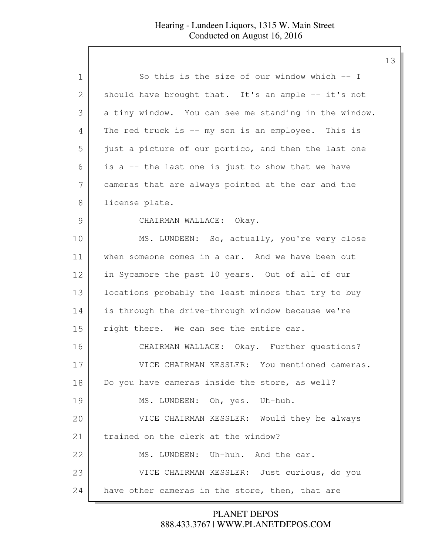| 1             | So this is the size of our window which $-$ I         |
|---------------|-------------------------------------------------------|
| 2             | should have brought that. It's an ample -- it's not   |
| 3             | a tiny window. You can see me standing in the window. |
| 4             | The red truck is -- my son is an employee. This is    |
| 5             | just a picture of our portico, and then the last one  |
| 6             | is a -- the last one is just to show that we have     |
| 7             | cameras that are always pointed at the car and the    |
| 8             | license plate.                                        |
| $\mathcal{G}$ | CHAIRMAN WALLACE: Okay.                               |
| 10            | MS. LUNDEEN: So, actually, you're very close          |
| 11            | when someone comes in a car. And we have been out     |
| 12            | in Sycamore the past 10 years. Out of all of our      |
| 13            | locations probably the least minors that try to buy   |
| 14            | is through the drive-through window because we're     |
| 15            | right there. We can see the entire car.               |
| 16            | CHAIRMAN WALLACE: Okay. Further questions?            |
| 17            | VICE CHAIRMAN KESSLER: You mentioned cameras.         |
| 18            | Do you have cameras inside the store, as well?        |
| 19            | MS. LUNDEEN: Oh, yes. Uh-huh.                         |
| 20            | VICE CHAIRMAN KESSLER: Would they be always           |
| 21            | trained on the clerk at the window?                   |
| 22            | MS. LUNDEEN: Uh-huh. And the car.                     |
| 23            | VICE CHAIRMAN KESSLER: Just curious, do you           |
| 24            | have other cameras in the store, then, that are       |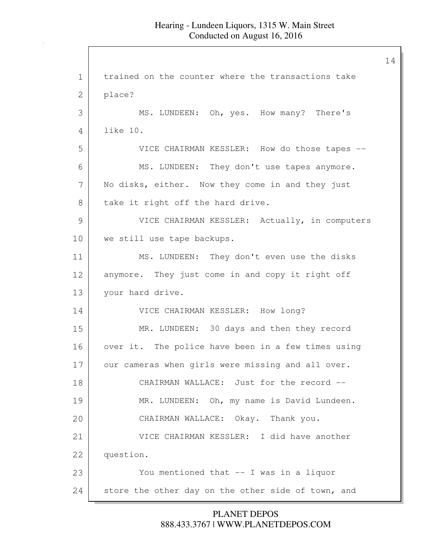1 trained on the counter where the transactions take 2 place? 3 MS. LUNDEEN: Oh, yes. How many? There's 4 like 10. 5 VICE CHAIRMAN KESSLER: How do those tapes -- 6 MS. LUNDEEN: They don't use tapes anymore. 7 No disks, either. Now they come in and they just 8 take it right off the hard drive. 9 VICE CHAIRMAN KESSLER: Actually, in computers 10 | we still use tape backups. 11 MS. LUNDEEN: They don't even use the disks 12 anymore. They just come in and copy it right off 13 vour hard drive. 14 VICE CHAIRMAN KESSLER: How long? 15 MR. LUNDEEN: 30 days and then they record 16 | over it. The police have been in a few times using 17 our cameras when girls were missing and all over. 18 CHAIRMAN WALLACE: Just for the record -- 19 | MR. LUNDEEN: Oh, my name is David Lundeen. 20 CHAIRMAN WALLACE: Okay. Thank you. 21 VICE CHAIRMAN KESSLER: I did have another 22 question. 23 You mentioned that -- I was in a liquor 24 store the other day on the other side of town, and

> 888.433.3767 | WWW.PLANETDEPOS.COM PLANET DEPOS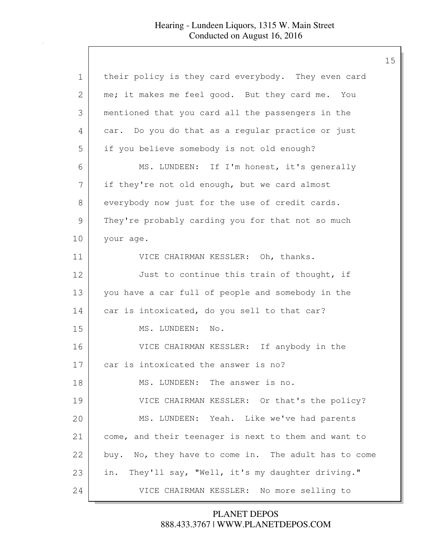| $\mathbf 1$   | their policy is they card everybody. They even card   |
|---------------|-------------------------------------------------------|
| 2             | me; it makes me feel good. But they card me. You      |
| 3             | mentioned that you card all the passengers in the     |
| 4             | car. Do you do that as a regular practice or just     |
| 5             | if you believe somebody is not old enough?            |
| 6             | MS. LUNDEEN: If I'm honest, it's generally            |
| 7             | if they're not old enough, but we card almost         |
| 8             | everybody now just for the use of credit cards.       |
| $\mathcal{G}$ | They're probably carding you for that not so much     |
| 10            | your age.                                             |
| 11            | VICE CHAIRMAN KESSLER: Oh, thanks.                    |
| 12            | Just to continue this train of thought, if            |
| 13            | you have a car full of people and somebody in the     |
| 14            | car is intoxicated, do you sell to that car?          |
| 15            | MS. LUNDEEN: No.                                      |
| 16            | VICE CHAIRMAN KESSLER: If anybody in the              |
| 17            | car is intoxicated the answer is no?                  |
| 18            | MS. LUNDEEN: The answer is no.                        |
| 19            | VICE CHAIRMAN KESSLER: Or that's the policy?          |
| 20            | MS. LUNDEEN: Yeah. Like we've had parents             |
| 21            | come, and their teenager is next to them and want to  |
| 22            | buy. No, they have to come in. The adult has to come  |
| 23            | They'll say, "Well, it's my daughter driving."<br>in. |
| 24            | VICE CHAIRMAN KESSLER: No more selling to             |
|               |                                                       |

888.433.3767 | WWW.PLANETDEPOS.COM PLANET DEPOS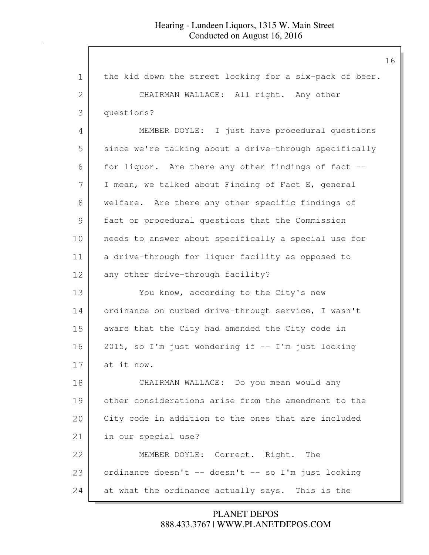| $\mathbf 1$   | the kid down the street looking for a six-pack of beer. |
|---------------|---------------------------------------------------------|
| 2             | CHAIRMAN WALLACE: All right. Any other                  |
| 3             | questions?                                              |
| 4             | MEMBER DOYLE: I just have procedural questions          |
| 5             | since we're talking about a drive-through specifically  |
| 6             | for liquor. Are there any other findings of fact --     |
| 7             | I mean, we talked about Finding of Fact E, general      |
| 8             | welfare. Are there any other specific findings of       |
| $\mathcal{G}$ | fact or procedural questions that the Commission        |
| 10            | needs to answer about specifically a special use for    |
| 11            | a drive-through for liquor facility as opposed to       |
| 12            | any other drive-through facility?                       |
| 13            | You know, according to the City's new                   |
| 14            | ordinance on curbed drive-through service, I wasn't     |
| 15            | aware that the City had amended the City code in        |
| 16            | 2015, so I'm just wondering if -- I'm just looking      |
| 17            | at it now.                                              |
| 18            | CHAIRMAN WALLACE: Do you mean would any                 |
| 19            | other considerations arise from the amendment to the    |
| 20            | City code in addition to the ones that are included     |
| 21            | in our special use?                                     |
| 22            | MEMBER DOYLE: Correct. Right. The                       |
| 23            | ordinance doesn't -- doesn't -- so I'm just looking     |
| 24            | at what the ordinance actually says. This is the        |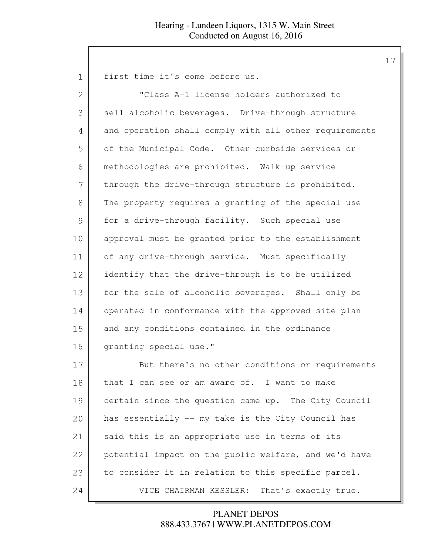first time it's come before us.

| $\overline{2}$ | "Class A-1 license holders authorized to               |
|----------------|--------------------------------------------------------|
| 3              | sell alcoholic beverages. Drive-through structure      |
| 4              | and operation shall comply with all other requirements |
| 5              | of the Municipal Code. Other curbside services or      |
| 6              | methodologies are prohibited. Walk-up service          |
| 7              | through the drive-through structure is prohibited.     |
| 8              | The property requires a granting of the special use    |
| 9              | for a drive-through facility. Such special use         |
| 10             | approval must be granted prior to the establishment    |
| 11             | of any drive-through service. Must specifically        |
| 12             | identify that the drive-through is to be utilized      |
| 13             | for the sale of alcoholic beverages. Shall only be     |
| 14             | operated in conformance with the approved site plan    |
| 15             | and any conditions contained in the ordinance          |
| 16             | granting special use."                                 |
| 17             | But there's no other conditions or requirements        |
| 18             | that I can see or am aware of. I want to make          |
| 19             | certain since the question came up. The City Council   |
| 20             | has essentially -- my take is the City Council has     |
| 21             | said this is an appropriate use in terms of its        |
| 22             | potential impact on the public welfare, and we'd have  |
| 23             | to consider it in relation to this specific parcel.    |

24 VICE CHAIRMAN KESSLER: That's exactly true.

# 888.433.3767 | WWW.PLANETDEPOS.COM PLANET DEPOS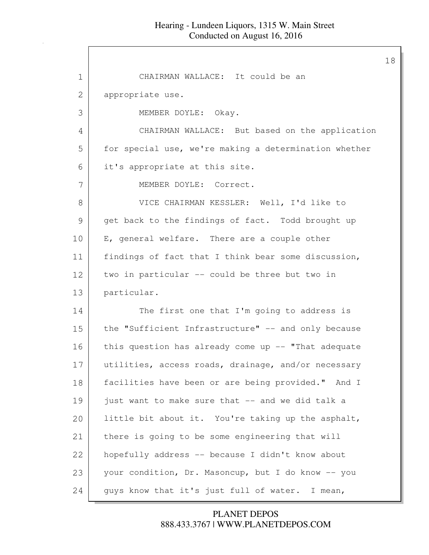| $\mathbf 1$ | CHAIRMAN WALLACE: It could be an                      |
|-------------|-------------------------------------------------------|
| 2           | appropriate use.                                      |
| 3           | MEMBER DOYLE: Okay.                                   |
| 4           | CHAIRMAN WALLACE: But based on the application        |
| 5           | for special use, we're making a determination whether |
| 6           | it's appropriate at this site.                        |
| 7           | MEMBER DOYLE: Correct.                                |
| 8           | VICE CHAIRMAN KESSLER: Well, I'd like to              |
| 9           | get back to the findings of fact. Todd brought up     |
| 10          | E, general welfare. There are a couple other          |
| 11          | findings of fact that I think bear some discussion,   |
| 12          | two in particular -- could be three but two in        |
| 13          | particular.                                           |
| 14          | The first one that I'm going to address is            |
| 15          | the "Sufficient Infrastructure" -- and only because   |
| 16          | this question has already come up -- "That adequate   |
| 17          | utilities, access roads, drainage, and/or necessary   |
| 18          | facilities have been or are being provided." And I    |
| 19          | just want to make sure that -- and we did talk a      |
| 20          | little bit about it. You're taking up the asphalt,    |
| 21          | there is going to be some engineering that will       |
| 22          | hopefully address -- because I didn't know about      |
| 23          | your condition, Dr. Masoncup, but I do know -- you    |
| 24          | guys know that it's just full of water. I mean,       |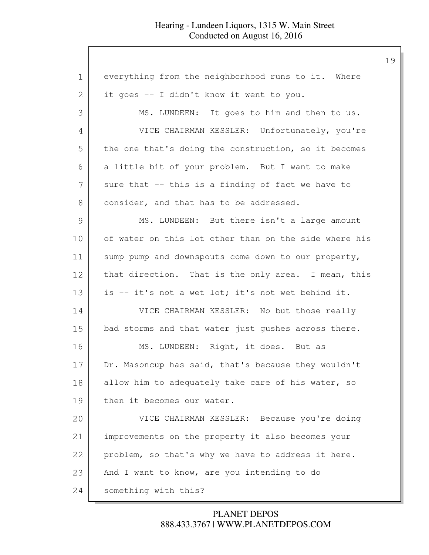| 1             | everything from the neighborhood runs to it. Where    |
|---------------|-------------------------------------------------------|
| 2             | it goes -- I didn't know it went to you.              |
| 3             | MS. LUNDEEN: It goes to him and then to us.           |
| 4             | VICE CHAIRMAN KESSLER: Unfortunately, you're          |
| 5             | the one that's doing the construction, so it becomes  |
| 6             | a little bit of your problem. But I want to make      |
| 7             | sure that -- this is a finding of fact we have to     |
| 8             | consider, and that has to be addressed.               |
| $\mathcal{G}$ | MS. LUNDEEN: But there isn't a large amount           |
| 10            | of water on this lot other than on the side where his |
| 11            | sump pump and downspouts come down to our property,   |
| 12            | that direction. That is the only area. I mean, this   |
| 13            | is -- it's not a wet lot; it's not wet behind it.     |
| 14            | VICE CHAIRMAN KESSLER: No but those really            |
| 15            | bad storms and that water just gushes across there.   |
| 16            | MS. LUNDEEN: Right, it does. But as                   |
| 17            | Dr. Masoncup has said, that's because they wouldn't   |
| 18            | allow him to adequately take care of his water, so    |
| 19            | then it becomes our water.                            |
| 20            | VICE CHAIRMAN KESSLER: Because you're doing           |
| 21            | improvements on the property it also becomes your     |
| 22            | problem, so that's why we have to address it here.    |
| 23            | And I want to know, are you intending to do           |
| 24            | something with this?                                  |

888.433.3767 | WWW.PLANETDEPOS.COM PLANET DEPOS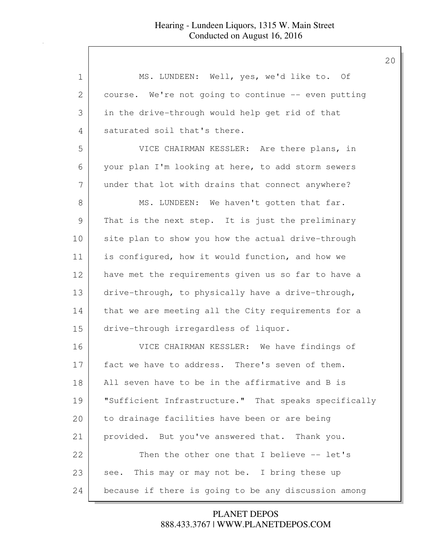| 1  | MS. LUNDEEN: Well, yes, we'd like to. Of              |
|----|-------------------------------------------------------|
| 2  | course. We're not going to continue -- even putting   |
| 3  | in the drive-through would help get rid of that       |
| 4  | saturated soil that's there.                          |
| 5  | VICE CHAIRMAN KESSLER: Are there plans, in            |
| 6  | your plan I'm looking at here, to add storm sewers    |
| 7  | under that lot with drains that connect anywhere?     |
| 8  | MS. LUNDEEN: We haven't gotten that far.              |
| 9  | That is the next step. It is just the preliminary     |
| 10 | site plan to show you how the actual drive-through    |
| 11 | is configured, how it would function, and how we      |
| 12 | have met the requirements given us so far to have a   |
| 13 | drive-through, to physically have a drive-through,    |
| 14 | that we are meeting all the City requirements for a   |
| 15 | drive-through irregardless of liquor.                 |
| 16 | VICE CHAIRMAN KESSLER: We have findings of            |
| 17 | fact we have to address. There's seven of them.       |
| 18 | All seven have to be in the affirmative and B is      |
| 19 | "Sufficient Infrastructure." That speaks specifically |
| 20 | to drainage facilities have been or are being         |
| 21 | provided. But you've answered that. Thank you.        |
| 22 | Then the other one that I believe -- let's            |
| 23 | see. This may or may not be. I bring these up         |
| 24 | because if there is going to be any discussion among  |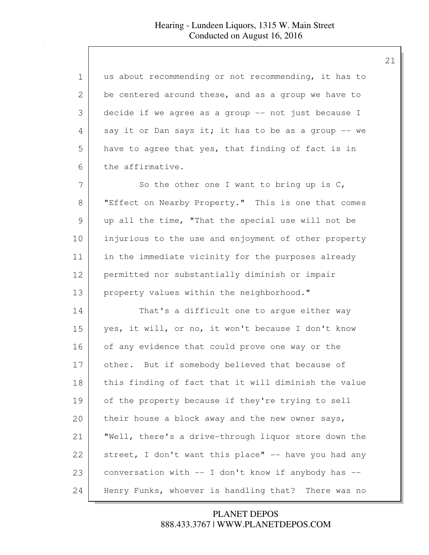| 1  | us about recommending or not recommending, it has to   |
|----|--------------------------------------------------------|
| 2  | be centered around these, and as a group we have to    |
| 3  | decide if we agree as a group -- not just because I    |
| 4  | say it or Dan says it; it has to be as a group -- we   |
| 5  | have to agree that yes, that finding of fact is in     |
| 6  | the affirmative.                                       |
| 7  | So the other one I want to bring up is $C$ ,           |
| 8  | "Effect on Nearby Property." This is one that comes    |
| 9  | up all the time, "That the special use will not be     |
| 10 | injurious to the use and enjoyment of other property   |
| 11 | in the immediate vicinity for the purposes already     |
| 12 | permitted nor substantially diminish or impair         |
| 13 | property values within the neighborhood."              |
| 14 | That's a difficult one to argue either way             |
| 15 | yes, it will, or no, it won't because I don't know     |
| 16 | of any evidence that could prove one way or the        |
| 17 | other. But if somebody believed that because of        |
| 18 | this finding of fact that it will diminish the value   |
| 19 | of the property because if they're trying to sell      |
| 20 | their house a block away and the new owner says,       |
| 21 | "Well, there's a drive-through liquor store down the   |
| 22 | street, I don't want this place" -- have you had any   |
| 23 | conversation with -- I don't know if anybody has --    |
| 24 | Henry Funks, whoever is handling that?<br>There was no |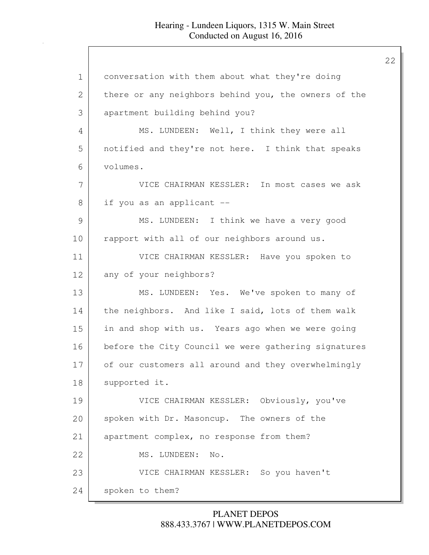1 conversation with them about what they're doing 2 there or any neighbors behind you, the owners of the 3 apartment building behind you? 4 MS. LUNDEEN: Well, I think they were all 5 notified and they're not here. I think that speaks 6 volumes. 7 VICE CHAIRMAN KESSLER: In most cases we ask 8 if you as an applicant --9 MS. LUNDEEN: I think we have a very good 10 rapport with all of our neighbors around us. 11 VICE CHAIRMAN KESSLER: Have you spoken to 12 any of your neighbors? 13 MS. LUNDEEN: Yes. We've spoken to many of 14 the neighbors. And like I said, lots of them walk 15 in and shop with us. Years ago when we were going 16 before the City Council we were gathering signatures 17 of our customers all around and they overwhelmingly 18 | supported it. 19 VICE CHAIRMAN KESSLER: Obviously, you've 20 spoken with Dr. Masoncup. The owners of the 21 apartment complex, no response from them? 22 MS. LUNDEEN: No. 23 VICE CHAIRMAN KESSLER: So you haven't 24 spoken to them?

## 888.433.3767 | WWW.PLANETDEPOS.COM PLANET DEPOS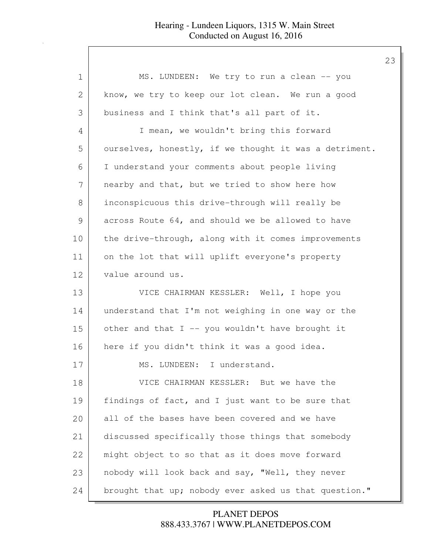| 1  | MS. LUNDEEN: We try to run a clean -- you              |
|----|--------------------------------------------------------|
| 2  | know, we try to keep our lot clean. We run a good      |
| 3  | business and I think that's all part of it.            |
| 4  | I mean, we wouldn't bring this forward                 |
| 5  | ourselves, honestly, if we thought it was a detriment. |
| 6  | I understand your comments about people living         |
| 7  | nearby and that, but we tried to show here how         |
| 8  | inconspicuous this drive-through will really be        |
| 9  | across Route 64, and should we be allowed to have      |
| 10 | the drive-through, along with it comes improvements    |
| 11 | on the lot that will uplift everyone's property        |
| 12 | value around us.                                       |
| 13 | VICE CHAIRMAN KESSLER: Well, I hope you                |
| 14 | understand that I'm not weighing in one way or the     |
| 15 | other and that I -- you wouldn't have brought it       |
| 16 | here if you didn't think it was a good idea.           |
| 17 | MS. LUNDEEN: I understand.                             |
| 18 | VICE CHAIRMAN KESSLER: But we have the                 |
| 19 | findings of fact, and I just want to be sure that      |
| 20 | all of the bases have been covered and we have         |
| 21 | discussed specifically those things that somebody      |
| 22 | might object to so that as it does move forward        |
| 23 | nobody will look back and say, "Well, they never       |
| 24 | brought that up; nobody ever asked us that question."  |

888.433.3767 | WWW.PLANETDEPOS.COM PLANET DEPOS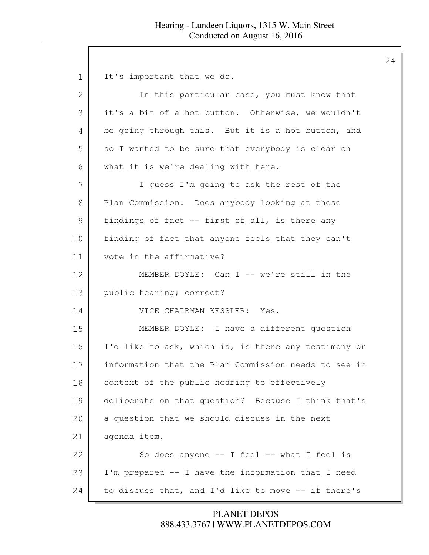24

1 It's important that we do. 2 In this particular case, you must know that 3 it's a bit of a hot button. Otherwise, we wouldn't 4 be going through this. But it is a hot button, and 5 so I wanted to be sure that everybody is clear on 6 what it is we're dealing with here. 7 | I guess I'm going to ask the rest of the 8 Plan Commission. Does anybody looking at these 9 | findings of fact -- first of all, is there any 10 finding of fact that anyone feels that they can't 11 vote in the affirmative? 12 MEMBER DOYLE: Can I -- we're still in the 13 public hearing; correct? 14 VICE CHAIRMAN KESSLER: Yes. 15 MEMBER DOYLE: I have a different question 16 I'd like to ask, which is, is there any testimony or 17 information that the Plan Commission needs to see in 18 | context of the public hearing to effectively 19 deliberate on that question? Because I think that's 20 a question that we should discuss in the next 21 agenda item. 22 So does anyone -- I feel -- what I feel is 23 I'm prepared -- I have the information that I need 24 to discuss that, and I'd like to move -- if there's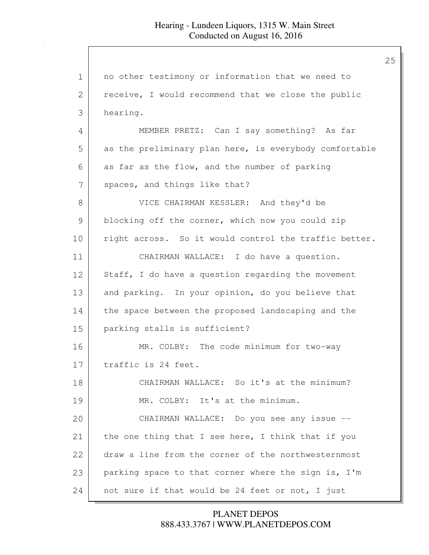| $\mathbf 1$   | no other testimony or information that we need to      |
|---------------|--------------------------------------------------------|
| 2             | receive, I would recommend that we close the public    |
| 3             | hearing.                                               |
| 4             | MEMBER PRETZ: Can I say something? As far              |
| 5             | as the preliminary plan here, is everybody comfortable |
| 6             | as far as the flow, and the number of parking          |
| 7             | spaces, and things like that?                          |
| $8\,$         | VICE CHAIRMAN KESSLER: And they'd be                   |
| $\mathcal{G}$ | blocking off the corner, which now you could zip       |
| 10            | right across. So it would control the traffic better.  |
| 11            | CHAIRMAN WALLACE: I do have a question.                |
| 12            | Staff, I do have a question regarding the movement     |
| 13            | and parking. In your opinion, do you believe that      |
| 14            | the space between the proposed landscaping and the     |
| 15            | parking stalls is sufficient?                          |
| 16            | MR. COLBY: The code minimum for two-way                |
| 17            | traffic is 24 feet.                                    |
| 18            | CHAIRMAN WALLACE: So it's at the minimum?              |
| 19            | MR. COLBY: It's at the minimum.                        |
| 20            | CHAIRMAN WALLACE: Do you see any issue --              |
| 21            | the one thing that I see here, I think that if you     |
| 22            | draw a line from the corner of the northwesternmost    |
| 23            | parking space to that corner where the sign is, I'm    |
| 24            | not sure if that would be 24 feet or not, I just       |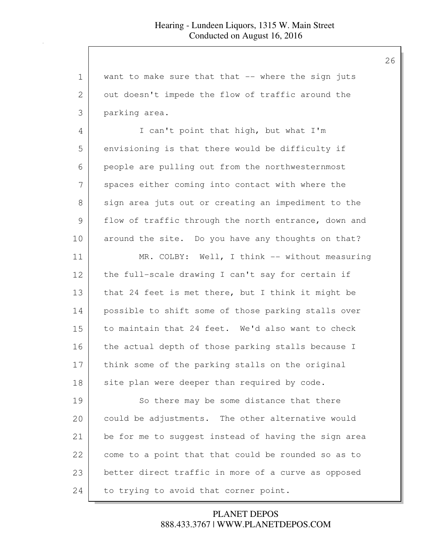| $\mathbf 1$   | want to make sure that that -- where the sign juts   |
|---------------|------------------------------------------------------|
| 2             | out doesn't impede the flow of traffic around the    |
| 3             | parking area.                                        |
| 4             | I can't point that high, but what I'm                |
| 5             | envisioning is that there would be difficulty if     |
| 6             | people are pulling out from the northwesternmost     |
| 7             | spaces either coming into contact with where the     |
| 8             | sign area juts out or creating an impediment to the  |
| $\mathcal{G}$ | flow of traffic through the north entrance, down and |
| 10            | around the site. Do you have any thoughts on that?   |
| 11            | MR. COLBY: Well, I think -- without measuring        |
| 12            | the full-scale drawing I can't say for certain if    |
| 13            | that 24 feet is met there, but I think it might be   |
| 14            | possible to shift some of those parking stalls over  |
| 15            | to maintain that 24 feet. We'd also want to check    |
| 16            | the actual depth of those parking stalls because I   |
| 17            | think some of the parking stalls on the original     |
| 18            | site plan were deeper than required by code.         |
| 19            | So there may be some distance that there             |
| 20            | could be adjustments. The other alternative would    |
| 21            | be for me to suggest instead of having the sign area |
| 22            | come to a point that that could be rounded so as to  |
| 23            | better direct traffic in more of a curve as opposed  |
| 24            | to trying to avoid that corner point.                |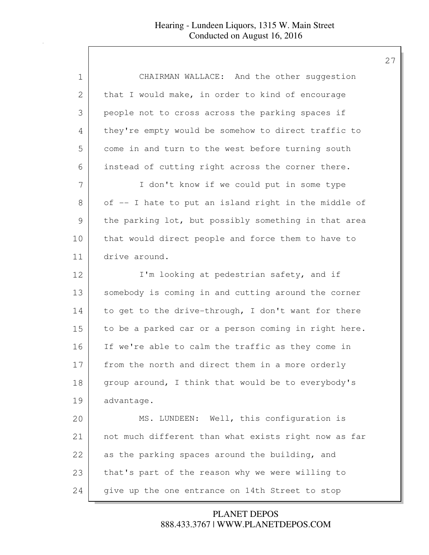| $\mathbf 1$   | CHAIRMAN WALLACE: And the other suggestion           |
|---------------|------------------------------------------------------|
| $\mathbf{2}$  | that I would make, in order to kind of encourage     |
| 3             | people not to cross across the parking spaces if     |
| 4             | they're empty would be somehow to direct traffic to  |
| 5             | come in and turn to the west before turning south    |
| 6             | instead of cutting right across the corner there.    |
| 7             | I don't know if we could put in some type            |
| $8\,$         | of -- I hate to put an island right in the middle of |
| $\mathcal{G}$ | the parking lot, but possibly something in that area |
| 10            | that would direct people and force them to have to   |
| 11            | drive around.                                        |
| 12            | I'm looking at pedestrian safety, and if             |
| 13            | somebody is coming in and cutting around the corner  |
| 14            | to get to the drive-through, I don't want for there  |
| 15            | to be a parked car or a person coming in right here. |
| 16            | If we're able to calm the traffic as they come in    |
| 17            | from the north and direct them in a more orderly     |
| 18            | group around, I think that would be to everybody's   |
| 19            | advantage.                                           |
| 20            | MS. LUNDEEN: Well, this configuration is             |
| 21            | not much different than what exists right now as far |
| 22            | as the parking spaces around the building, and       |
| 23            | that's part of the reason why we were willing to     |
| 24            | give up the one entrance on 14th Street to stop      |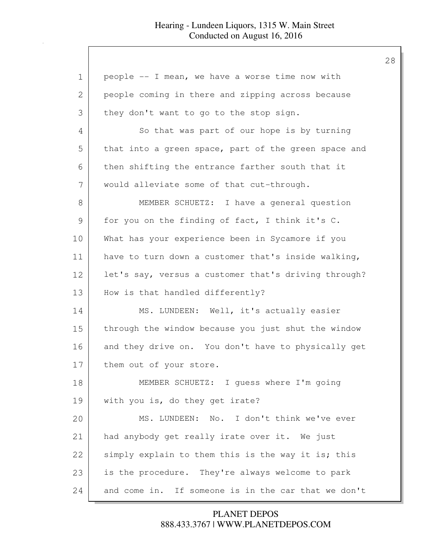| $\mathbf 1$   | people -- I mean, we have a worse time now with      |
|---------------|------------------------------------------------------|
| 2             | people coming in there and zipping across because    |
| 3             | they don't want to go to the stop sign.              |
| 4             | So that was part of our hope is by turning           |
| 5             | that into a green space, part of the green space and |
| 6             | then shifting the entrance farther south that it     |
| 7             | would alleviate some of that cut-through.            |
| 8             | MEMBER SCHUETZ: I have a general question            |
| $\mathcal{G}$ | for you on the finding of fact, I think it's C.      |
| 10            | What has your experience been in Sycamore if you     |
| 11            | have to turn down a customer that's inside walking,  |
| 12            | let's say, versus a customer that's driving through? |
| 13            | How is that handled differently?                     |
| 14            | MS. LUNDEEN: Well, it's actually easier              |
| 15            | through the window because you just shut the window  |
| 16            | and they drive on. You don't have to physically get  |
| 17            | them out of your store.                              |
| 18            | MEMBER SCHUETZ: I guess where I'm going              |
| 19            | with you is, do they get irate?                      |
| 20            | MS. LUNDEEN: No. I don't think we've ever            |
| 21            | had anybody get really irate over it. We just        |
| 22            | simply explain to them this is the way it is; this   |
| 23            | is the procedure. They're always welcome to park     |
| 24            | and come in. If someone is in the car that we don't  |

888.433.3767 | WWW.PLANETDEPOS.COM PLANET DEPOS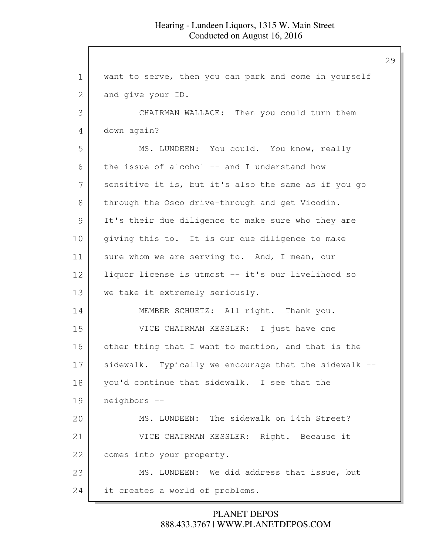1 want to serve, then you can park and come in yourself 2 and give your ID. 3 CHAIRMAN WALLACE: Then you could turn them 4 down again? 5 MS. LUNDEEN: You could. You know, really 6 the issue of alcohol  $-$  and I understand how 7 sensitive it is, but it's also the same as if you go 8 through the Osco drive-through and get Vicodin. 9 It's their due diligence to make sure who they are 10 | giving this to. It is our due diligence to make 11 sure whom we are serving to. And, I mean, our 12 liquor license is utmost -- it's our livelihood so 13 we take it extremely seriously. 14 MEMBER SCHUETZ: All right. Thank you. 15 VICE CHAIRMAN KESSLER: I just have one 16 other thing that I want to mention, and that is the 17 sidewalk. Typically we encourage that the sidewalk --18 you'd continue that sidewalk. I see that the 19 neighbors -- 20 MS. LUNDEEN: The sidewalk on 14th Street? 21 VICE CHAIRMAN KESSLER: Right. Because it 22 comes into your property. 23 MS. LUNDEEN: We did address that issue, but 24 it creates a world of problems.

> 888.433.3767 | WWW.PLANETDEPOS.COM PLANET DEPOS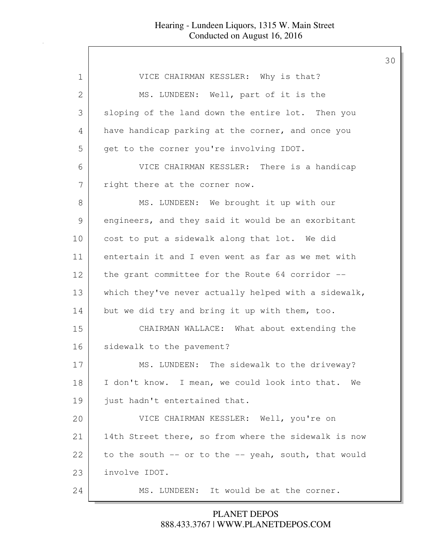| 1  | VICE CHAIRMAN KESSLER: Why is that?                  |
|----|------------------------------------------------------|
| 2  | MS. LUNDEEN: Well, part of it is the                 |
| 3  | sloping of the land down the entire lot. Then you    |
| 4  | have handicap parking at the corner, and once you    |
| 5  | get to the corner you're involving IDOT.             |
| 6  | VICE CHAIRMAN KESSLER: There is a handicap           |
| 7  | right there at the corner now.                       |
| 8  | MS. LUNDEEN: We brought it up with our               |
| 9  | engineers, and they said it would be an exorbitant   |
| 10 | cost to put a sidewalk along that lot. We did        |
| 11 | entertain it and I even went as far as we met with   |
| 12 | the grant committee for the Route 64 corridor --     |
| 13 | which they've never actually helped with a sidewalk, |
| 14 | but we did try and bring it up with them, too.       |
| 15 | CHAIRMAN WALLACE: What about extending the           |
| 16 | sidewalk to the pavement?                            |
| 17 | MS. LUNDEEN: The sidewalk to the driveway?           |
| 18 | I don't know. I mean, we could look into that. We    |
| 19 | just hadn't entertained that.                        |
| 20 | VICE CHAIRMAN KESSLER: Well, you're on               |
| 21 | 14th Street there, so from where the sidewalk is now |
| 22 | to the south -- or to the -- yeah, south, that would |
| 23 | involve IDOT.                                        |
| 24 | MS. LUNDEEN: It would be at the corner.              |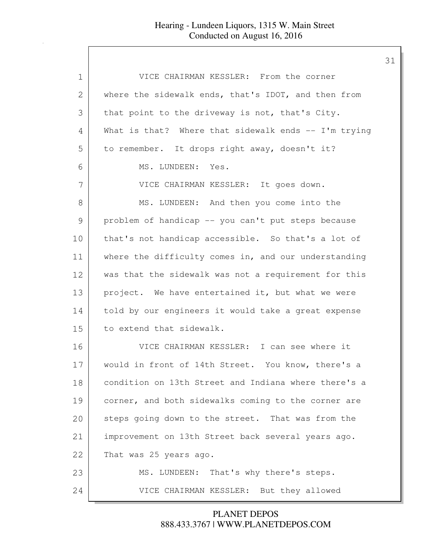| VICE CHAIRMAN KESSLER: From the corner               |
|------------------------------------------------------|
| where the sidewalk ends, that's IDOT, and then from  |
| that point to the driveway is not, that's City.      |
| What is that? Where that sidewalk ends -- I'm trying |
| to remember. It drops right away, doesn't it?        |
| MS. LUNDEEN: Yes.                                    |
| VICE CHAIRMAN KESSLER: It goes down.                 |
| MS. LUNDEEN: And then you come into the              |
| problem of handicap -- you can't put steps because   |
| that's not handicap accessible. So that's a lot of   |
| where the difficulty comes in, and our understanding |
| was that the sidewalk was not a requirement for this |
| project. We have entertained it, but what we were    |
| told by our engineers it would take a great expense  |
| to extend that sidewalk.                             |
| VICE CHAIRMAN KESSLER: I can see where it            |
| would in front of 14th Street. You know, there's a   |
| condition on 13th Street and Indiana where there's a |
| corner, and both sidewalks coming to the corner are  |
| steps going down to the street. That was from the    |
| improvement on 13th Street back several years ago.   |
| That was 25 years ago.                               |
| MS. LUNDEEN: That's why there's steps.               |
| VICE CHAIRMAN KESSLER: But they allowed              |
|                                                      |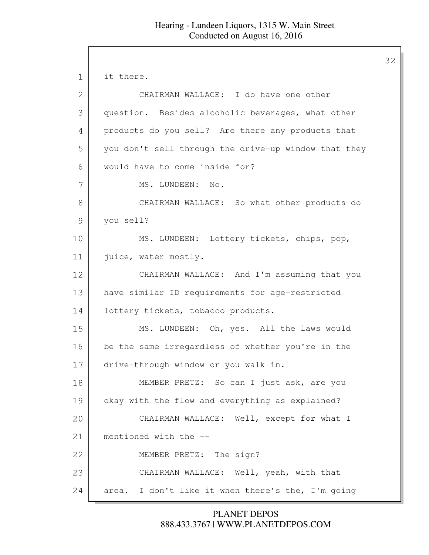1 it there. 2 CHAIRMAN WALLACE: I do have one other 3 question. Besides alcoholic beverages, what other 4 products do you sell? Are there any products that 5 you don't sell through the drive-up window that they 6 would have to come inside for? 7 | MS. LUNDEEN: No. 8 CHAIRMAN WALLACE: So what other products do 9 vou sell? 10 | MS. LUNDEEN: Lottery tickets, chips, pop, 11 | juice, water mostly. 12 CHAIRMAN WALLACE: And I'm assuming that you 13 have similar ID requirements for age-restricted 14 | lottery tickets, tobacco products. 15 MS. LUNDEEN: Oh, yes. All the laws would 16 be the same irregardless of whether you're in the 17 drive-through window or you walk in. 18 MEMBER PRETZ: So can I just ask, are you 19 okay with the flow and everything as explained? 20 CHAIRMAN WALLACE: Well, except for what I 21 mentioned with the --22 MEMBER PRETZ: The sign? 23 CHAIRMAN WALLACE: Well, yeah, with that 24 area. I don't like it when there's the, I'm going

> 888.433.3767 | WWW.PLANETDEPOS.COM PLANET DEPOS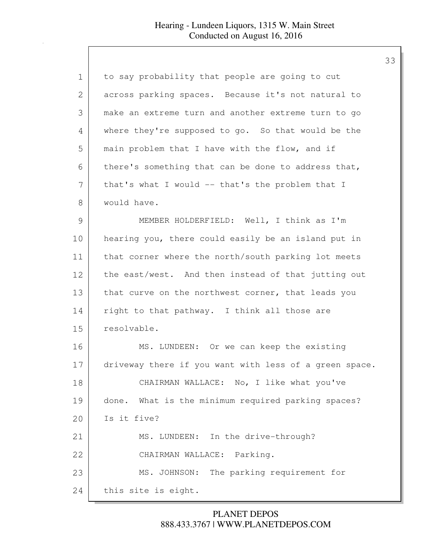| 1             | to say probability that people are going to cut        |
|---------------|--------------------------------------------------------|
| 2             | across parking spaces. Because it's not natural to     |
| 3             | make an extreme turn and another extreme turn to go    |
| 4             | where they're supposed to go. So that would be the     |
| 5             | main problem that I have with the flow, and if         |
| 6             | there's something that can be done to address that,    |
| 7             | that's what I would -- that's the problem that I       |
| 8             | would have.                                            |
| $\mathcal{G}$ | MEMBER HOLDERFIELD: Well, I think as I'm               |
| 10            | hearing you, there could easily be an island put in    |
| 11            | that corner where the north/south parking lot meets    |
| 12            | the east/west. And then instead of that jutting out    |
| 13            | that curve on the northwest corner, that leads you     |
| 14            | right to that pathway. I think all those are           |
| 15            | resolvable.                                            |
| 16            | MS. LUNDEEN: Or we can keep the existing               |
| 17            | driveway there if you want with less of a green space. |
| 18            | CHAIRMAN WALLACE: No, I like what you've               |
| 19            | done. What is the minimum required parking spaces?     |
| 20            | Is it five?                                            |
| 21            | MS. LUNDEEN: In the drive-through?                     |
| 22            | CHAIRMAN WALLACE: Parking.                             |
| 23            | MS. JOHNSON: The parking requirement for               |
| 24            | this site is eight.                                    |

888.433.3767 | WWW.PLANETDEPOS.COM PLANET DEPOS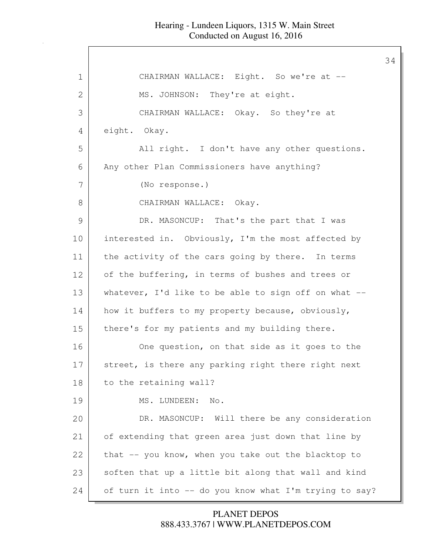| 1  | CHAIRMAN WALLACE: Eight. So we're at --                 |
|----|---------------------------------------------------------|
| 2  | MS. JOHNSON: They're at eight.                          |
| 3  | CHAIRMAN WALLACE: Okay. So they're at                   |
| 4  | eight. Okay.                                            |
| 5  | All right. I don't have any other questions.            |
| 6  | Any other Plan Commissioners have anything?             |
| 7  | (No response.)                                          |
| 8  | CHAIRMAN WALLACE: Okay.                                 |
| 9  | DR. MASONCUP: That's the part that I was                |
| 10 | interested in. Obviously, I'm the most affected by      |
| 11 | the activity of the cars going by there. In terms       |
| 12 | of the buffering, in terms of bushes and trees or       |
| 13 | whatever, I'd like to be able to sign off on what $-$ - |
| 14 | how it buffers to my property because, obviously,       |
| 15 | there's for my patients and my building there.          |
| 16 | One question, on that side as it goes to the            |
| 17 | street, is there any parking right there right next     |
| 18 | to the retaining wall?                                  |
| 19 | MS. LUNDEEN:<br>No.                                     |
| 20 | DR. MASONCUP: Will there be any consideration           |
| 21 | of extending that green area just down that line by     |
| 22 | that -- you know, when you take out the blacktop to     |
| 23 | soften that up a little bit along that wall and kind    |
| 24 | of turn it into -- do you know what I'm trying to say?  |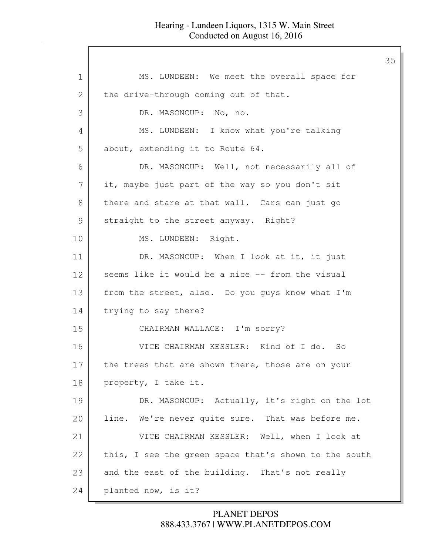1 MS. LUNDEEN: We meet the overall space for 2 the drive-through coming out of that. 3 DR. MASONCUP: No, no. 4 MS. LUNDEEN: I know what you're talking 5 about, extending it to Route 64. 6 DR. MASONCUP: Well, not necessarily all of 7 | it, maybe just part of the way so you don't sit 8 there and stare at that wall. Cars can just go 9 straight to the street anyway. Right? 10 MS. LUNDEEN: Right. 11 DR. MASONCUP: When I look at it, it just 12 seems like it would be a nice -- from the visual 13 from the street, also. Do you guys know what I'm 14 trying to say there? 15 CHAIRMAN WALLACE: I'm sorry? 16 VICE CHAIRMAN KESSLER: Kind of I do. So 17 the trees that are shown there, those are on your 18 property, I take it. 19 DR. MASONCUP: Actually, it's right on the lot 20 | line. We're never quite sure. That was before me. 21 VICE CHAIRMAN KESSLER: Well, when I look at 22 this, I see the green space that's shown to the south 23 and the east of the building. That's not really 24 planted now, is it?

## 888.433.3767 | WWW.PLANETDEPOS.COM PLANET DEPOS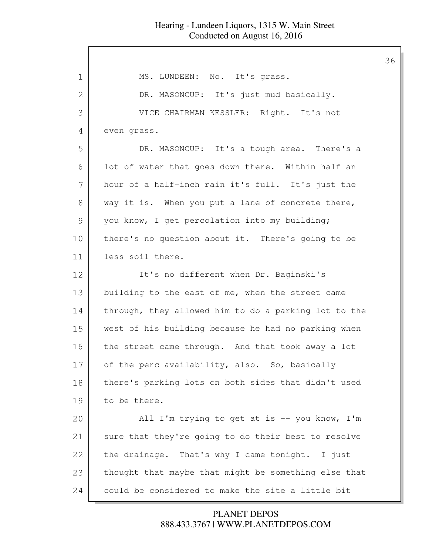| 1             | MS. LUNDEEN: No. It's grass.                         |
|---------------|------------------------------------------------------|
| 2             | DR. MASONCUP: It's just mud basically.               |
| 3             | VICE CHAIRMAN KESSLER: Right. It's not               |
| 4             | even grass.                                          |
| 5             | DR. MASONCUP: It's a tough area. There's a           |
| 6             | lot of water that goes down there. Within half an    |
| 7             | hour of a half-inch rain it's full. It's just the    |
| 8             | way it is. When you put a lane of concrete there,    |
| $\mathcal{G}$ | you know, I get percolation into my building;        |
| 10            | there's no question about it. There's going to be    |
| 11            | less soil there.                                     |
| 12            | It's no different when Dr. Baginski's                |
| 13            | building to the east of me, when the street came     |
| 14            | through, they allowed him to do a parking lot to the |
| 15            | west of his building because he had no parking when  |
| 16            | the street came through. And that took away a lot    |
| 17            | of the perc availability, also. So, basically        |
| 18            | there's parking lots on both sides that didn't used  |
| 19            | to be there.                                         |
| 20            | All I'm trying to get at is -- you know, I'm         |
| 21            | sure that they're going to do their best to resolve  |
| 22            | the drainage. That's why I came tonight. I just      |
| 23            | thought that maybe that might be something else that |
| 24            | could be considered to make the site a little bit    |

888.433.3767 | WWW.PLANETDEPOS.COM PLANET DEPOS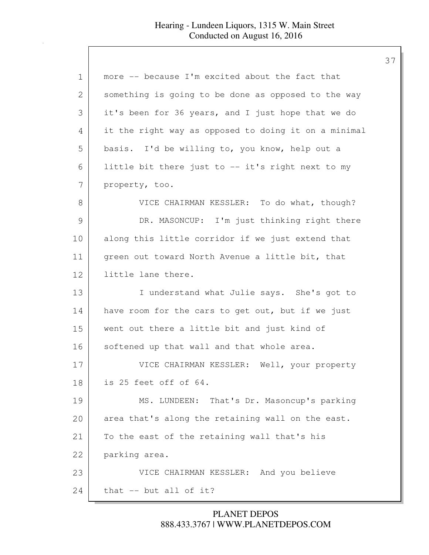| more -- because I'm excited about the fact that      |
|------------------------------------------------------|
| something is going to be done as opposed to the way  |
| it's been for 36 years, and I just hope that we do   |
| it the right way as opposed to doing it on a minimal |
| basis. I'd be willing to, you know, help out a       |
| little bit there just to -- it's right next to my    |
| property, too.                                       |
| VICE CHAIRMAN KESSLER: To do what, though?           |
| DR. MASONCUP: I'm just thinking right there          |
| along this little corridor if we just extend that    |
| green out toward North Avenue a little bit, that     |
| little lane there.                                   |
| I understand what Julie says. She's got to           |
| have room for the cars to get out, but if we just    |
| went out there a little bit and just kind of         |
| softened up that wall and that whole area.           |
| VICE CHAIRMAN KESSLER: Well, your property           |
| is 25 feet off of 64.                                |
| MS. LUNDEEN: That's Dr. Masoncup's parking           |
| area that's along the retaining wall on the east.    |
| To the east of the retaining wall that's his         |
| parking area.                                        |
| VICE CHAIRMAN KESSLER: And you believe               |
| that -- but all of it?                               |
|                                                      |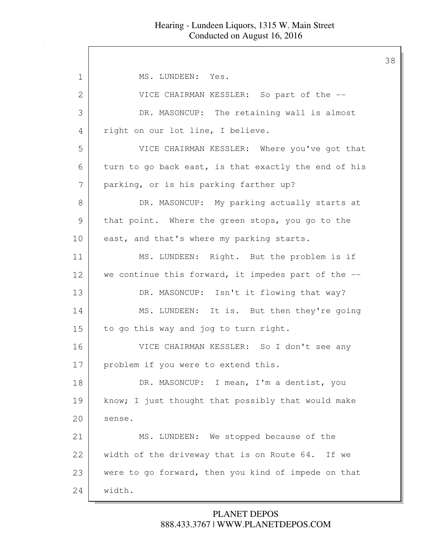1 | MS. LUNDEEN: Yes. 2 VICE CHAIRMAN KESSLER: So part of the --3 DR. MASONCUP: The retaining wall is almost 4 right on our lot line, I believe. 5 VICE CHAIRMAN KESSLER: Where you've got that 6 turn to go back east, is that exactly the end of his 7 parking, or is his parking farther up? 8 DR. MASONCUP: My parking actually starts at 9 that point. Where the green stops, you go to the 10 east, and that's where my parking starts. 11 MS. LUNDEEN: Right. But the problem is if 12 we continue this forward, it impedes part of the --13 DR. MASONCUP: Isn't it flowing that way? 14 MS. LUNDEEN: It is. But then they're going 15 to go this way and jog to turn right. 16 VICE CHAIRMAN KESSLER: So I don't see any 17 problem if you were to extend this. 18 DR. MASONCUP: I mean, I'm a dentist, you 19 | know; I just thought that possibly that would make 20 sense. 21 MS. LUNDEEN: We stopped because of the 22 width of the driveway that is on Route 64. If we 23 were to go forward, then you kind of impede on that 24 width.

## 888.433.3767 | WWW.PLANETDEPOS.COM PLANET DEPOS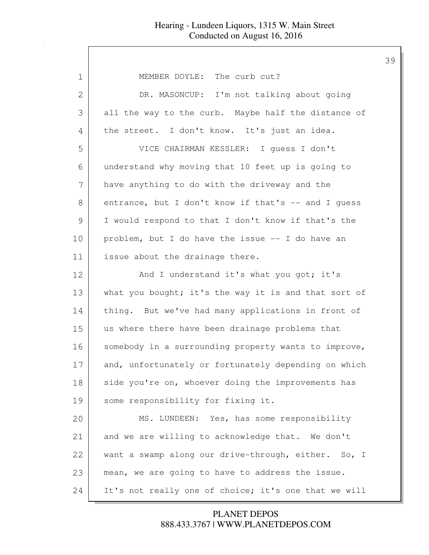| $\mathbf 1$   | MEMBER DOYLE: The curb cut?                          |
|---------------|------------------------------------------------------|
| 2             | DR. MASONCUP: I'm not talking about going            |
| 3             | all the way to the curb. Maybe half the distance of  |
| 4             | the street. I don't know. It's just an idea.         |
| 5             | VICE CHAIRMAN KESSLER: I quess I don't               |
| 6             | understand why moving that 10 feet up is going to    |
| 7             | have anything to do with the driveway and the        |
| 8             | entrance, but I don't know if that's -- and I guess  |
| $\mathcal{G}$ | I would respond to that I don't know if that's the   |
| 10            | problem, but I do have the issue -- I do have an     |
| 11            | issue about the drainage there.                      |
| 12            | And I understand it's what you got; it's             |
| 13            | what you bought; it's the way it is and that sort of |
| 14            | thing. But we've had many applications in front of   |
| 15            | us where there have been drainage problems that      |
| 16            | somebody in a surrounding property wants to improve, |
| 17            | and, unfortunately or fortunately depending on which |
| 18            | side you're on, whoever doing the improvements has   |
| 19            | some responsibility for fixing it.                   |
| 20            | MS. LUNDEEN: Yes, has some responsibility            |
| 21            | and we are willing to acknowledge that. We don't     |
| 22            | want a swamp along our drive-through, either. So, I  |
| 23            | mean, we are going to have to address the issue.     |
| 24            | It's not really one of choice; it's one that we will |
|               |                                                      |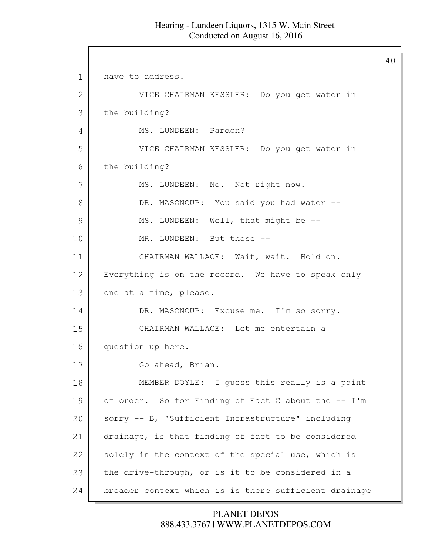1 have to address. 2 VICE CHAIRMAN KESSLER: Do you get water in 3 the building? 4 | MS. LUNDEEN: Pardon? 5 VICE CHAIRMAN KESSLER: Do you get water in 6 the building? 7 | MS. LUNDEEN: No. Not right now. 8 DR. MASONCUP: You said you had water --9 MS. LUNDEEN: Well, that might be --10 MR. LUNDEEN: But those --11 CHAIRMAN WALLACE: Wait, wait. Hold on. 12 Everything is on the record. We have to speak only 13 one at a time, please. 14 DR. MASONCUP: Excuse me. I'm so sorry. 15 CHAIRMAN WALLACE: Let me entertain a 16 question up here. 17 Go ahead, Brian. 18 MEMBER DOYLE: I guess this really is a point 19 of order. So for Finding of Fact C about the -- I'm 20 sorry -- B, "Sufficient Infrastructure" including 21 drainage, is that finding of fact to be considered 22 solely in the context of the special use, which is 23 the drive-through, or is it to be considered in a 24 broader context which is is there sufficient drainage

> 888.433.3767 | WWW.PLANETDEPOS.COM PLANET DEPOS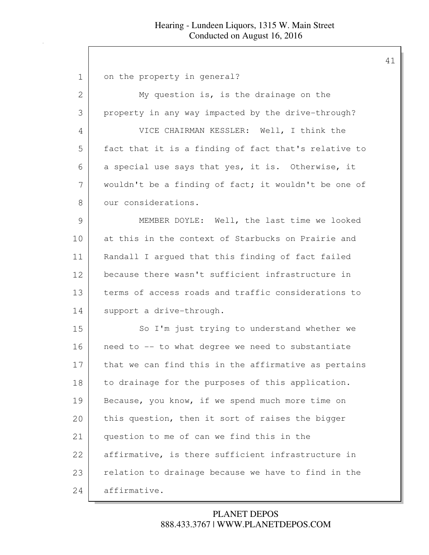| 1             | on the property in general?                          |
|---------------|------------------------------------------------------|
| 2             | My question is, is the drainage on the               |
| 3             | property in any way impacted by the drive-through?   |
| 4             | VICE CHAIRMAN KESSLER: Well, I think the             |
| 5             | fact that it is a finding of fact that's relative to |
| 6             | a special use says that yes, it is. Otherwise, it    |
| 7             | wouldn't be a finding of fact; it wouldn't be one of |
| 8             | our considerations.                                  |
| $\mathcal{G}$ | MEMBER DOYLE: Well, the last time we looked          |
| 10            | at this in the context of Starbucks on Prairie and   |
| 11            | Randall I argued that this finding of fact failed    |
| 12            | because there wasn't sufficient infrastructure in    |
| 13            | terms of access roads and traffic considerations to  |
| 14            | support a drive-through.                             |
| 15            | So I'm just trying to understand whether we          |
| 16            | need to -- to what degree we need to substantiate    |
| 17            | that we can find this in the affirmative as pertains |
| 18            | to drainage for the purposes of this application.    |
| 19            | Because, you know, if we spend much more time on     |
| 20            | this question, then it sort of raises the bigger     |
| 21            | question to me of can we find this in the            |
| 22            | affirmative, is there sufficient infrastructure in   |
| 23            | relation to drainage because we have to find in the  |
| 24            | affirmative.                                         |

# 888.433.3767 | WWW.PLANETDEPOS.COM PLANET DEPOS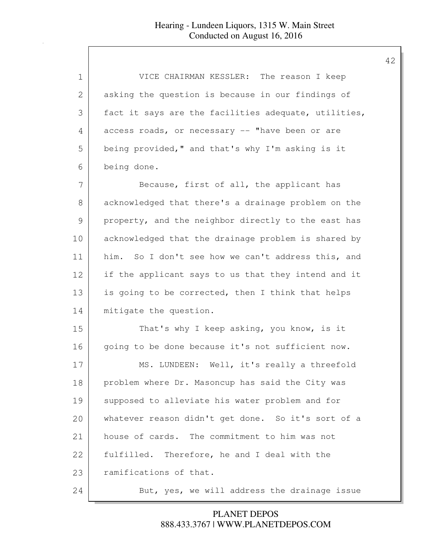| 1  | VICE CHAIRMAN KESSLER: The reason I keep              |
|----|-------------------------------------------------------|
| 2  | asking the question is because in our findings of     |
| 3  | fact it says are the facilities adequate, utilities,  |
| 4  | access roads, or necessary -- "have been or are       |
| 5  | being provided, " and that's why I'm asking is it     |
| 6  | being done.                                           |
| 7  | Because, first of all, the applicant has              |
| 8  | acknowledged that there's a drainage problem on the   |
| 9  | property, and the neighbor directly to the east has   |
| 10 | acknowledged that the drainage problem is shared by   |
| 11 | So I don't see how we can't address this, and<br>him. |
| 12 | if the applicant says to us that they intend and it   |
| 13 | is going to be corrected, then I think that helps     |
| 14 | mitigate the question.                                |
| 15 | That's why I keep asking, you know, is it             |
| 16 | going to be done because it's not sufficient now.     |
| 17 | MS. LUNDEEN: Well, it's really a threefold            |
| 18 | problem where Dr. Masoncup has said the City was      |
| 19 | supposed to alleviate his water problem and for       |
| 20 | whatever reason didn't get done. So it's sort of a    |
| 21 | house of cards. The commitment to him was not         |
| 22 | Therefore, he and I deal with the<br>fulfilled.       |
| 23 | ramifications of that.                                |
| 24 | But, yes, we will address the drainage issue          |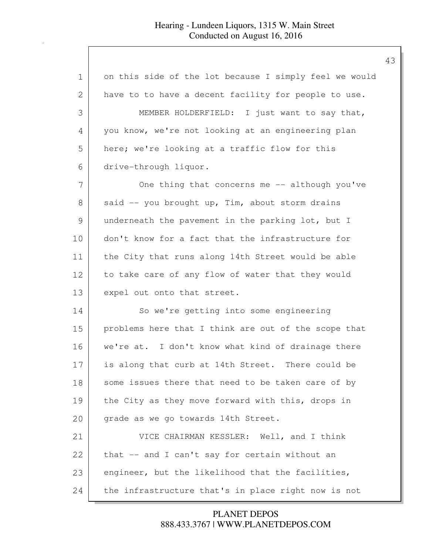| $\mathbf 1$   | on this side of the lot because I simply feel we would |
|---------------|--------------------------------------------------------|
| 2             | have to to have a decent facility for people to use.   |
| 3             | MEMBER HOLDERFIELD: I just want to say that,           |
| 4             | you know, we're not looking at an engineering plan     |
| 5             | here; we're looking at a traffic flow for this         |
| 6             | drive-through liquor.                                  |
| 7             | One thing that concerns me -- although you've          |
| 8             | said -- you brought up, Tim, about storm drains        |
| $\mathcal{G}$ | underneath the pavement in the parking lot, but I      |
| 10            | don't know for a fact that the infrastructure for      |
| 11            | the City that runs along 14th Street would be able     |
| 12            | to take care of any flow of water that they would      |
| 13            | expel out onto that street.                            |
| 14            | So we're getting into some engineering                 |
| 15            | problems here that I think are out of the scope that   |
| 16            | we're at. I don't know what kind of drainage there     |
| 17            | is along that curb at 14th Street. There could be      |
| 18            | some issues there that need to be taken care of by     |
| 19            | the City as they move forward with this, drops in      |
| 20            | grade as we go towards 14th Street.                    |
| 21            | VICE CHAIRMAN KESSLER: Well, and I think               |
| 22            | that -- and I can't say for certain without an         |
| 23            | engineer, but the likelihood that the facilities,      |
| 24            | the infrastructure that's in place right now is not    |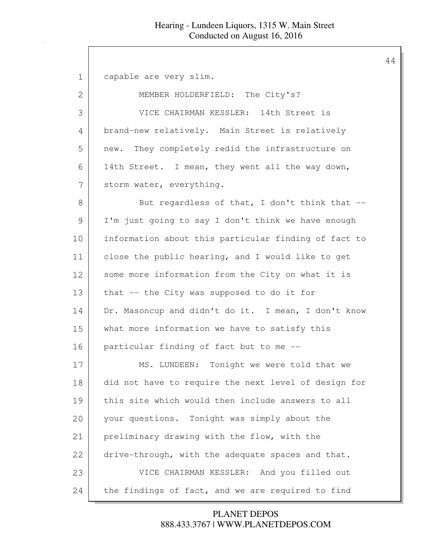1 capable are very slim. 2 MEMBER HOLDERFIELD: The City's? 3 VICE CHAIRMAN KESSLER: 14th Street is 4 brand-new relatively. Main Street is relatively 5 new. They completely redid the infrastructure on 6 14th Street. I mean, they went all the way down, 7 storm water, everything. 8 But regardless of that, I don't think that --9 I'm just going to say I don't think we have enough 10 information about this particular finding of fact to 11 close the public hearing, and I would like to get 12 some more information from the City on what it is 13 that -- the City was supposed to do it for 14 Dr. Masoncup and didn't do it. I mean, I don't know 15 what more information we have to satisfy this 16 particular finding of fact but to me --17 MS. LUNDEEN: Tonight we were told that we 18 did not have to require the next level of design for 19 this site which would then include answers to all 20 your questions. Tonight was simply about the 21 preliminary drawing with the flow, with the 22 drive-through, with the adequate spaces and that. 23 VICE CHAIRMAN KESSLER: And you filled out 24 the findings of fact, and we are required to find

> 888.433.3767 | WWW.PLANETDEPOS.COM PLANET DEPOS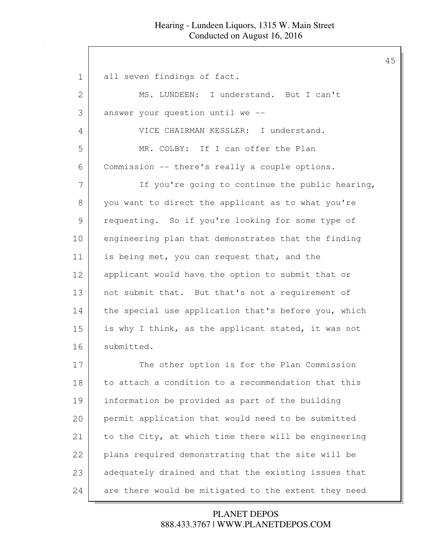1 all seven findings of fact. 2 MS. LUNDEEN: I understand. But I can't 3 answer your question until we -- 4 VICE CHAIRMAN KESSLER: I understand. 5 MR. COLBY: If I can offer the Plan 6 Commission -- there's really a couple options. 7 If you're going to continue the public hearing, 8 you want to direct the applicant as to what you're 9 requesting. So if you're looking for some type of 10 engineering plan that demonstrates that the finding 11 is being met, you can request that, and the 12 applicant would have the option to submit that or 13 not submit that. But that's not a requirement of 14 the special use application that's before you, which 15 is why I think, as the applicant stated, it was not 16 submitted. 17 The other option is for the Plan Commission 18 to attach a condition to a recommendation that this 19 information be provided as part of the building 20 permit application that would need to be submitted 21 to the City, at which time there will be engineering 22 plans required demonstrating that the site will be 23 adequately drained and that the existing issues that 24 are there would be mitigated to the extent they need

### 888.433.3767 | WWW.PLANETDEPOS.COM PLANET DEPOS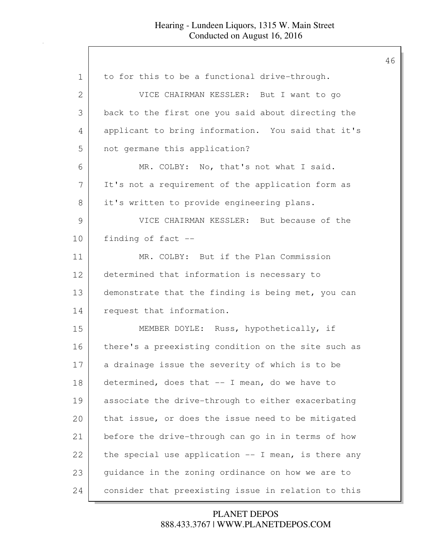| $\mathbf 1$ | to for this to be a functional drive-through.         |
|-------------|-------------------------------------------------------|
| 2           | VICE CHAIRMAN KESSLER: But I want to go               |
| 3           | back to the first one you said about directing the    |
| 4           | applicant to bring information. You said that it's    |
| 5           | not germane this application?                         |
| 6           | MR. COLBY: No, that's not what I said.                |
| 7           | It's not a requirement of the application form as     |
| 8           | it's written to provide engineering plans.            |
| 9           | VICE CHAIRMAN KESSLER: But because of the             |
| 10          | finding of fact --                                    |
| 11          | MR. COLBY: But if the Plan Commission                 |
| 12          | determined that information is necessary to           |
| 13          | demonstrate that the finding is being met, you can    |
| 14          | request that information.                             |
| 15          | MEMBER DOYLE: Russ, hypothetically, if                |
| 16          | there's a preexisting condition on the site such as   |
| 17          | a drainage issue the severity of which is to be       |
| 18          | determined, does that -- I mean, do we have to        |
| 19          | associate the drive-through to either exacerbating    |
| 20          | that issue, or does the issue need to be mitigated    |
| 21          | before the drive-through can go in in terms of how    |
| 22          | the special use application $--$ I mean, is there any |
| 23          | guidance in the zoning ordinance on how we are to     |
| 24          | consider that preexisting issue in relation to this   |

# 888.433.3767 | WWW.PLANETDEPOS.COM PLANET DEPOS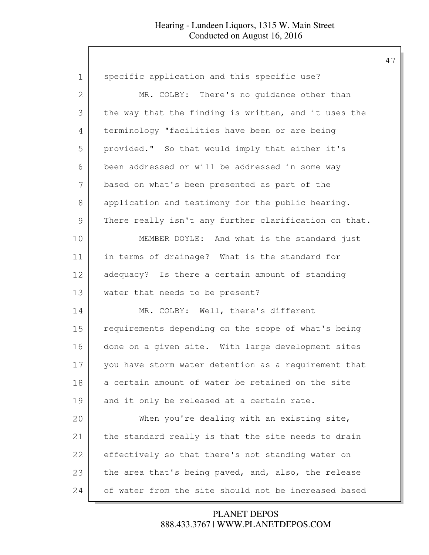| $\mathbf 1$   | specific application and this specific use?           |
|---------------|-------------------------------------------------------|
| 2             | MR. COLBY: There's no guidance other than             |
| 3             | the way that the finding is written, and it uses the  |
| 4             | terminology "facilities have been or are being        |
| 5             | provided." So that would imply that either it's       |
| 6             | been addressed or will be addressed in some way       |
| 7             | based on what's been presented as part of the         |
| 8             | application and testimony for the public hearing.     |
| $\mathcal{G}$ | There really isn't any further clarification on that. |
| 10            | MEMBER DOYLE: And what is the standard just           |
| 11            | in terms of drainage? What is the standard for        |
| 12            | adequacy? Is there a certain amount of standing       |
| 13            | water that needs to be present?                       |
| 14            | MR. COLBY: Well, there's different                    |
| 15            | requirements depending on the scope of what's being   |
| 16            | done on a given site. With large development sites    |
| 17            | you have storm water detention as a requirement that  |
| 18            | a certain amount of water be retained on the site     |
| 19            | and it only be released at a certain rate.            |
| 20            | When you're dealing with an existing site,            |
| 21            | the standard really is that the site needs to drain   |
| 22            | effectively so that there's not standing water on     |
| 23            | the area that's being paved, and, also, the release   |
| 24            | of water from the site should not be increased based  |

888.433.3767 | WWW.PLANETDEPOS.COM PLANET DEPOS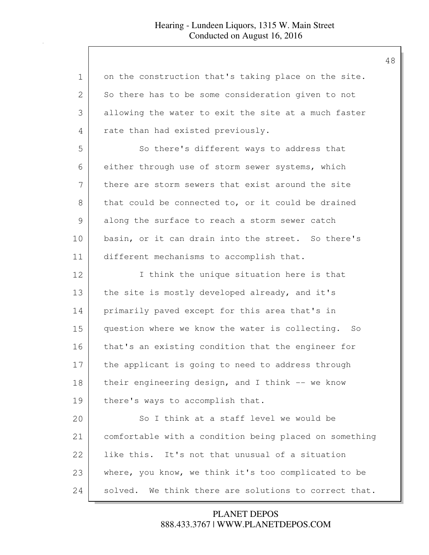| $\mathbf{1}$ | on the construction that's taking place on the site.     |
|--------------|----------------------------------------------------------|
| 2            | So there has to be some consideration given to not       |
| 3            | allowing the water to exit the site at a much faster     |
| 4            | rate than had existed previously.                        |
| 5            | So there's different ways to address that                |
| 6            | either through use of storm sewer systems, which         |
| 7            | there are storm sewers that exist around the site        |
| 8            | that could be connected to, or it could be drained       |
| 9            | along the surface to reach a storm sewer catch           |
| 10           | basin, or it can drain into the street. So there's       |
| 11           | different mechanisms to accomplish that.                 |
| 12           | I think the unique situation here is that                |
| 13           | the site is mostly developed already, and it's           |
| 14           | primarily paved except for this area that's in           |
| 15           | question where we know the water is collecting. So       |
| 16           | that's an existing condition that the engineer for       |
| 17           | the applicant is going to need to address through        |
| 18           | their engineering design, and I think -- we know         |
| 19           | there's ways to accomplish that.                         |
| 20           | So I think at a staff level we would be                  |
| 21           | comfortable with a condition being placed on something   |
| 22           | like this. It's not that unusual of a situation          |
| 23           | where, you know, we think it's too complicated to be     |
| 24           | We think there are solutions to correct that.<br>solved. |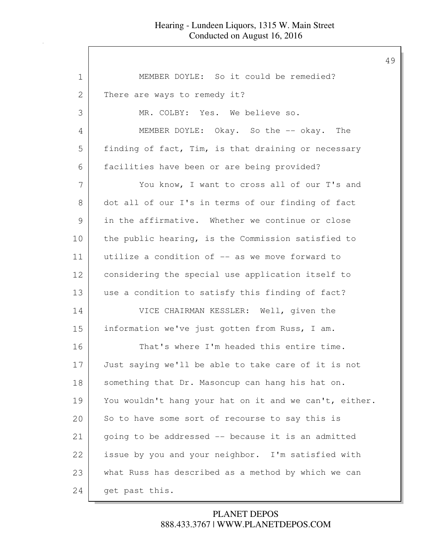| 1  | MEMBER DOYLE: So it could be remedied?                 |
|----|--------------------------------------------------------|
| 2  | There are ways to remedy it?                           |
| 3  | MR. COLBY: Yes. We believe so.                         |
| 4  | MEMBER DOYLE: Okay. So the -- okay. The                |
| 5  | finding of fact, Tim, is that draining or necessary    |
| 6  | facilities have been or are being provided?            |
| 7  | You know, I want to cross all of our T's and           |
| 8  | dot all of our I's in terms of our finding of fact     |
| 9  | in the affirmative. Whether we continue or close       |
| 10 | the public hearing, is the Commission satisfied to     |
| 11 | utilize a condition of -- as we move forward to        |
| 12 | considering the special use application itself to      |
| 13 | use a condition to satisfy this finding of fact?       |
| 14 | VICE CHAIRMAN KESSLER: Well, given the                 |
| 15 | information we've just gotten from Russ, I am.         |
| 16 | That's where I'm headed this entire time.              |
| 17 | Just saying we'll be able to take care of it is not    |
| 18 | something that Dr. Masoncup can hang his hat on.       |
| 19 | You wouldn't hang your hat on it and we can't, either. |
| 20 | So to have some sort of recourse to say this is        |
| 21 | going to be addressed -- because it is an admitted     |
| 22 | issue by you and your neighbor. I'm satisfied with     |
| 23 | what Russ has described as a method by which we can    |
| 24 | get past this.                                         |

# 888.433.3767 | WWW.PLANETDEPOS.COM PLANET DEPOS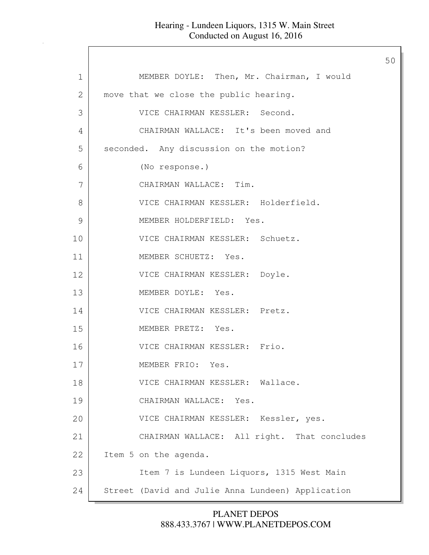|             |                                                   | 50 |
|-------------|---------------------------------------------------|----|
| $\mathbf 1$ | MEMBER DOYLE: Then, Mr. Chairman, I would         |    |
| 2           | move that we close the public hearing.            |    |
| 3           | VICE CHAIRMAN KESSLER: Second.                    |    |
| 4           | CHAIRMAN WALLACE: It's been moved and             |    |
| 5           | seconded. Any discussion on the motion?           |    |
| 6           | (No response.)                                    |    |
| 7           | CHAIRMAN WALLACE: Tim.                            |    |
| 8           | VICE CHAIRMAN KESSLER: Holderfield.               |    |
| 9           | MEMBER HOLDERFIELD: Yes.                          |    |
| 10          | VICE CHAIRMAN KESSLER: Schuetz.                   |    |
| 11          | MEMBER SCHUETZ: Yes.                              |    |
| 12          | VICE CHAIRMAN KESSLER: Doyle.                     |    |
| 13          | MEMBER DOYLE: Yes.                                |    |
| 14          | VICE CHAIRMAN KESSLER: Pretz.                     |    |
| 15          | MEMBER PRETZ: Yes.                                |    |
| 16          | VICE CHAIRMAN KESSLER: Frio.                      |    |
| 17          | MEMBER FRIO: Yes.                                 |    |
| 18          | VICE CHAIRMAN KESSLER: Wallace.                   |    |
| 19          | CHAIRMAN WALLACE: Yes.                            |    |
| 20          | VICE CHAIRMAN KESSLER: Kessler, yes.              |    |
| 21          | CHAIRMAN WALLACE: All right. That concludes       |    |
| 22          | Item 5 on the agenda.                             |    |
| 23          | Item 7 is Lundeen Liquors, 1315 West Main         |    |
| 24          | Street (David and Julie Anna Lundeen) Application |    |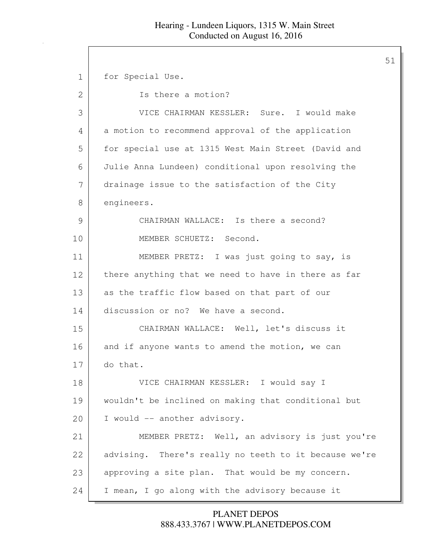51

1 for Special Use. 2 Is there a motion? 3 VICE CHAIRMAN KESSLER: Sure. I would make 4 a motion to recommend approval of the application 5 | for special use at 1315 West Main Street (David and 6 Julie Anna Lundeen) conditional upon resolving the 7 drainage issue to the satisfaction of the City 8 engineers. 9 CHAIRMAN WALLACE: Is there a second? 10 MEMBER SCHUETZ: Second. 11 MEMBER PRETZ: I was just going to say, is 12 there anything that we need to have in there as far 13 as the traffic flow based on that part of our 14 discussion or no? We have a second. 15 CHAIRMAN WALLACE: Well, let's discuss it 16 and if anyone wants to amend the motion, we can 17 do that. 18 VICE CHAIRMAN KESSLER: I would say I 19 wouldn't be inclined on making that conditional but 20 | I would -- another advisory. 21 MEMBER PRETZ: Well, an advisory is just you're 22 advising. There's really no teeth to it because we're 23 approving a site plan. That would be my concern. 24 I mean, I go along with the advisory because it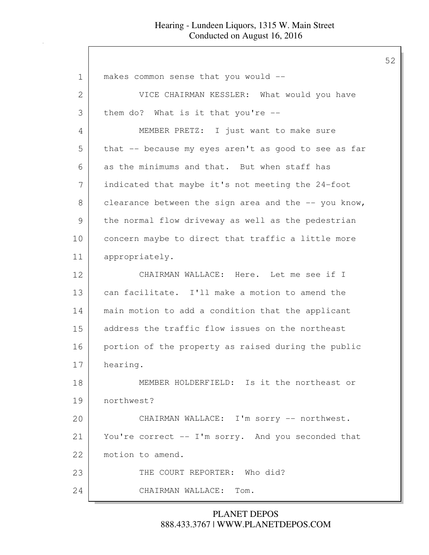| $\mathbf 1$   | makes common sense that you would --                 |
|---------------|------------------------------------------------------|
| 2             | VICE CHAIRMAN KESSLER: What would you have           |
| 3             | them do? What is it that you're --                   |
| 4             | MEMBER PRETZ: I just want to make sure               |
| 5             | that -- because my eyes aren't as good to see as far |
| 6             | as the minimums and that. But when staff has         |
| 7             | indicated that maybe it's not meeting the 24-foot    |
| 8             | clearance between the sign area and the -- you know, |
| $\mathcal{G}$ | the normal flow driveway as well as the pedestrian   |
| 10            | concern maybe to direct that traffic a little more   |
| 11            | appropriately.                                       |
| 12            | CHAIRMAN WALLACE: Here. Let me see if I              |
| 13            | can facilitate. I'll make a motion to amend the      |
| 14            | main motion to add a condition that the applicant    |
| 15            | address the traffic flow issues on the northeast     |
| 16            | portion of the property as raised during the public  |
| 17            | hearing.                                             |
| 18            | MEMBER HOLDERFIELD: Is it the northeast or           |
| 19            | northwest?                                           |
| 20            | CHAIRMAN WALLACE: I'm sorry -- northwest.            |
| 21            | You're correct -- I'm sorry. And you seconded that   |
| 22            | motion to amend.                                     |
| 23            | THE COURT REPORTER: Who did?                         |
| 24            | CHAIRMAN WALLACE:<br>Tom.                            |

888.433.3767 | WWW.PLANETDEPOS.COM PLANET DEPOS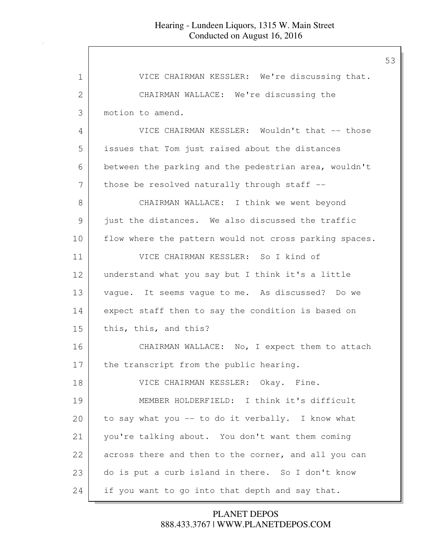| $\mathbf 1$ | VICE CHAIRMAN KESSLER: We're discussing that.          |
|-------------|--------------------------------------------------------|
| 2           | CHAIRMAN WALLACE: We're discussing the                 |
| 3           | motion to amend.                                       |
| 4           | VICE CHAIRMAN KESSLER: Wouldn't that -- those          |
| 5           | issues that Tom just raised about the distances        |
| 6           | between the parking and the pedestrian area, wouldn't  |
| 7           | those be resolved naturally through staff --           |
| 8           | CHAIRMAN WALLACE: I think we went beyond               |
| 9           | just the distances. We also discussed the traffic      |
| 10          | flow where the pattern would not cross parking spaces. |
| 11          | VICE CHAIRMAN KESSLER: So I kind of                    |
| 12          | understand what you say but I think it's a little      |
| 13          | vague. It seems vague to me. As discussed? Do we       |
| 14          | expect staff then to say the condition is based on     |
| 15          | this, this, and this?                                  |
| 16          | CHAIRMAN WALLACE: No, I expect them to attach          |
| 17          | the transcript from the public hearing.                |
| 18          | VICE CHAIRMAN KESSLER: Okay. Fine.                     |
| 19          | MEMBER HOLDERFIELD: I think it's difficult             |
| 20          | to say what you -- to do it verbally. I know what      |
| 21          | you're talking about. You don't want them coming       |
| 22          | across there and then to the corner, and all you can   |
| 23          | do is put a curb island in there. So I don't know      |
| 24          | if you want to go into that depth and say that.        |
|             |                                                        |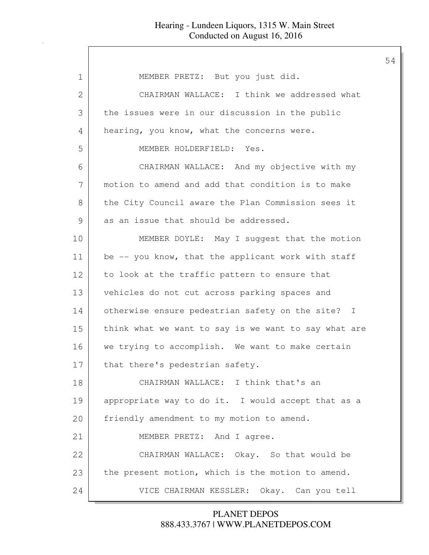| $\mathbf 1$   | MEMBER PRETZ: But you just did.                      |
|---------------|------------------------------------------------------|
|               |                                                      |
| $\mathbf{2}$  | CHAIRMAN WALLACE: I think we addressed what          |
| 3             | the issues were in our discussion in the public      |
| 4             | hearing, you know, what the concerns were.           |
| 5             | MEMBER HOLDERFIELD: Yes.                             |
| 6             | CHAIRMAN WALLACE: And my objective with my           |
| 7             | motion to amend and add that condition is to make    |
| 8             | the City Council aware the Plan Commission sees it   |
| $\mathcal{G}$ | as an issue that should be addressed.                |
| 10            | MEMBER DOYLE: May I suggest that the motion          |
| 11            | be -- you know, that the applicant work with staff   |
| 12            | to look at the traffic pattern to ensure that        |
| 13            | vehicles do not cut across parking spaces and        |
| 14            | otherwise ensure pedestrian safety on the site? I    |
| 15            | think what we want to say is we want to say what are |
| 16            | we trying to accomplish. We want to make certain     |
| 17            | that there's pedestrian safety.                      |
| 18            | CHAIRMAN WALLACE: I think that's an                  |
| 19            | appropriate way to do it. I would accept that as a   |
| 20            | friendly amendment to my motion to amend.            |
| 21            | MEMBER PRETZ: And I agree.                           |
| 22            | CHAIRMAN WALLACE: Okay. So that would be             |
| 23            | the present motion, which is the motion to amend.    |
| 24            | VICE CHAIRMAN KESSLER: Okay. Can you tell            |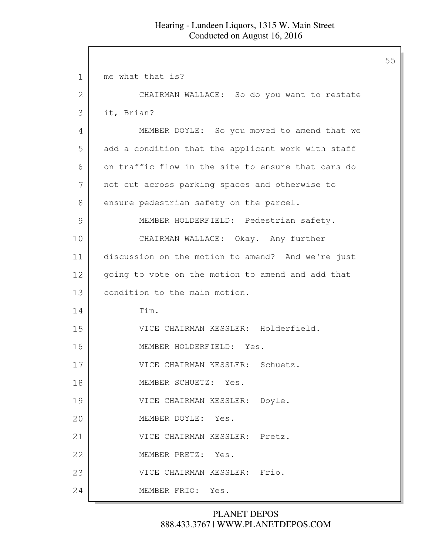| 1            | me what that is?                                   |
|--------------|----------------------------------------------------|
| $\mathbf{2}$ | CHAIRMAN WALLACE: So do you want to restate        |
| 3            | it, Brian?                                         |
| 4            | MEMBER DOYLE: So you moved to amend that we        |
| 5            | add a condition that the applicant work with staff |
| 6            | on traffic flow in the site to ensure that cars do |
| 7            | not cut across parking spaces and otherwise to     |
| 8            | ensure pedestrian safety on the parcel.            |
| 9            | MEMBER HOLDERFIELD: Pedestrian safety.             |
| 10           | CHAIRMAN WALLACE: Okay. Any further                |
| 11           | discussion on the motion to amend? And we're just  |
| 12           | going to vote on the motion to amend and add that  |
| 13           | condition to the main motion.                      |
| 14           | Tim.                                               |
| 15           | VICE CHAIRMAN KESSLER: Holderfield.                |
| 16           | MEMBER HOLDERFIELD: Yes.                           |
| 17           | VICE CHAIRMAN KESSLER: Schuetz.                    |
| 18           | MEMBER SCHUETZ: Yes.                               |
| 19           | VICE CHAIRMAN KESSLER: Doyle.                      |
| 20           | MEMBER DOYLE: Yes.                                 |
| 21           | VICE CHAIRMAN KESSLER: Pretz.                      |
| 22           | MEMBER PRETZ: Yes.                                 |
| 23           | VICE CHAIRMAN KESSLER: Frio.                       |
| 24           | MEMBER FRIO: Yes.                                  |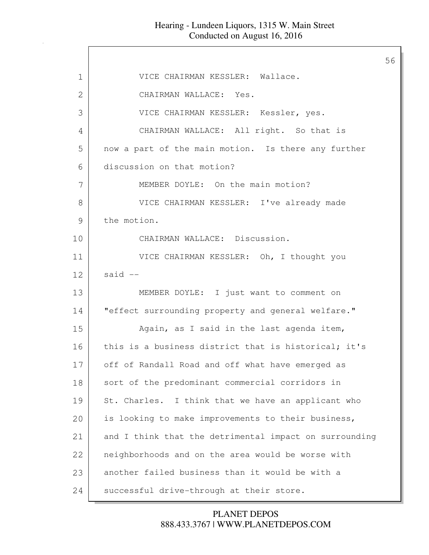$\Gamma$ 

|             |                                                        | 56 |
|-------------|--------------------------------------------------------|----|
| $\mathbf 1$ | VICE CHAIRMAN KESSLER: Wallace.                        |    |
| 2           | CHAIRMAN WALLACE: Yes.                                 |    |
| 3           | VICE CHAIRMAN KESSLER: Kessler, yes.                   |    |
| 4           | CHAIRMAN WALLACE: All right. So that is                |    |
| 5           | now a part of the main motion. Is there any further    |    |
| 6           | discussion on that motion?                             |    |
| 7           | MEMBER DOYLE: On the main motion?                      |    |
| 8           | VICE CHAIRMAN KESSLER: I've already made               |    |
| 9           | the motion.                                            |    |
| 10          | CHAIRMAN WALLACE: Discussion.                          |    |
| 11          | VICE CHAIRMAN KESSLER: Oh, I thought you               |    |
| 12          | said $--$                                              |    |
| 13          | MEMBER DOYLE: I just want to comment on                |    |
| 14          | "effect surrounding property and general welfare."     |    |
| 15          | Again, as I said in the last agenda item,              |    |
| 16          | this is a business district that is historical; it's   |    |
| 17          | off of Randall Road and off what have emerged as       |    |
| 18          | sort of the predominant commercial corridors in        |    |
| 19          | St. Charles. I think that we have an applicant who     |    |
| 20          | is looking to make improvements to their business,     |    |
| 21          | and I think that the detrimental impact on surrounding |    |
| 22          | neighborhoods and on the area would be worse with      |    |
| 23          | another failed business than it would be with a        |    |
| 24          | successful drive-through at their store.               |    |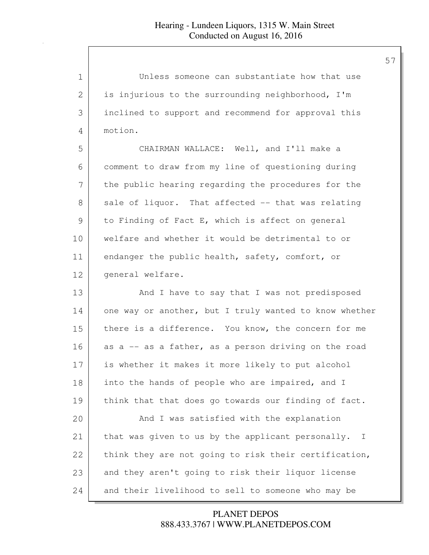| $\mathbf 1$ | Unless someone can substantiate how that use                      |
|-------------|-------------------------------------------------------------------|
| 2           | is injurious to the surrounding neighborhood, I'm                 |
| 3           | inclined to support and recommend for approval this               |
| 4           | motion.                                                           |
| 5           | CHAIRMAN WALLACE: Well, and I'll make a                           |
| 6           | comment to draw from my line of questioning during                |
| 7           | the public hearing regarding the procedures for the               |
| 8           | sale of liquor. That affected -- that was relating                |
| 9           | to Finding of Fact E, which is affect on general                  |
| 10          | welfare and whether it would be detrimental to or                 |
| 11          | endanger the public health, safety, comfort, or                   |
| 12          | general welfare.                                                  |
| 13          | And I have to say that I was not predisposed                      |
| 14          | one way or another, but I truly wanted to know whether            |
| 15          | there is a difference. You know, the concern for me               |
| 16          | as a -- as a father, as a person driving on the road              |
| 17          | is whether it makes it more likely to put alcohol                 |
| 18          | into the hands of people who are impaired, and I                  |
| 19          | think that that does go towards our finding of fact.              |
| 20          | And I was satisfied with the explanation                          |
| 21          | that was given to us by the applicant personally.<br>$\mathbb{I}$ |
| 22          | think they are not going to risk their certification,             |
| 23          | and they aren't going to risk their liquor license                |
| 24          | and their livelihood to sell to someone who may be                |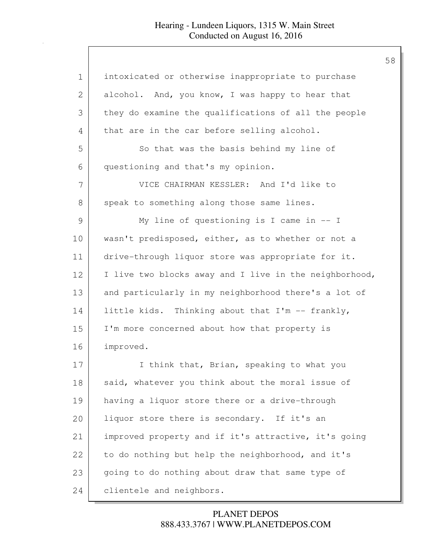| $\mathbf 1$ | intoxicated or otherwise inappropriate to purchase     |
|-------------|--------------------------------------------------------|
| 2           | alcohol. And, you know, I was happy to hear that       |
| 3           | they do examine the qualifications of all the people   |
| 4           | that are in the car before selling alcohol.            |
| 5           | So that was the basis behind my line of                |
| 6           | questioning and that's my opinion.                     |
| 7           | VICE CHAIRMAN KESSLER: And I'd like to                 |
| 8           | speak to something along those same lines.             |
| 9           | My line of questioning is I came in $-$ I              |
| 10          | wasn't predisposed, either, as to whether or not a     |
| 11          | drive-through liquor store was appropriate for it.     |
| 12          | I live two blocks away and I live in the neighborhood, |
| 13          | and particularly in my neighborhood there's a lot of   |
| 14          | little kids. Thinking about that I'm -- frankly,       |
| 15          | I'm more concerned about how that property is          |
| 16          | improved.                                              |
| 17          | I think that, Brian, speaking to what you              |
| 18          | said, whatever you think about the moral issue of      |
| 19          | having a liquor store there or a drive-through         |
| 20          | liquor store there is secondary. If it's an            |
| 21          | improved property and if it's attractive, it's going   |
| 22          | to do nothing but help the neighborhood, and it's      |
| 23          | going to do nothing about draw that same type of       |
| 24          | clientele and neighbors.                               |

888.433.3767 | WWW.PLANETDEPOS.COM PLANET DEPOS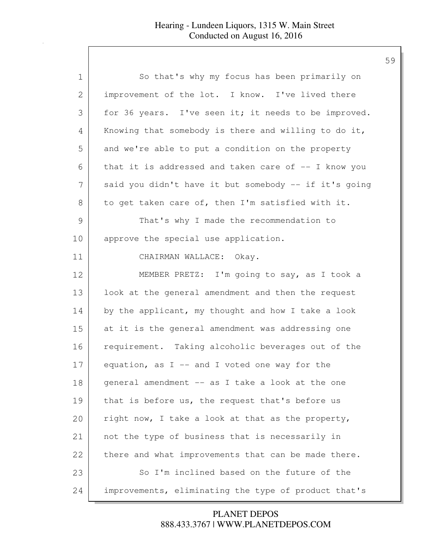| 1  | So that's why my focus has been primarily on          |
|----|-------------------------------------------------------|
| 2  | improvement of the lot. I know. I've lived there      |
| 3  | for 36 years. I've seen it; it needs to be improved.  |
| 4  | Knowing that somebody is there and willing to do it,  |
| 5  | and we're able to put a condition on the property     |
| 6  | that it is addressed and taken care of $-$ I know you |
| 7  | said you didn't have it but somebody -- if it's going |
| 8  | to get taken care of, then I'm satisfied with it.     |
| 9  | That's why I made the recommendation to               |
| 10 | approve the special use application.                  |
| 11 | CHAIRMAN WALLACE: Okay.                               |
| 12 | MEMBER PRETZ: I'm going to say, as I took a           |
| 13 | look at the general amendment and then the request    |
| 14 | by the applicant, my thought and how I take a look    |
| 15 | at it is the general amendment was addressing one     |
| 16 | requirement. Taking alcoholic beverages out of the    |
| 17 | equation, as $I$ -- and I voted one way for the       |
| 18 | general amendment -- as I take a look at the one      |
| 19 | that is before us, the request that's before us       |
| 20 | right now, I take a look at that as the property,     |
| 21 | not the type of business that is necessarily in       |
| 22 | there and what improvements that can be made there.   |
| 23 | So I'm inclined based on the future of the            |
| 24 | improvements, eliminating the type of product that's  |

888.433.3767 | WWW.PLANETDEPOS.COM PLANET DEPOS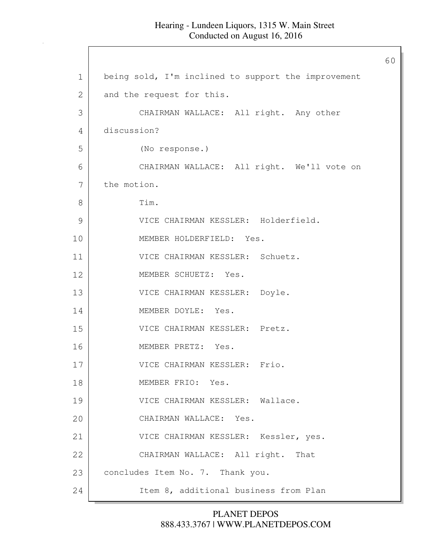|               |                                                     | 60 |
|---------------|-----------------------------------------------------|----|
| $\mathbf 1$   | being sold, I'm inclined to support the improvement |    |
| 2             | and the request for this.                           |    |
| 3             | CHAIRMAN WALLACE: All right. Any other              |    |
| 4             | discussion?                                         |    |
| 5             | (No response.)                                      |    |
| 6             | CHAIRMAN WALLACE: All right. We'll vote on          |    |
| 7             | the motion.                                         |    |
| 8             | Tim.                                                |    |
| $\mathcal{G}$ | VICE CHAIRMAN KESSLER: Holderfield.                 |    |
| 10            | MEMBER HOLDERFIELD: Yes.                            |    |
| 11            | VICE CHAIRMAN KESSLER: Schuetz.                     |    |
| 12            | MEMBER SCHUETZ: Yes.                                |    |
| 13            | VICE CHAIRMAN KESSLER: Doyle.                       |    |
| 14            | MEMBER DOYLE: Yes.                                  |    |
| 15            | VICE CHAIRMAN KESSLER: Pretz.                       |    |
| 16            | MEMBER PRETZ: Yes.                                  |    |
| 17            | VICE CHAIRMAN KESSLER: Frio.                        |    |
| 18            | MEMBER FRIO: Yes.                                   |    |
| 19            | VICE CHAIRMAN KESSLER: Wallace.                     |    |
| 20            | CHAIRMAN WALLACE: Yes.                              |    |
| 21            | VICE CHAIRMAN KESSLER: Kessler, yes.                |    |
| 22            | CHAIRMAN WALLACE: All right. That                   |    |
| 23            | concludes Item No. 7. Thank you.                    |    |
| 24            | Item 8, additional business from Plan               |    |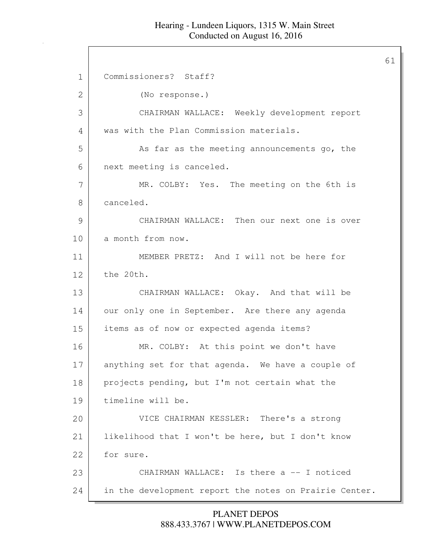61

1 Commissioners? Staff? 2 (No response.) 3 CHAIRMAN WALLACE: Weekly development report 4 was with the Plan Commission materials. 5 As far as the meeting announcements go, the 6 next meeting is canceled. 7 MR. COLBY: Yes. The meeting on the 6th is 8 canceled. 9 CHAIRMAN WALLACE: Then our next one is over 10 a month from now. 11 MEMBER PRETZ: And I will not be here for 12 the 20th. 13 CHAIRMAN WALLACE: Okay. And that will be 14 our only one in September. Are there any agenda 15 items as of now or expected agenda items? 16 MR. COLBY: At this point we don't have 17 anything set for that agenda. We have a couple of 18 projects pending, but I'm not certain what the 19 timeline will be. 20 VICE CHAIRMAN KESSLER: There's a strong 21 likelihood that I won't be here, but I don't know 22 for sure. 23 CHAIRMAN WALLACE: Is there a -- I noticed 24 in the development report the notes on Prairie Center.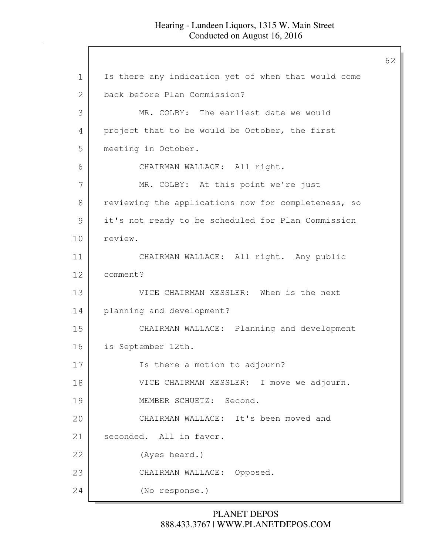## Hearing - Lundeen Liquors, 1315 W. Main Street Conducted on August 16, 2016

1 | Is there any indication yet of when that would come 2 back before Plan Commission? 3 MR. COLBY: The earliest date we would 4 project that to be would be October, the first 5 meeting in October. 6 CHAIRMAN WALLACE: All right. 7 MR. COLBY: At this point we're just 8 | reviewing the applications now for completeness, so 9 it's not ready to be scheduled for Plan Commission 10 review. 11 CHAIRMAN WALLACE: All right. Any public 12 comment? 13 VICE CHAIRMAN KESSLER: When is the next 14 planning and development? 15 CHAIRMAN WALLACE: Planning and development 16 is September 12th. 17 Is there a motion to adjourn? 18 VICE CHAIRMAN KESSLER: I move we adjourn. 19 MEMBER SCHUETZ: Second. 20 CHAIRMAN WALLACE: It's been moved and 21 seconded. All in favor. 22 (Ayes heard.) 23 CHAIRMAN WALLACE: Opposed. 24 (No response.)

## 888.433.3767 | WWW.PLANETDEPOS.COM PLANET DEPOS

62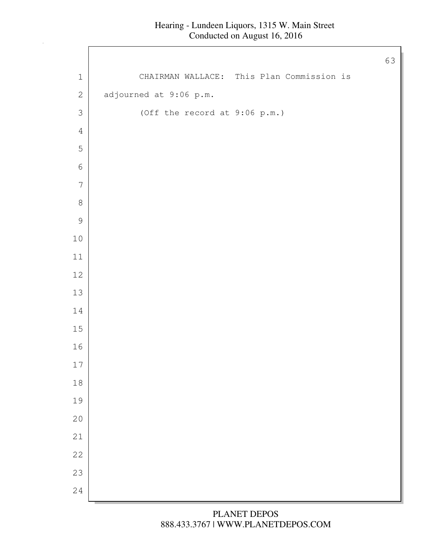## Hearing - Lundeen Liquors, 1315 W. Main Street Conducted on August 16, 2016

 $\Gamma$ 

|                  |                               | 63                                        |
|------------------|-------------------------------|-------------------------------------------|
| $\mathbf 1$      |                               | CHAIRMAN WALLACE: This Plan Commission is |
| $\sqrt{2}$       | adjourned at 9:06 p.m.        |                                           |
| $\mathfrak{Z}$   | (Off the record at 9:06 p.m.) |                                           |
| $\sqrt{4}$       |                               |                                           |
| 5                |                               |                                           |
| $\sqrt{6}$       |                               |                                           |
| $\boldsymbol{7}$ |                               |                                           |
| $\,8\,$          |                               |                                           |
| $\mathcal{G}$    |                               |                                           |
| $1\,0$           |                               |                                           |
| $11\,$           |                               |                                           |
| $12\,$           |                               |                                           |
| 13               |                               |                                           |
| $1\,4$           |                               |                                           |
| $15\,$           |                               |                                           |
| $16\,$           |                               |                                           |
| $17\,$           |                               |                                           |
| $1\,8$           |                               |                                           |
| 19               |                               |                                           |
| 20               |                               |                                           |
| 21               |                               |                                           |
| 22               |                               |                                           |
| 23               |                               |                                           |
| 24               |                               |                                           |

888.433.3767 | WWW.PLANETDEPOS.COM PLANET DEPOS